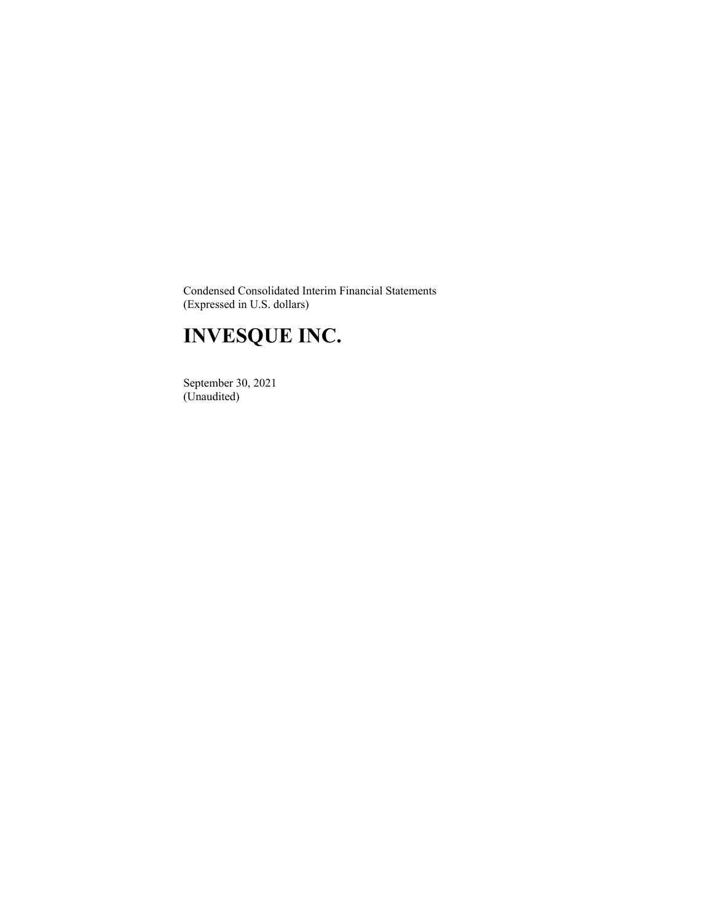Condensed Consolidated Interim Financial Statements (Expressed in U.S. dollars)

# **INVESQUE INC.**

 September 30, 2021 (Unaudited)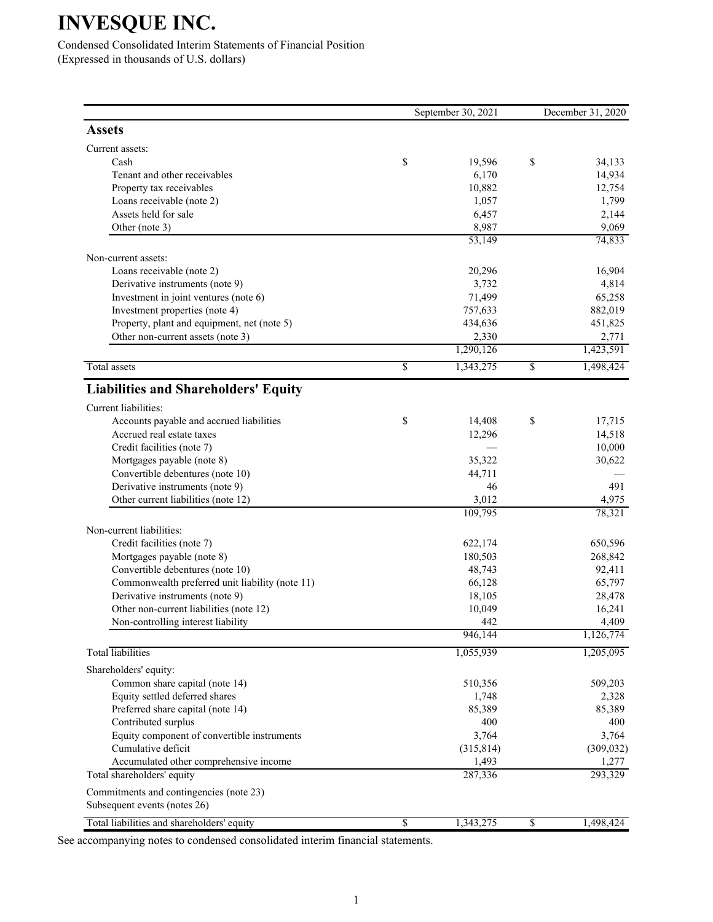Condensed Consolidated Interim Statements of Financial Position (Expressed in thousands of U.S. dollars)

|                                                          |                 | September 30, 2021 | December 31, 2020 |                   |  |
|----------------------------------------------------------|-----------------|--------------------|-------------------|-------------------|--|
| <b>Assets</b>                                            |                 |                    |                   |                   |  |
| Current assets:                                          |                 |                    |                   |                   |  |
| Cash                                                     | \$              | 19,596             | \$                | 34,133            |  |
| Tenant and other receivables                             |                 | 6,170              |                   | 14,934            |  |
| Property tax receivables                                 |                 | 10,882             |                   | 12,754            |  |
| Loans receivable (note 2)                                |                 | 1,057              |                   | 1,799             |  |
| Assets held for sale                                     |                 | 6,457              |                   | 2,144             |  |
| Other (note 3)                                           |                 | 8,987<br>53,149    |                   | 9,069<br>74,833   |  |
| Non-current assets:                                      |                 |                    |                   |                   |  |
| Loans receivable (note 2)                                |                 | 20,296             |                   | 16,904            |  |
| Derivative instruments (note 9)                          |                 | 3,732              |                   | 4,814             |  |
| Investment in joint ventures (note 6)                    |                 | 71,499             |                   | 65,258            |  |
| Investment properties (note 4)                           |                 | 757,633            |                   | 882,019           |  |
| Property, plant and equipment, net (note 5)              |                 | 434,636            |                   | 451,825           |  |
| Other non-current assets (note 3)                        |                 | 2,330              |                   | 2,771             |  |
|                                                          |                 | 1,290,126          |                   | 1,423,591         |  |
| <b>Total</b> assets                                      | $\overline{\$}$ | 1,343,275          | \$                | 1,498,424         |  |
| <b>Liabilities and Shareholders' Equity</b>              |                 |                    |                   |                   |  |
| Current liabilities:                                     |                 |                    |                   |                   |  |
| Accounts payable and accrued liabilities                 | \$              | 14,408             | \$                | 17,715            |  |
| Accrued real estate taxes                                |                 | 12,296             |                   | 14,518            |  |
| Credit facilities (note 7)                               |                 |                    |                   | 10,000            |  |
| Mortgages payable (note 8)                               |                 | 35,322             |                   | 30,622            |  |
| Convertible debentures (note 10)                         |                 | 44,711             |                   |                   |  |
| Derivative instruments (note 9)                          |                 | 46                 |                   | 491               |  |
| Other current liabilities (note 12)                      |                 | 3,012              |                   | 4,975             |  |
|                                                          |                 | 109,795            |                   | 78,321            |  |
| Non-current liabilities:                                 |                 |                    |                   |                   |  |
| Credit facilities (note 7)<br>Mortgages payable (note 8) |                 | 622,174            |                   | 650,596           |  |
| Convertible debentures (note 10)                         |                 | 180,503<br>48,743  |                   | 268,842<br>92,411 |  |
| Commonwealth preferred unit liability (note 11)          |                 | 66,128             |                   | 65,797            |  |
| Derivative instruments (note 9)                          |                 | 18,105             |                   | 28,478            |  |
| Other non-current liabilities (note 12)                  |                 | 10,049             |                   | 16,241            |  |
| Non-controlling interest liability                       |                 | 442                |                   | 4,409             |  |
|                                                          |                 | 946,144            |                   | 1,126,774         |  |
| <b>Total</b> liabilities                                 |                 | 1,055,939          |                   | 1,205,095         |  |
| Shareholders' equity:                                    |                 |                    |                   |                   |  |
| Common share capital (note 14)                           |                 | 510,356            |                   | 509,203           |  |
| Equity settled deferred shares                           |                 | 1,748              |                   | 2,328             |  |
| Preferred share capital (note 14)                        |                 | 85,389             |                   | 85,389            |  |
| Contributed surplus                                      |                 | 400                |                   | 400               |  |
| Equity component of convertible instruments              |                 | 3,764              |                   | 3,764             |  |
| Cumulative deficit                                       |                 | (315, 814)         |                   | (309, 032)        |  |
| Accumulated other comprehensive income                   |                 | 1,493              |                   | 1,277             |  |
| Total shareholders' equity                               |                 | 287,336            |                   | 293,329           |  |
| Commitments and contingencies (note 23)                  |                 |                    |                   |                   |  |
| Subsequent events (notes 26)                             |                 |                    |                   |                   |  |
| Total liabilities and shareholders' equity               | \$              | 1,343,275          | \$                | 1,498,424         |  |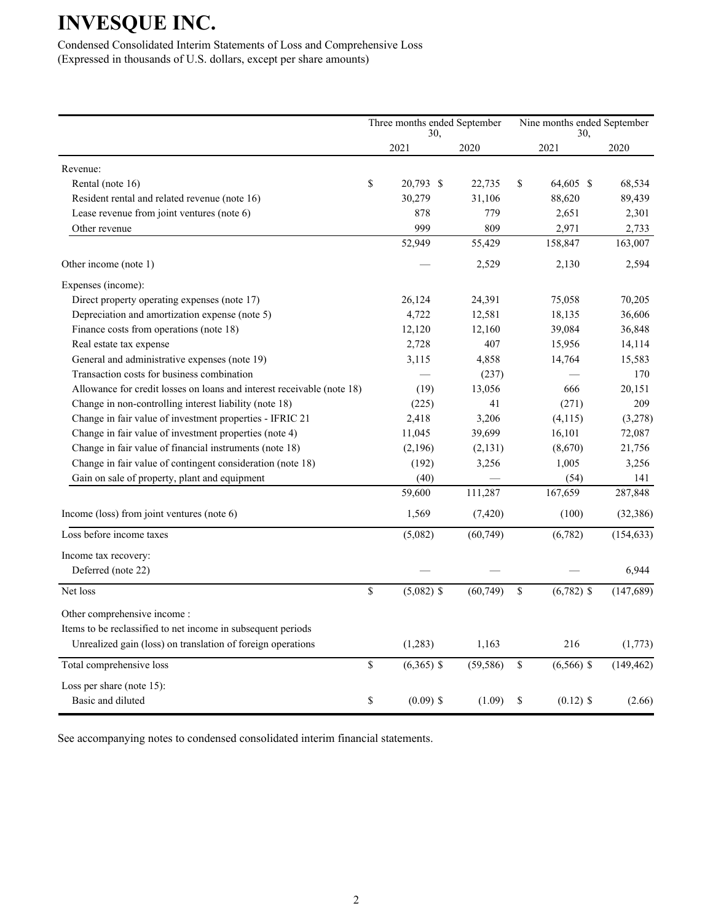Condensed Consolidated Interim Statements of Loss and Comprehensive Loss (Expressed in thousands of U.S. dollars, except per share amounts)

|                                                                        | Three months ended September<br>30, |           |    | Nine months ended September |            |
|------------------------------------------------------------------------|-------------------------------------|-----------|----|-----------------------------|------------|
|                                                                        | 2021                                | 2020      |    | 30,<br>2021                 | 2020       |
| Revenue:                                                               |                                     |           |    |                             |            |
| Rental (note 16)                                                       | \$<br>20.793 \$                     | 22,735    | \$ | 64,605 \$                   | 68,534     |
| Resident rental and related revenue (note 16)                          | 30,279                              | 31,106    |    | 88,620                      | 89,439     |
| Lease revenue from joint ventures (note 6)                             | 878                                 | 779       |    | 2,651                       | 2,301      |
| Other revenue                                                          | 999                                 | 809       |    | 2,971                       | 2,733      |
|                                                                        | 52,949                              | 55,429    |    | 158,847                     | 163,007    |
| Other income (note 1)                                                  |                                     | 2,529     |    | 2,130                       | 2,594      |
| Expenses (income):                                                     |                                     |           |    |                             |            |
| Direct property operating expenses (note 17)                           | 26,124                              | 24,391    |    | 75,058                      | 70,205     |
| Depreciation and amortization expense (note 5)                         | 4,722                               | 12,581    |    | 18,135                      | 36,606     |
| Finance costs from operations (note 18)                                | 12,120                              | 12,160    |    | 39,084                      | 36,848     |
| Real estate tax expense                                                | 2,728                               | 407       |    | 15,956                      | 14,114     |
| General and administrative expenses (note 19)                          | 3,115                               | 4,858     |    | 14,764                      | 15,583     |
| Transaction costs for business combination                             |                                     | (237)     |    |                             | 170        |
| Allowance for credit losses on loans and interest receivable (note 18) | (19)                                | 13,056    |    | 666                         | 20,151     |
| Change in non-controlling interest liability (note 18)                 | (225)                               | 41        |    | (271)                       | 209        |
| Change in fair value of investment properties - IFRIC 21               | 2,418                               | 3,206     |    | (4, 115)                    | (3,278)    |
| Change in fair value of investment properties (note 4)                 | 11,045                              | 39,699    |    | 16,101                      | 72,087     |
| Change in fair value of financial instruments (note 18)                | (2,196)                             | (2,131)   |    | (8,670)                     | 21,756     |
| Change in fair value of contingent consideration (note 18)             | (192)                               | 3,256     |    | 1,005                       | 3,256      |
| Gain on sale of property, plant and equipment                          | (40)                                |           |    | (54)                        | 141        |
|                                                                        | 59,600                              | 111,287   |    | 167,659                     | 287,848    |
| Income (loss) from joint ventures (note 6)                             | 1,569                               | (7, 420)  |    | (100)                       | (32, 386)  |
| Loss before income taxes                                               | (5,082)                             | (60, 749) |    | (6,782)                     | (154, 633) |
| Income tax recovery:                                                   |                                     |           |    |                             |            |
| Deferred (note 22)                                                     |                                     |           |    |                             | 6,944      |
| Net loss                                                               | \$<br>$(5,082)$ \$                  | (60, 749) | \$ | $(6,782)$ \$                | (147, 689) |
| Other comprehensive income:                                            |                                     |           |    |                             |            |
| Items to be reclassified to net income in subsequent periods           |                                     |           |    |                             |            |
| Unrealized gain (loss) on translation of foreign operations            | (1,283)                             | 1,163     |    | 216                         | (1,773)    |
| Total comprehensive loss                                               | \$<br>$(6,365)$ \$                  | (59, 586) | \$ | $(6,566)$ \$                | (149, 462) |
| Loss per share (note $15$ ):                                           |                                     |           |    |                             |            |
| Basic and diluted                                                      | \$<br>$(0.09)$ \$                   | (1.09)    | \$ | $(0.12)$ \$                 | (2.66)     |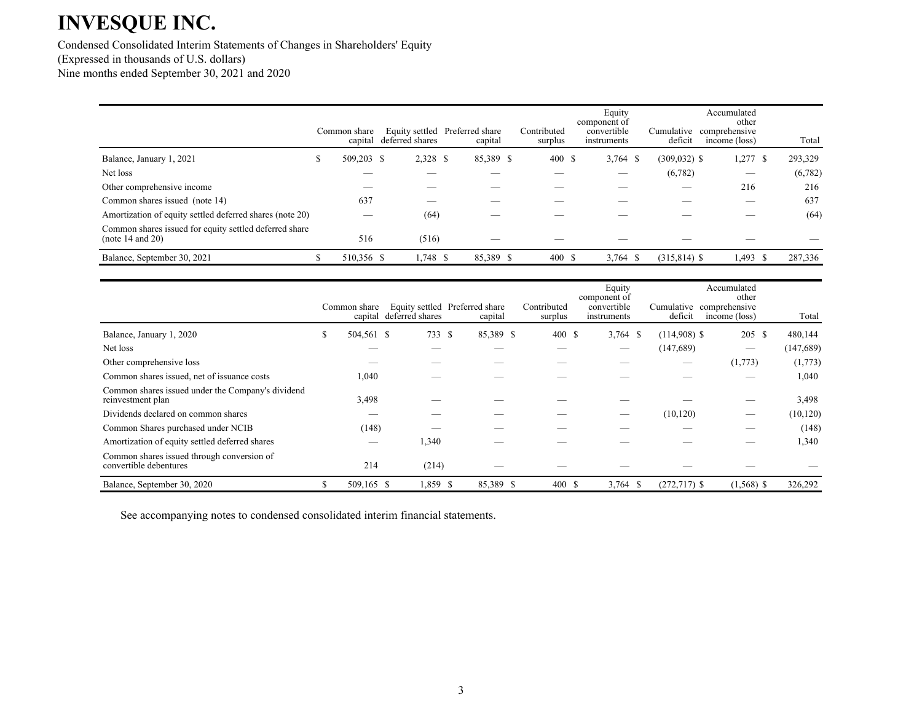Condensed Consolidated Interim Statements of Changes in Shareholders' Equity (Expressed in thousands of U.S. dollars) Nine months ended September 30, 2021 and 2020

|                                                                            |   | Common share<br>capital | deferred shares | Equity settled Preferred share<br>capital | Contributed<br>surplus | Equity<br>component of<br>convertible<br>instruments | Cumulative<br>deficit | Accumulated<br>other<br>comprehensive<br>income (loss) | Total           |
|----------------------------------------------------------------------------|---|-------------------------|-----------------|-------------------------------------------|------------------------|------------------------------------------------------|-----------------------|--------------------------------------------------------|-----------------|
| Balance, January 1, 2021                                                   | S | 509,203 \$              | 2,328 \$        | 85,389 \$                                 | 400S                   | $3,764$ \$                                           | $(309, 032)$ \$       | 1,277                                                  | 293,329<br>- \$ |
| Net loss                                                                   |   |                         |                 |                                           |                        | __                                                   | (6,782)               |                                                        | (6,782)         |
| Other comprehensive income                                                 |   |                         |                 |                                           |                        |                                                      | _                     | 216                                                    | 216             |
| Common shares issued (note 14)                                             |   | 637                     |                 |                                           |                        |                                                      |                       |                                                        | 637             |
| Amortization of equity settled deferred shares (note 20)                   |   |                         | (64)            |                                           |                        |                                                      |                       |                                                        | (64)            |
| Common shares issued for equity settled deferred share<br>(note 14 and 20) |   | 516                     | (516)           |                                           |                        |                                                      |                       |                                                        |                 |
| Balance, September 30, 2021                                                |   | 510,356 \$              | $1,748$ \$      | 85,389 \$                                 | 400 \$                 | $3,764$ \$                                           | $(315, 814)$ \$       | $1,493$ \$                                             | 287,336         |

|                                                                        |    | Common share<br>capital | deferred shares | Equity settled Preferred share<br>capital | Contributed<br>surplus | Equity<br>component of<br>convertible<br>instruments | deficit        | Accumulated<br>other<br>Cumulative comprehensive<br>income (loss) | Total      |
|------------------------------------------------------------------------|----|-------------------------|-----------------|-------------------------------------------|------------------------|------------------------------------------------------|----------------|-------------------------------------------------------------------|------------|
| Balance, January 1, 2020                                               | \$ | 504,561 \$              | 733             | 85,389 \$<br>-S                           | 400 \$                 | $3,764$ \$                                           | $(114,908)$ \$ | 205 \$                                                            | 480,144    |
| Net loss                                                               |    |                         |                 |                                           |                        | –                                                    | (147,689)      | $\hspace{0.05cm}$                                                 | (147, 689) |
| Other comprehensive loss                                               |    |                         |                 |                                           |                        |                                                      |                | (1,773)                                                           | (1,773)    |
| Common shares issued, net of issuance costs                            |    | 1,040                   |                 |                                           |                        |                                                      |                |                                                                   | 1,040      |
| Common shares issued under the Company's dividend<br>reinvestment plan |    | 3,498                   |                 |                                           |                        |                                                      |                |                                                                   | 3,498      |
| Dividends declared on common shares                                    |    |                         |                 |                                           |                        | –                                                    | (10, 120)      |                                                                   | (10, 120)  |
| Common Shares purchased under NCIB                                     |    | (148)                   |                 |                                           |                        |                                                      |                |                                                                   | (148)      |
| Amortization of equity settled deferred shares                         |    |                         | 1,340           |                                           |                        |                                                      |                |                                                                   | 1,340      |
| Common shares issued through conversion of<br>convertible debentures   |    | 214                     | (214)           |                                           |                        |                                                      |                |                                                                   |            |
| Balance, September 30, 2020                                            | S. | 509,165 \$              | 1,859 \$        | 85,389 \$                                 | 400S                   | $3,764$ \$                                           | $(272,717)$ \$ | $(1,568)$ \$                                                      | 326,292    |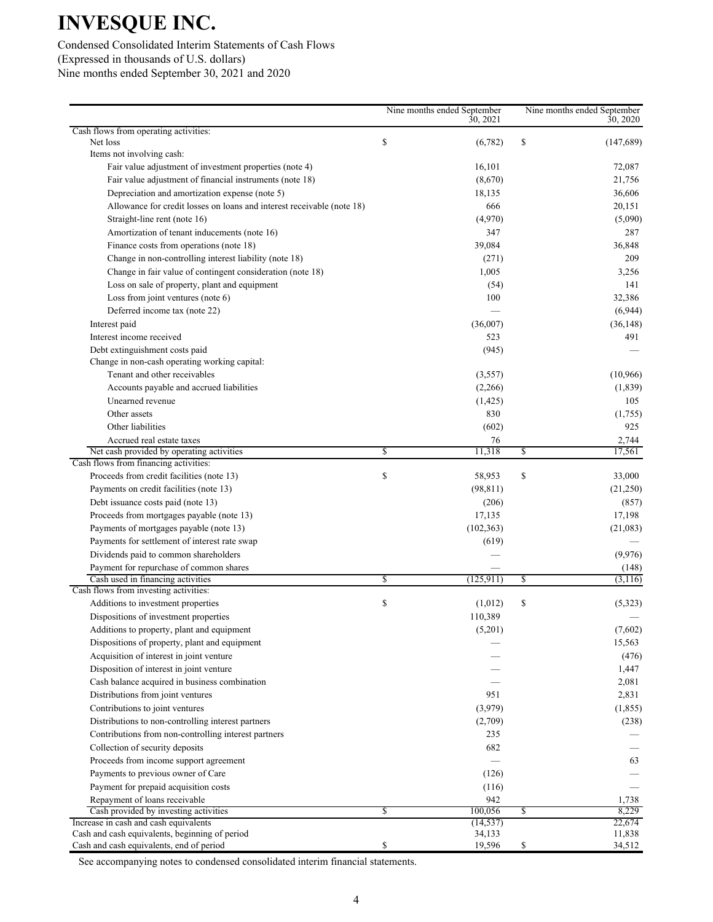### Condensed Consolidated Interim Statements of Cash Flows (Expressed in thousands of U.S. dollars) Nine months ended September 30, 2021 and 2020

|                                                                                      | Nine months ended September<br>30, 2021 |    | Nine months ended September<br>30, 2020 |
|--------------------------------------------------------------------------------------|-----------------------------------------|----|-----------------------------------------|
| Cash flows from operating activities:                                                |                                         |    |                                         |
| Net loss                                                                             | \$<br>(6,782)                           | \$ | (147,689)                               |
| Items not involving cash:<br>Fair value adjustment of investment properties (note 4) |                                         |    |                                         |
|                                                                                      | 16,101                                  |    | 72,087                                  |
| Fair value adjustment of financial instruments (note 18)                             | (8,670)                                 |    | 21,756                                  |
| Depreciation and amortization expense (note 5)                                       | 18,135                                  |    | 36,606                                  |
| Allowance for credit losses on loans and interest receivable (note 18)               | 666                                     |    | 20,151                                  |
| Straight-line rent (note 16)                                                         | (4,970)                                 |    | (5,090)                                 |
| Amortization of tenant inducements (note 16)                                         | 347                                     |    | 287                                     |
| Finance costs from operations (note 18)                                              | 39,084                                  |    | 36,848                                  |
| Change in non-controlling interest liability (note 18)                               | (271)                                   |    | 209                                     |
| Change in fair value of contingent consideration (note 18)                           | 1,005                                   |    | 3,256                                   |
| Loss on sale of property, plant and equipment                                        | (54)                                    |    | 141                                     |
| Loss from joint ventures (note 6)                                                    | 100                                     |    | 32,386                                  |
| Deferred income tax (note 22)                                                        |                                         |    | (6,944)                                 |
| Interest paid                                                                        | (36,007)                                |    | (36, 148)                               |
| Interest income received                                                             | 523                                     |    | 491                                     |
| Debt extinguishment costs paid                                                       | (945)                                   |    |                                         |
| Change in non-cash operating working capital:                                        |                                         |    |                                         |
| Tenant and other receivables                                                         | (3,557)                                 |    | (10,966)                                |
| Accounts payable and accrued liabilities                                             | (2,266)                                 |    | (1, 839)                                |
| Unearned revenue                                                                     | (1, 425)                                |    | 105                                     |
| Other assets                                                                         | 830                                     |    | (1,755)                                 |
| Other liabilities                                                                    | (602)                                   |    | 925                                     |
| Accrued real estate taxes                                                            | 76                                      |    | 2,744                                   |
| Net cash provided by operating activities                                            | \$<br>11,318                            | \$ | 17,561                                  |
| Cash flows from financing activities:                                                |                                         |    |                                         |
| Proceeds from credit facilities (note 13)                                            | \$<br>58,953                            | \$ | 33,000                                  |
| Payments on credit facilities (note 13)                                              | (98, 811)                               |    | (21,250)                                |
| Debt issuance costs paid (note 13)                                                   | (206)                                   |    | (857)                                   |
| Proceeds from mortgages payable (note 13)                                            | 17,135                                  |    | 17,198                                  |
| Payments of mortgages payable (note 13)                                              | (102, 363)                              |    | (21,083)                                |
| Payments for settlement of interest rate swap                                        | (619)                                   |    |                                         |
| Dividends paid to common shareholders                                                |                                         |    | (9,976)                                 |
| Payment for repurchase of common shares                                              |                                         |    | (148)                                   |
| Cash used in financing activities                                                    | \$<br>(125, 911)                        | S  | (3,116)                                 |
| Cash flows from investing activities:                                                |                                         |    |                                         |
| Additions to investment properties                                                   | \$<br>(1,012)                           | \$ | (5,323)                                 |
| Dispositions of investment properties                                                | 110,389                                 |    |                                         |
| Additions to property, plant and equipment                                           | (5,201)                                 |    | (7,602)                                 |
| Dispositions of property, plant and equipment                                        |                                         |    | 15,563                                  |
| Acquisition of interest in joint venture                                             |                                         |    | (476)                                   |
| Disposition of interest in joint venture                                             |                                         |    | 1,447                                   |
| Cash balance acquired in business combination                                        |                                         |    | 2,081                                   |
| Distributions from joint ventures                                                    | 951                                     |    | 2,831                                   |
| Contributions to joint ventures                                                      | (3,979)                                 |    | (1, 855)                                |
| Distributions to non-controlling interest partners                                   | (2,709)                                 |    | (238)                                   |
| Contributions from non-controlling interest partners                                 | 235                                     |    |                                         |
| Collection of security deposits                                                      | 682                                     |    |                                         |
| Proceeds from income support agreement                                               |                                         |    | 63                                      |
| Payments to previous owner of Care                                                   | (126)                                   |    |                                         |
| Payment for prepaid acquisition costs                                                | (116)                                   |    |                                         |
| Repayment of loans receivable                                                        | 942                                     |    | 1,738                                   |
| Cash provided by investing activities                                                | \$<br>100,056                           | \$ | 8,229                                   |
| Increase in cash and cash equivalents                                                | (14, 537)                               |    | 22,674                                  |
| Cash and cash equivalents, beginning of period                                       | 34,133                                  |    | 11,838                                  |
| Cash and cash equivalents, end of period                                             | \$<br>19,596                            | \$ | 34,512                                  |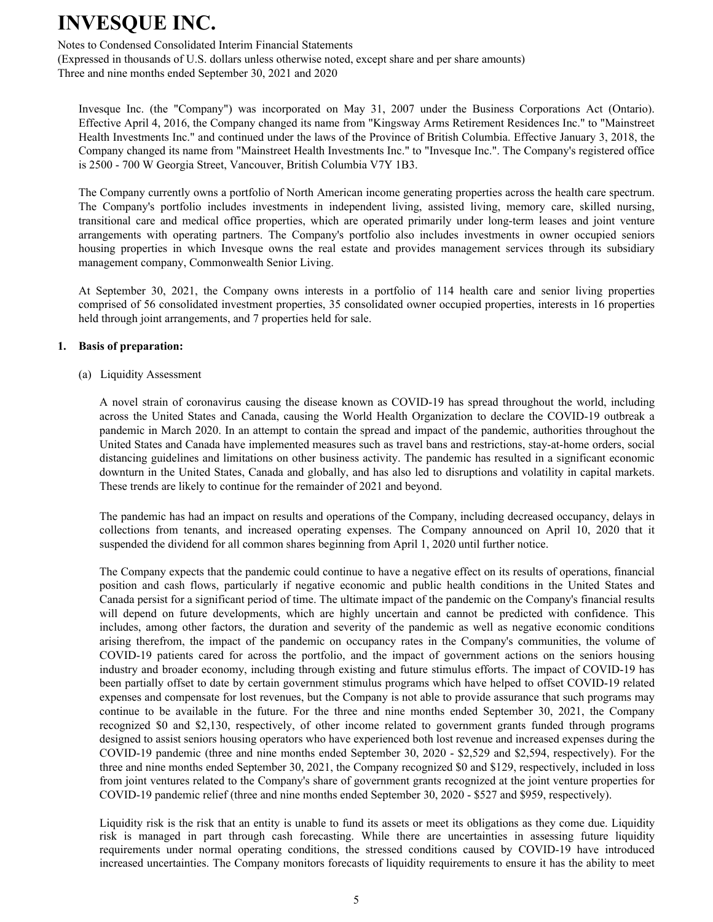Notes to Condensed Consolidated Interim Financial Statements

(Expressed in thousands of U.S. dollars unless otherwise noted, except share and per share amounts) Three and nine months ended September 30, 2021 and 2020

Invesque Inc. (the "Company") was incorporated on May 31, 2007 under the Business Corporations Act (Ontario). Effective April 4, 2016, the Company changed its name from "Kingsway Arms Retirement Residences Inc." to "Mainstreet Health Investments Inc." and continued under the laws of the Province of British Columbia. Effective January 3, 2018, the Company changed its name from "Mainstreet Health Investments Inc." to "Invesque Inc.". The Company's registered office is 2500 - 700 W Georgia Street, Vancouver, British Columbia V7Y 1B3.

The Company currently owns a portfolio of North American income generating properties across the health care spectrum. The Company's portfolio includes investments in independent living, assisted living, memory care, skilled nursing, transitional care and medical office properties, which are operated primarily under long-term leases and joint venture arrangements with operating partners. The Company's portfolio also includes investments in owner occupied seniors housing properties in which Invesque owns the real estate and provides management services through its subsidiary management company, Commonwealth Senior Living.

At September 30, 2021, the Company owns interests in a portfolio of 114 health care and senior living properties comprised of 56 consolidated investment properties, 35 consolidated owner occupied properties, interests in 16 properties held through joint arrangements, and 7 properties held for sale.

#### **1. Basis of preparation:**

(a) Liquidity Assessment

A novel strain of coronavirus causing the disease known as COVID-19 has spread throughout the world, including across the United States and Canada, causing the World Health Organization to declare the COVID-19 outbreak a pandemic in March 2020. In an attempt to contain the spread and impact of the pandemic, authorities throughout the United States and Canada have implemented measures such as travel bans and restrictions, stay-at-home orders, social distancing guidelines and limitations on other business activity. The pandemic has resulted in a significant economic downturn in the United States, Canada and globally, and has also led to disruptions and volatility in capital markets. These trends are likely to continue for the remainder of 2021 and beyond.

The pandemic has had an impact on results and operations of the Company, including decreased occupancy, delays in collections from tenants, and increased operating expenses. The Company announced on April 10, 2020 that it suspended the dividend for all common shares beginning from April 1, 2020 until further notice.

The Company expects that the pandemic could continue to have a negative effect on its results of operations, financial position and cash flows, particularly if negative economic and public health conditions in the United States and Canada persist for a significant period of time. The ultimate impact of the pandemic on the Company's financial results will depend on future developments, which are highly uncertain and cannot be predicted with confidence. This includes, among other factors, the duration and severity of the pandemic as well as negative economic conditions arising therefrom, the impact of the pandemic on occupancy rates in the Company's communities, the volume of COVID-19 patients cared for across the portfolio, and the impact of government actions on the seniors housing industry and broader economy, including through existing and future stimulus efforts. The impact of COVID-19 has been partially offset to date by certain government stimulus programs which have helped to offset COVID-19 related expenses and compensate for lost revenues, but the Company is not able to provide assurance that such programs may continue to be available in the future. For the three and nine months ended September 30, 2021, the Company recognized \$0 and \$2,130, respectively, of other income related to government grants funded through programs designed to assist seniors housing operators who have experienced both lost revenue and increased expenses during the COVID-19 pandemic (three and nine months ended September 30, 2020 - \$2,529 and \$2,594, respectively). For the three and nine months ended September 30, 2021, the Company recognized \$0 and \$129, respectively, included in loss from joint ventures related to the Company's share of government grants recognized at the joint venture properties for COVID-19 pandemic relief (three and nine months ended September 30, 2020 - \$527 and \$959, respectively).

Liquidity risk is the risk that an entity is unable to fund its assets or meet its obligations as they come due. Liquidity risk is managed in part through cash forecasting. While there are uncertainties in assessing future liquidity requirements under normal operating conditions, the stressed conditions caused by COVID-19 have introduced increased uncertainties. The Company monitors forecasts of liquidity requirements to ensure it has the ability to meet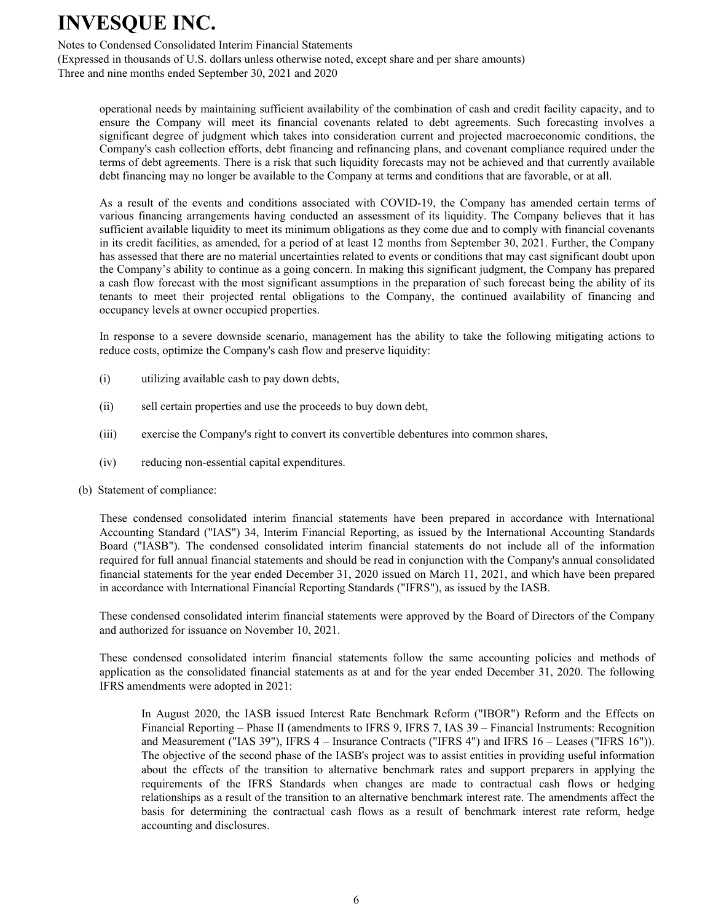Notes to Condensed Consolidated Interim Financial Statements

(Expressed in thousands of U.S. dollars unless otherwise noted, except share and per share amounts) Three and nine months ended September 30, 2021 and 2020

operational needs by maintaining sufficient availability of the combination of cash and credit facility capacity, and to ensure the Company will meet its financial covenants related to debt agreements. Such forecasting involves a significant degree of judgment which takes into consideration current and projected macroeconomic conditions, the Company's cash collection efforts, debt financing and refinancing plans, and covenant compliance required under the terms of debt agreements. There is a risk that such liquidity forecasts may not be achieved and that currently available debt financing may no longer be available to the Company at terms and conditions that are favorable, or at all.

As a result of the events and conditions associated with COVID-19, the Company has amended certain terms of various financing arrangements having conducted an assessment of its liquidity. The Company believes that it has sufficient available liquidity to meet its minimum obligations as they come due and to comply with financial covenants in its credit facilities, as amended, for a period of at least 12 months from September 30, 2021. Further, the Company has assessed that there are no material uncertainties related to events or conditions that may cast significant doubt upon the Company's ability to continue as a going concern. In making this significant judgment, the Company has prepared a cash flow forecast with the most significant assumptions in the preparation of such forecast being the ability of its tenants to meet their projected rental obligations to the Company, the continued availability of financing and occupancy levels at owner occupied properties.

In response to a severe downside scenario, management has the ability to take the following mitigating actions to reduce costs, optimize the Company's cash flow and preserve liquidity:

- (i) utilizing available cash to pay down debts,
- (ii) sell certain properties and use the proceeds to buy down debt,
- (iii) exercise the Company's right to convert its convertible debentures into common shares,
- (iv) reducing non-essential capital expenditures.
- (b) Statement of compliance:

These condensed consolidated interim financial statements have been prepared in accordance with International Accounting Standard ("IAS") 34, Interim Financial Reporting, as issued by the International Accounting Standards Board ("IASB"). The condensed consolidated interim financial statements do not include all of the information required for full annual financial statements and should be read in conjunction with the Company's annual consolidated financial statements for the year ended December 31, 2020 issued on March 11, 2021, and which have been prepared in accordance with International Financial Reporting Standards ("IFRS"), as issued by the IASB.

These condensed consolidated interim financial statements were approved by the Board of Directors of the Company and authorized for issuance on November 10, 2021.

These condensed consolidated interim financial statements follow the same accounting policies and methods of application as the consolidated financial statements as at and for the year ended December 31, 2020. The following IFRS amendments were adopted in 2021:

In August 2020, the IASB issued Interest Rate Benchmark Reform ("IBOR") Reform and the Effects on Financial Reporting – Phase II (amendments to IFRS 9, IFRS 7, IAS 39 – Financial Instruments: Recognition and Measurement ("IAS 39"), IFRS 4 – Insurance Contracts ("IFRS 4") and IFRS 16 – Leases ("IFRS 16")). The objective of the second phase of the IASB's project was to assist entities in providing useful information about the effects of the transition to alternative benchmark rates and support preparers in applying the requirements of the IFRS Standards when changes are made to contractual cash flows or hedging relationships as a result of the transition to an alternative benchmark interest rate. The amendments affect the basis for determining the contractual cash flows as a result of benchmark interest rate reform, hedge accounting and disclosures.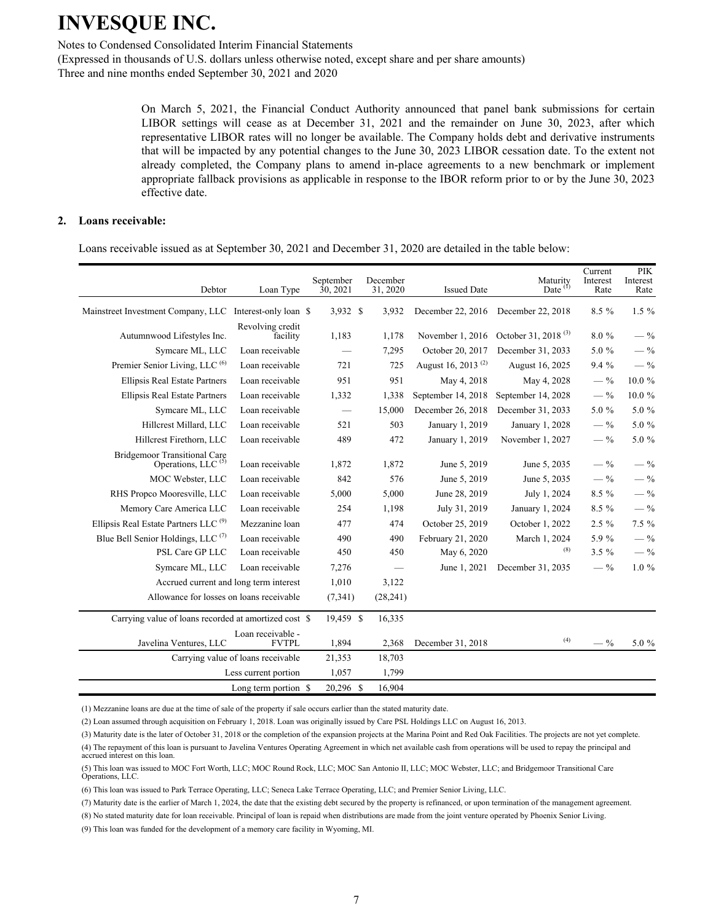Notes to Condensed Consolidated Interim Financial Statements

(Expressed in thousands of U.S. dollars unless otherwise noted, except share and per share amounts) Three and nine months ended September 30, 2021 and 2020

> On March 5, 2021, the Financial Conduct Authority announced that panel bank submissions for certain LIBOR settings will cease as at December 31, 2021 and the remainder on June 30, 2023, after which representative LIBOR rates will no longer be available. The Company holds debt and derivative instruments that will be impacted by any potential changes to the June 30, 2023 LIBOR cessation date. To the extent not already completed, the Company plans to amend in-place agreements to a new benchmark or implement appropriate fallback provisions as applicable in response to the IBOR reform prior to or by the June 30, 2023 effective date.

#### **2. Loans receivable:**

Loans receivable issued as at September 30, 2021 and December 31, 2020 are detailed in the table below:

| Debtor                                                                | Loan Type                          | September<br>30, 2021 | December<br>31, 2020 | <b>Issued Date</b>             | Maturity<br>Date $(1)$          | Current<br>Interest<br>Rate | <b>PIK</b><br>Interest<br>Rate |
|-----------------------------------------------------------------------|------------------------------------|-----------------------|----------------------|--------------------------------|---------------------------------|-----------------------------|--------------------------------|
| Mainstreet Investment Company, LLC                                    | Interest-only loan \$              | 3,932 \$              | 3,932                | December 22, 2016              | December 22, 2018               | $8.5\%$                     | $1.5\%$                        |
| Autumnwood Lifestyles Inc.                                            | Revolving credit<br>facility       | 1,183                 | 1,178                | November 1, 2016               | October 31, 2018 <sup>(3)</sup> | 8.0%                        | $-$ %                          |
| Symcare ML, LLC                                                       | Loan receivable                    |                       | 7,295                | October 20, 2017               | December 31, 2033               | 5.0 %                       | $-$ %                          |
| Premier Senior Living, LLC <sup>(6)</sup>                             | Loan receivable                    | 721                   | 725                  | August 16, 2013 <sup>(2)</sup> | August 16, 2025                 | 9.4%                        | $-$ %                          |
| <b>Ellipsis Real Estate Partners</b>                                  | Loan receivable                    | 951                   | 951                  | May 4, 2018                    | May 4, 2028                     | $-$ %                       | 10.0%                          |
| Ellipsis Real Estate Partners                                         | Loan receivable                    | 1,332                 | 1,338                | September 14, 2018             | September 14, 2028              | $-$ %                       | $10.0\ \%$                     |
| Symcare ML, LLC                                                       | Loan receivable                    |                       | 15,000               | December 26, 2018              | December 31, 2033               | $5.0 \%$                    | 5.0 %                          |
| Hillcrest Millard, LLC                                                | Loan receivable                    | 521                   | 503                  | January 1, 2019                | January 1, 2028                 | $-$ %                       | 5.0 %                          |
| Hillcrest Firethorn, LLC                                              | Loan receivable                    | 489                   | 472                  | January 1, 2019                | November 1, 2027                | $-$ %                       | 5.0 %                          |
| <b>Bridgemoor Transitional Care</b><br>Operations, LLC <sup>(5)</sup> | Loan receivable                    | 1,872                 | 1,872                | June 5, 2019                   | June 5, 2035                    | $-$ %                       | $-$ %                          |
| MOC Webster, LLC                                                      | Loan receivable                    | 842                   | 576                  | June 5, 2019                   | June 5, 2035                    | $-$ %                       | $-$ %                          |
| RHS Propco Mooresville, LLC                                           | Loan receivable                    | 5,000                 | 5,000                | June 28, 2019                  | July 1, 2024                    | 8.5 %                       | $-$ %                          |
| Memory Care America LLC                                               | Loan receivable                    | 254                   | 1,198                | July 31, 2019                  | January 1, 2024                 | $8.5\%$                     | $-$ %                          |
| Ellipsis Real Estate Partners LLC <sup>(9)</sup>                      | Mezzanine loan                     | 477                   | 474                  | October 25, 2019               | October 1, 2022                 | $2.5 \%$                    | 7.5 %                          |
| Blue Bell Senior Holdings, LLC <sup>(7)</sup>                         | Loan receivable                    | 490                   | 490                  | February 21, 2020              | March 1, 2024                   | 5.9 %                       | $-$ %                          |
| PSL Care GP LLC                                                       | Loan receivable                    | 450                   | 450                  | May 6, 2020                    | (8)                             | $3.5 \%$                    | $-$ %                          |
| Symcare ML, LLC                                                       | Loan receivable                    | 7,276                 |                      | June 1, 2021                   | December 31, 2035               | $-$ %                       | $1.0 \%$                       |
| Accrued current and long term interest                                |                                    | 1,010                 | 3,122                |                                |                                 |                             |                                |
| Allowance for losses on loans receivable                              |                                    | (7,341)               | (28, 241)            |                                |                                 |                             |                                |
| Carrying value of loans recorded at amortized cost \$                 |                                    | 19,459 \$             | 16,335               |                                |                                 |                             |                                |
| Javelina Ventures, LLC                                                | Loan receivable -<br><b>FVTPL</b>  | 1,894                 | 2,368                | December 31, 2018              | (4)                             | $-$ %                       | 5.0 %                          |
|                                                                       | Carrying value of loans receivable | 21,353                | 18,703               |                                |                                 |                             |                                |
|                                                                       | Less current portion               | 1,057                 | 1,799                |                                |                                 |                             |                                |
|                                                                       | Long term portion \$               | 20,296 \$             | 16.904               |                                |                                 |                             |                                |

(1) Mezzanine loans are due at the time of sale of the property if sale occurs earlier than the stated maturity date.

(2) Loan assumed through acquisition on February 1, 2018. Loan was originally issued by Care PSL Holdings LLC on August 16, 2013.

(3) Maturity date is the later of October 31, 2018 or the completion of the expansion projects at the Marina Point and Red Oak Facilities. The projects are not yet complete.

(4) The repayment of this loan is pursuant to Javelina Ventures Operating Agreement in which net available cash from operations will be used to repay the principal and accrued interest on this loan.

(5) This loan was issued to MOC Fort Worth, LLC; MOC Round Rock, LLC; MOC San Antonio II, LLC; MOC Webster, LLC; and Bridgemoor Transitional Care Operations, LLC.

(6) This loan was issued to Park Terrace Operating, LLC; Seneca Lake Terrace Operating, LLC; and Premier Senior Living, LLC.

(7) Maturity date is the earlier of March 1, 2024, the date that the existing debt secured by the property is refinanced, or upon termination of the management agreement.

(8) No stated maturity date for loan receivable. Principal of loan is repaid when distributions are made from the joint venture operated by Phoenix Senior Living.

(9) This loan was funded for the development of a memory care facility in Wyoming, MI.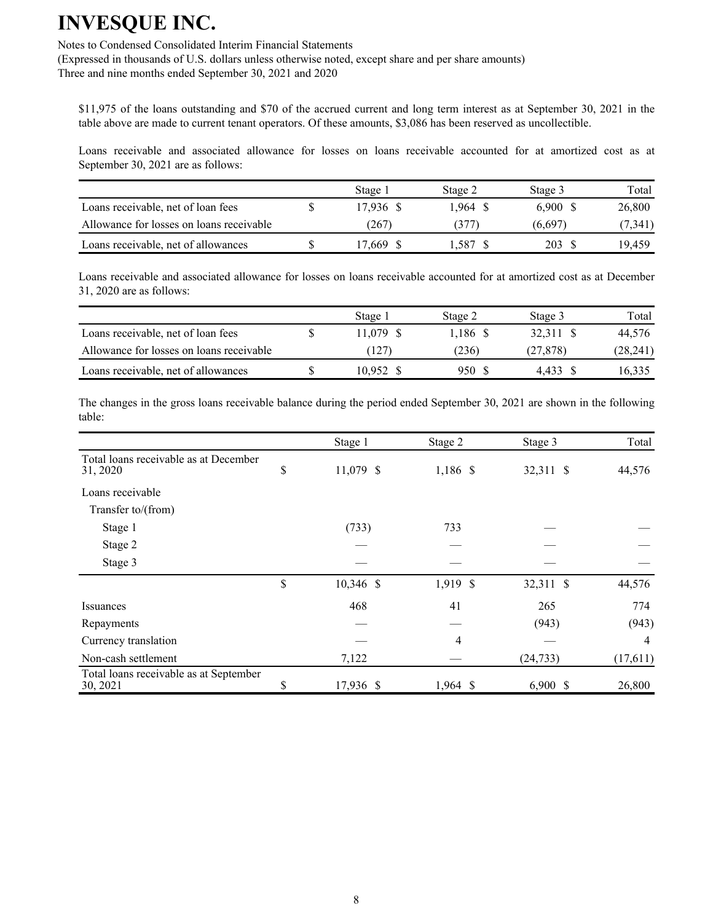Notes to Condensed Consolidated Interim Financial Statements

(Expressed in thousands of U.S. dollars unless otherwise noted, except share and per share amounts) Three and nine months ended September 30, 2021 and 2020

\$11,975 of the loans outstanding and \$70 of the accrued current and long term interest as at September 30, 2021 in the table above are made to current tenant operators. Of these amounts, \$3,086 has been reserved as uncollectible.

Loans receivable and associated allowance for losses on loans receivable accounted for at amortized cost as at September 30, 2021 are as follows:

|                                          | Stage 1   | Stage 2 | Stage 3 | Total   |
|------------------------------------------|-----------|---------|---------|---------|
| Loans receivable, net of loan fees       | 17.936 \$ | 1.964 S | 6.900 S | 26,800  |
| Allowance for losses on loans receivable | (267      | 377     | (6,697  | (7,341) |
| Loans receivable, net of allowances      | 7.669     | .587    | 203     | 19.459  |

Loans receivable and associated allowance for losses on loans receivable accounted for at amortized cost as at December 31, 2020 are as follows:

|                                          | Stage 1   | Stage 2  | Stage 3   | Total    |
|------------------------------------------|-----------|----------|-----------|----------|
| Loans receivable, net of loan fees       | 11.079 \$ | 1.186 \$ | 32.311 \$ | 44.576   |
| Allowance for losses on loans receivable | (127)     | (236)    | (27, 878) | (28,241) |
| Loans receivable, net of allowances      | 10.952 \$ | 950 S    | 4.433     | 16.335   |

The changes in the gross loans receivable balance during the period ended September 30, 2021 are shown in the following table:

|                                                    | Stage 1           | Stage 2    | Stage 3    | Total    |
|----------------------------------------------------|-------------------|------------|------------|----------|
| Total loans receivable as at December<br>31, 2020  | \$<br>11,079 \$   | 1,186 \$   | 32,311 \$  | 44,576   |
| Loans receivable                                   |                   |            |            |          |
| Transfer to/(from)                                 |                   |            |            |          |
| Stage 1                                            | (733)             | 733        |            |          |
| Stage 2                                            |                   |            |            |          |
| Stage 3                                            |                   |            |            |          |
|                                                    | \$<br>$10,346$ \$ | 1,919 \$   | 32,311 \$  | 44,576   |
| Issuances                                          | 468               | 41         | 265        | 774      |
| Repayments                                         |                   |            | (943)      | (943)    |
| Currency translation                               |                   | 4          |            | 4        |
| Non-cash settlement                                | 7,122             |            | (24, 733)  | (17,611) |
| Total loans receivable as at September<br>30, 2021 | \$<br>17,936 \$   | $1,964$ \$ | $6,900$ \$ | 26,800   |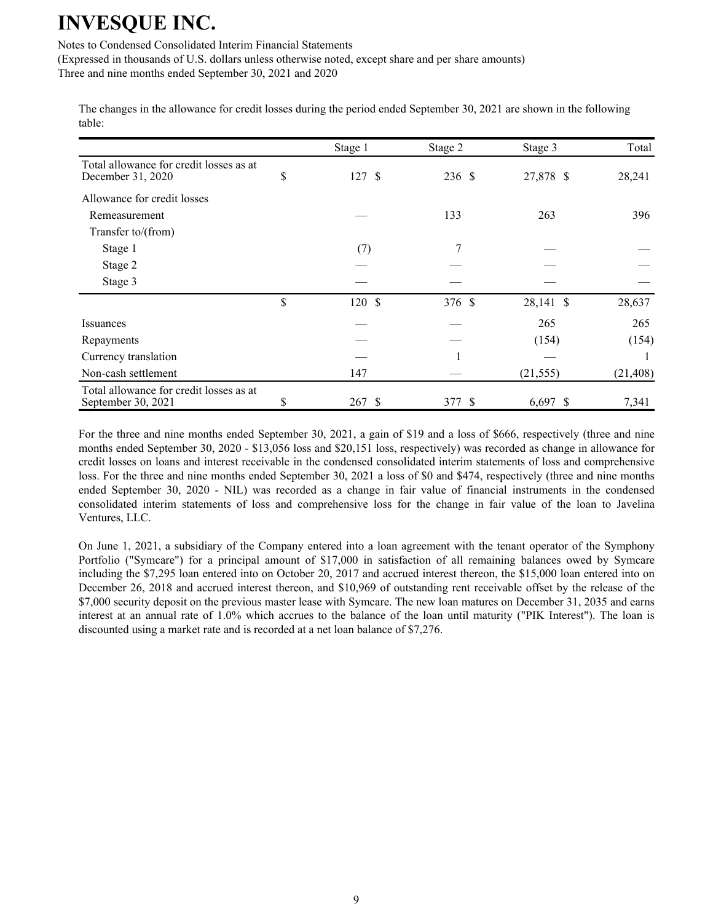Notes to Condensed Consolidated Interim Financial Statements

(Expressed in thousands of U.S. dollars unless otherwise noted, except share and per share amounts)

Three and nine months ended September 30, 2021 and 2020

The changes in the allowance for credit losses during the period ended September 30, 2021 are shown in the following table:

|                                                               |    | Stage 1 | Stage 2 | Stage 3    | Total     |
|---------------------------------------------------------------|----|---------|---------|------------|-----------|
| Total allowance for credit losses as at<br>December 31, 2020  | \$ | 127S    | 236 \$  | 27,878 \$  | 28,241    |
| Allowance for credit losses                                   |    |         |         |            |           |
| Remeasurement                                                 |    |         | 133     | 263        | 396       |
| Transfer to/(from)                                            |    |         |         |            |           |
| Stage 1                                                       |    | (7)     | 7       |            |           |
| Stage 2                                                       |    |         |         |            |           |
| Stage 3                                                       |    |         |         |            |           |
|                                                               | \$ | 120S    | 376 \$  | 28,141 \$  | 28,637    |
| Issuances                                                     |    |         |         | 265        | 265       |
| Repayments                                                    |    |         |         | (154)      | (154)     |
| Currency translation                                          |    |         |         |            |           |
| Non-cash settlement                                           |    | 147     |         | (21, 555)  | (21, 408) |
| Total allowance for credit losses as at<br>September 30, 2021 | S  | 267S    | 377 \$  | $6,697$ \$ | 7,341     |

For the three and nine months ended September 30, 2021, a gain of \$19 and a loss of \$666, respectively (three and nine months ended September 30, 2020 - \$13,056 loss and \$20,151 loss, respectively) was recorded as change in allowance for credit losses on loans and interest receivable in the condensed consolidated interim statements of loss and comprehensive loss. For the three and nine months ended September 30, 2021 a loss of \$0 and \$474, respectively (three and nine months ended September 30, 2020 - NIL) was recorded as a change in fair value of financial instruments in the condensed consolidated interim statements of loss and comprehensive loss for the change in fair value of the loan to Javelina Ventures, LLC.

On June 1, 2021, a subsidiary of the Company entered into a loan agreement with the tenant operator of the Symphony Portfolio ("Symcare") for a principal amount of \$17,000 in satisfaction of all remaining balances owed by Symcare including the \$7,295 loan entered into on October 20, 2017 and accrued interest thereon, the \$15,000 loan entered into on December 26, 2018 and accrued interest thereon, and \$10,969 of outstanding rent receivable offset by the release of the \$7,000 security deposit on the previous master lease with Symcare. The new loan matures on December 31, 2035 and earns interest at an annual rate of 1.0% which accrues to the balance of the loan until maturity ("PIK Interest"). The loan is discounted using a market rate and is recorded at a net loan balance of \$7,276.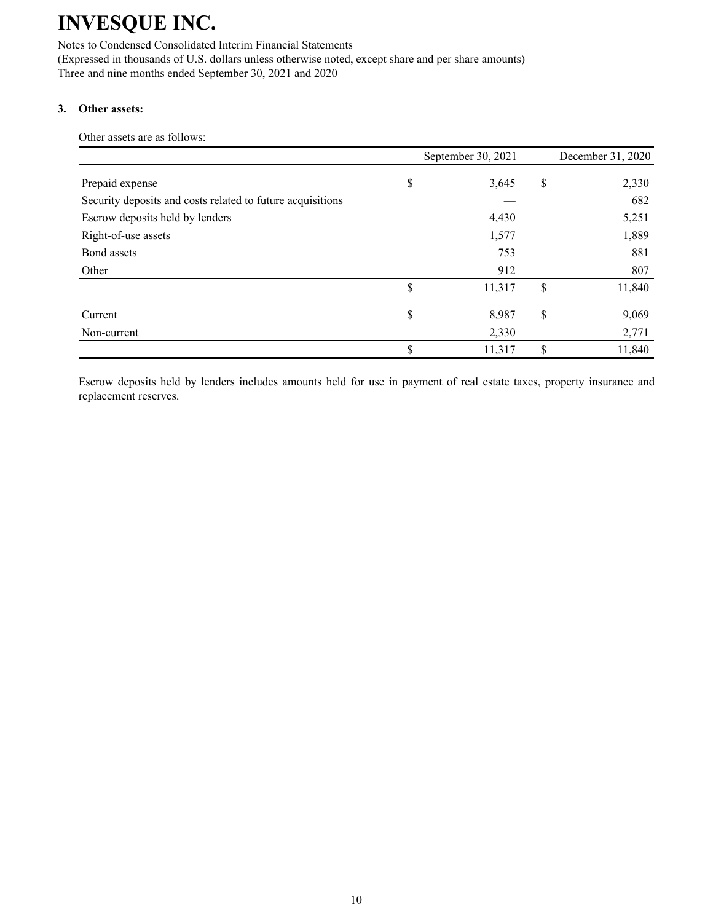Notes to Condensed Consolidated Interim Financial Statements (Expressed in thousands of U.S. dollars unless otherwise noted, except share and per share amounts) Three and nine months ended September 30, 2021 and 2020

### **3. Other assets:**

Other assets are as follows:

|                                                            | September 30, 2021 | December 31, 2020 |
|------------------------------------------------------------|--------------------|-------------------|
| Prepaid expense                                            | \$<br>3,645        | \$<br>2,330       |
| Security deposits and costs related to future acquisitions |                    | 682               |
| Escrow deposits held by lenders                            | 4,430              | 5,251             |
| Right-of-use assets                                        | 1,577              | 1,889             |
| Bond assets                                                | 753                | 881               |
| Other                                                      | 912                | 807               |
|                                                            | \$<br>11,317       | \$<br>11,840      |
| Current                                                    | \$<br>8,987        | \$<br>9,069       |
| Non-current                                                | 2,330              | 2,771             |
|                                                            | \$<br>11,317       | \$<br>11,840      |

Escrow deposits held by lenders includes amounts held for use in payment of real estate taxes, property insurance and replacement reserves.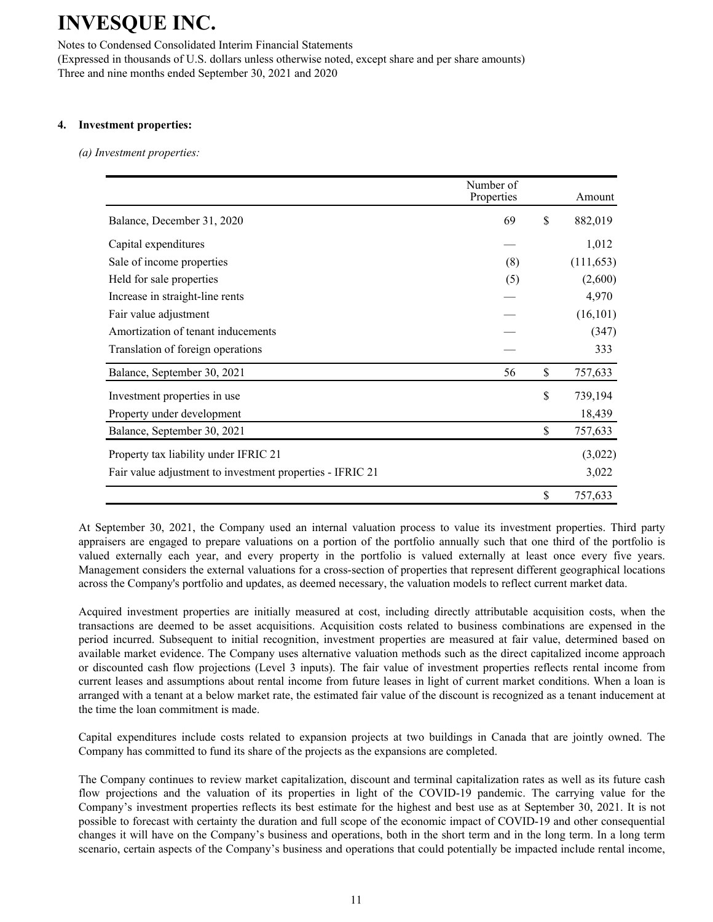Notes to Condensed Consolidated Interim Financial Statements (Expressed in thousands of U.S. dollars unless otherwise noted, except share and per share amounts) Three and nine months ended September 30, 2021 and 2020

#### **4. Investment properties:**

*(a) Investment properties:*

|                                                           | Number of<br>Properties | Amount        |
|-----------------------------------------------------------|-------------------------|---------------|
| Balance, December 31, 2020                                | 69                      | \$<br>882,019 |
| Capital expenditures                                      |                         | 1,012         |
| Sale of income properties                                 | (8)                     | (111, 653)    |
| Held for sale properties                                  | (5)                     | (2,600)       |
| Increase in straight-line rents                           |                         | 4,970         |
| Fair value adjustment                                     |                         | (16, 101)     |
| Amortization of tenant inducements                        |                         | (347)         |
| Translation of foreign operations                         |                         | 333           |
| Balance, September 30, 2021                               | 56                      | \$<br>757,633 |
| Investment properties in use.                             |                         | \$<br>739,194 |
| Property under development                                |                         | 18,439        |
| Balance, September 30, 2021                               |                         | \$<br>757,633 |
| Property tax liability under IFRIC 21                     |                         | (3,022)       |
| Fair value adjustment to investment properties - IFRIC 21 |                         | 3,022         |
|                                                           |                         | \$<br>757,633 |

At September 30, 2021, the Company used an internal valuation process to value its investment properties. Third party appraisers are engaged to prepare valuations on a portion of the portfolio annually such that one third of the portfolio is valued externally each year, and every property in the portfolio is valued externally at least once every five years. Management considers the external valuations for a cross-section of properties that represent different geographical locations across the Company's portfolio and updates, as deemed necessary, the valuation models to reflect current market data.

Acquired investment properties are initially measured at cost, including directly attributable acquisition costs, when the transactions are deemed to be asset acquisitions. Acquisition costs related to business combinations are expensed in the period incurred. Subsequent to initial recognition, investment properties are measured at fair value, determined based on available market evidence. The Company uses alternative valuation methods such as the direct capitalized income approach or discounted cash flow projections (Level 3 inputs). The fair value of investment properties reflects rental income from current leases and assumptions about rental income from future leases in light of current market conditions. When a loan is arranged with a tenant at a below market rate, the estimated fair value of the discount is recognized as a tenant inducement at the time the loan commitment is made.

Capital expenditures include costs related to expansion projects at two buildings in Canada that are jointly owned. The Company has committed to fund its share of the projects as the expansions are completed.

The Company continues to review market capitalization, discount and terminal capitalization rates as well as its future cash flow projections and the valuation of its properties in light of the COVID-19 pandemic. The carrying value for the Company's investment properties reflects its best estimate for the highest and best use as at September 30, 2021. It is not possible to forecast with certainty the duration and full scope of the economic impact of COVID-19 and other consequential changes it will have on the Company's business and operations, both in the short term and in the long term. In a long term scenario, certain aspects of the Company's business and operations that could potentially be impacted include rental income,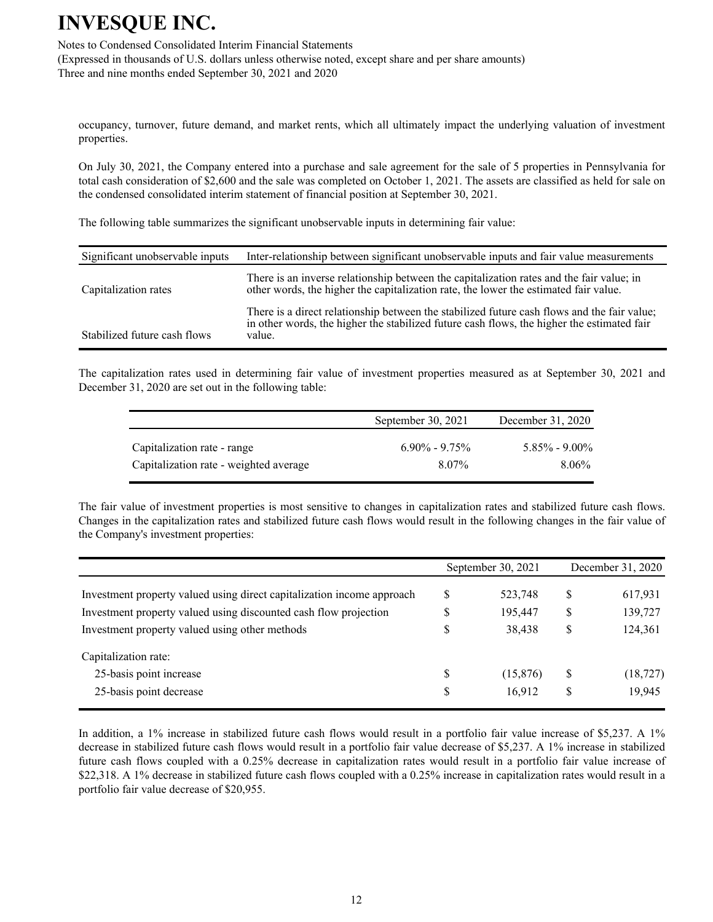Notes to Condensed Consolidated Interim Financial Statements (Expressed in thousands of U.S. dollars unless otherwise noted, except share and per share amounts) Three and nine months ended September 30, 2021 and 2020

occupancy, turnover, future demand, and market rents, which all ultimately impact the underlying valuation of investment properties.

On July 30, 2021, the Company entered into a purchase and sale agreement for the sale of 5 properties in Pennsylvania for total cash consideration of \$2,600 and the sale was completed on October 1, 2021. The assets are classified as held for sale on the condensed consolidated interim statement of financial position at September 30, 2021.

The following table summarizes the significant unobservable inputs in determining fair value:

| Significant unobservable inputs | Inter-relationship between significant unobservable inputs and fair value measurements                                                                                                              |
|---------------------------------|-----------------------------------------------------------------------------------------------------------------------------------------------------------------------------------------------------|
| Capitalization rates            | There is an inverse relationship between the capitalization rates and the fair value; in<br>other words, the higher the capitalization rate, the lower the estimated fair value.                    |
| Stabilized future cash flows    | There is a direct relationship between the stabilized future cash flows and the fair value;<br>in other words, the higher the stabilized future cash flows, the higher the estimated fair<br>value. |

The capitalization rates used in determining fair value of investment properties measured as at September 30, 2021 and December 31, 2020 are set out in the following table:

|                                        | September 30, $2021$ | December 31, 2020 |
|----------------------------------------|----------------------|-------------------|
| Capitalization rate - range            | $6.90\% - 9.75\%$    | $5.85\% - 9.00\%$ |
| Capitalization rate - weighted average | 8.07%                | $8.06\%$          |

The fair value of investment properties is most sensitive to changes in capitalization rates and stabilized future cash flows. Changes in the capitalization rates and stabilized future cash flows would result in the following changes in the fair value of the Company's investment properties:

|   |          |                    | December 31, 2020 |
|---|----------|--------------------|-------------------|
| S | 523,748  | S                  | 617,931           |
| S | 195,447  | \$                 | 139,727           |
| S | 38,438   | \$                 | 124,361           |
|   |          |                    |                   |
| S | (15,876) | \$                 | (18, 727)         |
| S | 16,912   | \$                 | 19,945            |
|   |          | September 30, 2021 |                   |

In addition, a 1% increase in stabilized future cash flows would result in a portfolio fair value increase of \$5,237. A 1% decrease in stabilized future cash flows would result in a portfolio fair value decrease of \$5,237. A 1% increase in stabilized future cash flows coupled with a 0.25% decrease in capitalization rates would result in a portfolio fair value increase of \$22,318. A 1% decrease in stabilized future cash flows coupled with a 0.25% increase in capitalization rates would result in a portfolio fair value decrease of \$20,955.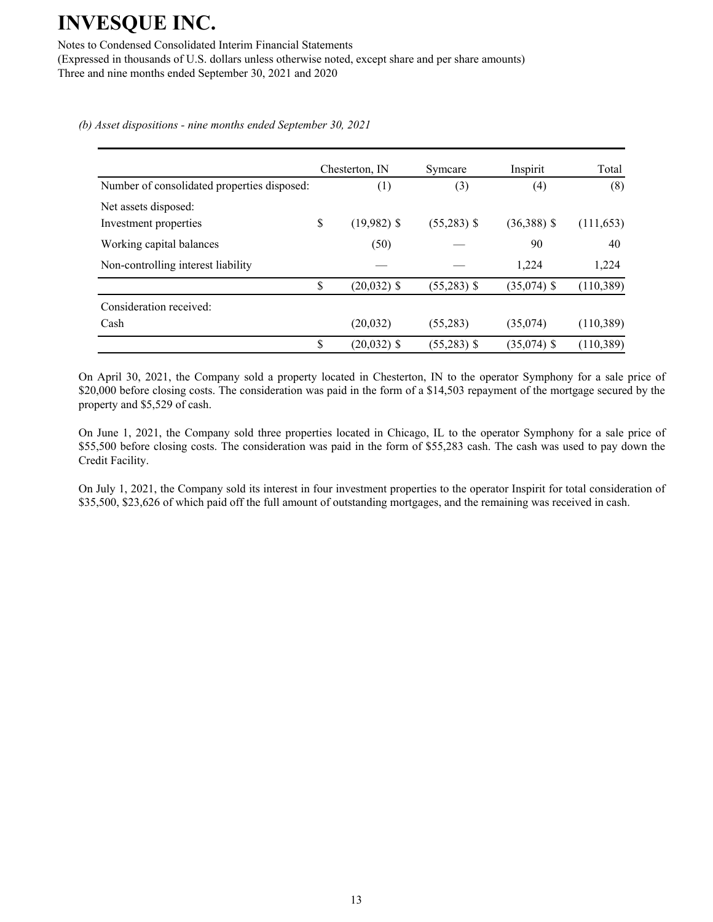Notes to Condensed Consolidated Interim Financial Statements (Expressed in thousands of U.S. dollars unless otherwise noted, except share and per share amounts) Three and nine months ended September 30, 2021 and 2020

*(b) Asset dispositions - nine months ended September 30, 2021*

|                                             |    | Chesterton, IN | Symcare       | Inspirit      | Total      |
|---------------------------------------------|----|----------------|---------------|---------------|------------|
| Number of consolidated properties disposed: |    | (1)            | (3)           | (4)           | (8)        |
| Net assets disposed:                        |    |                |               |               |            |
| Investment properties                       | \$ | $(19,982)$ \$  | $(55,283)$ \$ | $(36,388)$ \$ | (111, 653) |
| Working capital balances                    |    | (50)           |               | 90            | 40         |
| Non-controlling interest liability          |    |                |               | 1,224         | 1,224      |
|                                             | \$ | $(20,032)$ \$  | $(55,283)$ \$ | $(35,074)$ \$ | (110, 389) |
| Consideration received:                     |    |                |               |               |            |
| Cash                                        |    | (20, 032)      | (55, 283)     | (35,074)      | (110,389)  |
|                                             | \$ | $(20,032)$ \$  | $(55,283)$ \$ | $(35,074)$ \$ | (110, 389) |

On April 30, 2021, the Company sold a property located in Chesterton, IN to the operator Symphony for a sale price of \$20,000 before closing costs. The consideration was paid in the form of a \$14,503 repayment of the mortgage secured by the property and \$5,529 of cash.

On June 1, 2021, the Company sold three properties located in Chicago, IL to the operator Symphony for a sale price of \$55,500 before closing costs. The consideration was paid in the form of \$55,283 cash. The cash was used to pay down the Credit Facility.

On July 1, 2021, the Company sold its interest in four investment properties to the operator Inspirit for total consideration of \$35,500, \$23,626 of which paid off the full amount of outstanding mortgages, and the remaining was received in cash.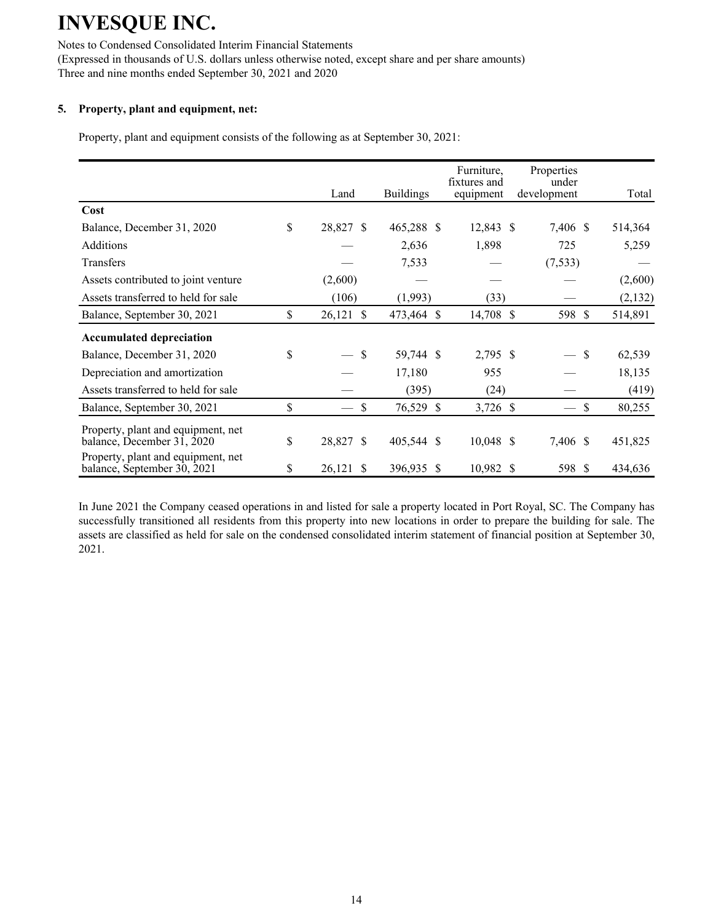Notes to Condensed Consolidated Interim Financial Statements (Expressed in thousands of U.S. dollars unless otherwise noted, except share and per share amounts) Three and nine months ended September 30, 2021 and 2020

### **5. Property, plant and equipment, net:**

Property, plant and equipment consists of the following as at September 30, 2021:

|                                                                   | Land                         | <b>Buildings</b> | Furniture.<br>fixtures and<br>equipment | Properties<br>under<br>development | Total         |
|-------------------------------------------------------------------|------------------------------|------------------|-----------------------------------------|------------------------------------|---------------|
| Cost                                                              |                              |                  |                                         |                                    |               |
| Balance, December 31, 2020                                        | \$<br>28,827 \$              | 465,288 \$       | 12,843 \$                               | 7,406 \$                           | 514,364       |
| <b>Additions</b>                                                  |                              | 2,636            | 1,898                                   | 725                                | 5,259         |
| Transfers                                                         |                              | 7,533            |                                         | (7, 533)                           |               |
| Assets contributed to joint venture                               | (2,600)                      |                  |                                         |                                    | (2,600)       |
| Assets transferred to held for sale                               | (106)                        | (1,993)          | (33)                                    |                                    | (2,132)       |
| Balance, September 30, 2021                                       | \$<br>26,121<br>$\mathbb{S}$ | 473,464 \$       | 14,708 \$                               | 598 \$                             | 514,891       |
| <b>Accumulated depreciation</b>                                   |                              |                  |                                         |                                    |               |
| Balance, December 31, 2020                                        | \$<br>$-$ \$                 | 59,744 \$        | 2,795 \$                                |                                    | -\$<br>62,539 |
| Depreciation and amortization                                     |                              | 17,180           | 955                                     |                                    | 18,135        |
| Assets transferred to held for sale                               |                              | (395)            | (24)                                    |                                    | (419)         |
| Balance, September 30, 2021                                       | \$<br>\$                     | 76,529 \$        | 3,726 \$                                |                                    | \$<br>80,255  |
| Property, plant and equipment, net<br>balance, December 31, 2020  | \$<br>28,827 \$              | 405,544 \$       | $10,048$ \$                             | 7,406 \$                           | 451,825       |
| Property, plant and equipment, net<br>balance, September 30, 2021 | \$<br>26,121<br>S            | 396,935 \$       | 10,982 \$                               | 598 \$                             | 434,636       |

In June 2021 the Company ceased operations in and listed for sale a property located in Port Royal, SC. The Company has successfully transitioned all residents from this property into new locations in order to prepare the building for sale. The assets are classified as held for sale on the condensed consolidated interim statement of financial position at September 30, 2021.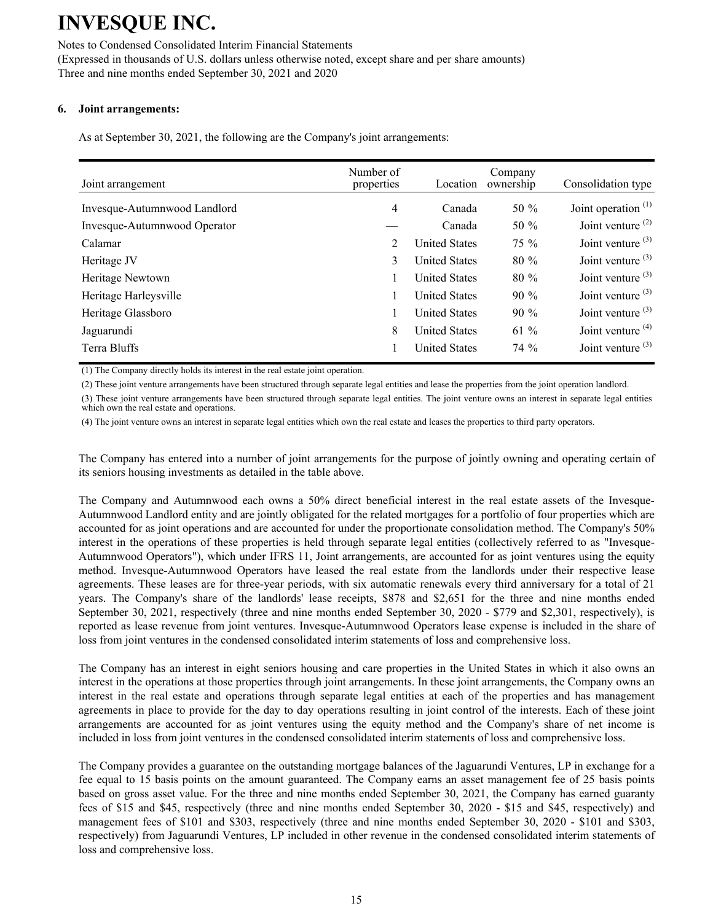Notes to Condensed Consolidated Interim Financial Statements (Expressed in thousands of U.S. dollars unless otherwise noted, except share and per share amounts) Three and nine months ended September 30, 2021 and 2020

### **6. Joint arrangements:**

As at September 30, 2021, the following are the Company's joint arrangements:

| Joint arrangement            | Number of<br>properties | Location             | Company<br>ownership | Consolidation type    |
|------------------------------|-------------------------|----------------------|----------------------|-----------------------|
| Invesque-Autumnwood Landlord | 4                       | Canada               | 50 $\%$              | Joint operation $(1)$ |
| Invesque-Autumnwood Operator |                         | Canada               | 50 $\%$              | Joint venture $(2)$   |
| Calamar                      | 2                       | <b>United States</b> | $75\%$               | Joint venture $(3)$   |
| Heritage JV                  | 3                       | <b>United States</b> | 80 %                 | Joint venture $(3)$   |
| Heritage Newtown             |                         | <b>United States</b> | $80\%$               | Joint venture $(3)$   |
| Heritage Harleysville        |                         | <b>United States</b> | $90\%$               | Joint venture $(3)$   |
| Heritage Glassboro           |                         | <b>United States</b> | $90\%$               | Joint venture $(3)$   |
| Jaguarundi                   | 8                       | <b>United States</b> | 61 $%$               | Joint venture $(4)$   |
| Terra Bluffs                 |                         | <b>United States</b> | $74\%$               | Joint venture $(3)$   |

(1) The Company directly holds its interest in the real estate joint operation.

(2) These joint venture arrangements have been structured through separate legal entities and lease the properties from the joint operation landlord.

(3) These joint venture arrangements have been structured through separate legal entities. The joint venture owns an interest in separate legal entities which own the real estate and operations.

(4) The joint venture owns an interest in separate legal entities which own the real estate and leases the properties to third party operators.

The Company has entered into a number of joint arrangements for the purpose of jointly owning and operating certain of its seniors housing investments as detailed in the table above.

The Company and Autumnwood each owns a 50% direct beneficial interest in the real estate assets of the Invesque-Autumnwood Landlord entity and are jointly obligated for the related mortgages for a portfolio of four properties which are accounted for as joint operations and are accounted for under the proportionate consolidation method. The Company's 50% interest in the operations of these properties is held through separate legal entities (collectively referred to as "Invesque-Autumnwood Operators"), which under IFRS 11, Joint arrangements, are accounted for as joint ventures using the equity method. Invesque-Autumnwood Operators have leased the real estate from the landlords under their respective lease agreements. These leases are for three-year periods, with six automatic renewals every third anniversary for a total of 21 years. The Company's share of the landlords' lease receipts, \$878 and \$2,651 for the three and nine months ended September 30, 2021, respectively (three and nine months ended September 30, 2020 - \$779 and \$2,301, respectively), is reported as lease revenue from joint ventures. Invesque-Autumnwood Operators lease expense is included in the share of loss from joint ventures in the condensed consolidated interim statements of loss and comprehensive loss.

The Company has an interest in eight seniors housing and care properties in the United States in which it also owns an interest in the operations at those properties through joint arrangements. In these joint arrangements, the Company owns an interest in the real estate and operations through separate legal entities at each of the properties and has management agreements in place to provide for the day to day operations resulting in joint control of the interests. Each of these joint arrangements are accounted for as joint ventures using the equity method and the Company's share of net income is included in loss from joint ventures in the condensed consolidated interim statements of loss and comprehensive loss.

The Company provides a guarantee on the outstanding mortgage balances of the Jaguarundi Ventures, LP in exchange for a fee equal to 15 basis points on the amount guaranteed. The Company earns an asset management fee of 25 basis points based on gross asset value. For the three and nine months ended September 30, 2021, the Company has earned guaranty fees of \$15 and \$45, respectively (three and nine months ended September 30, 2020 - \$15 and \$45, respectively) and management fees of \$101 and \$303, respectively (three and nine months ended September 30, 2020 - \$101 and \$303, respectively) from Jaguarundi Ventures, LP included in other revenue in the condensed consolidated interim statements of loss and comprehensive loss.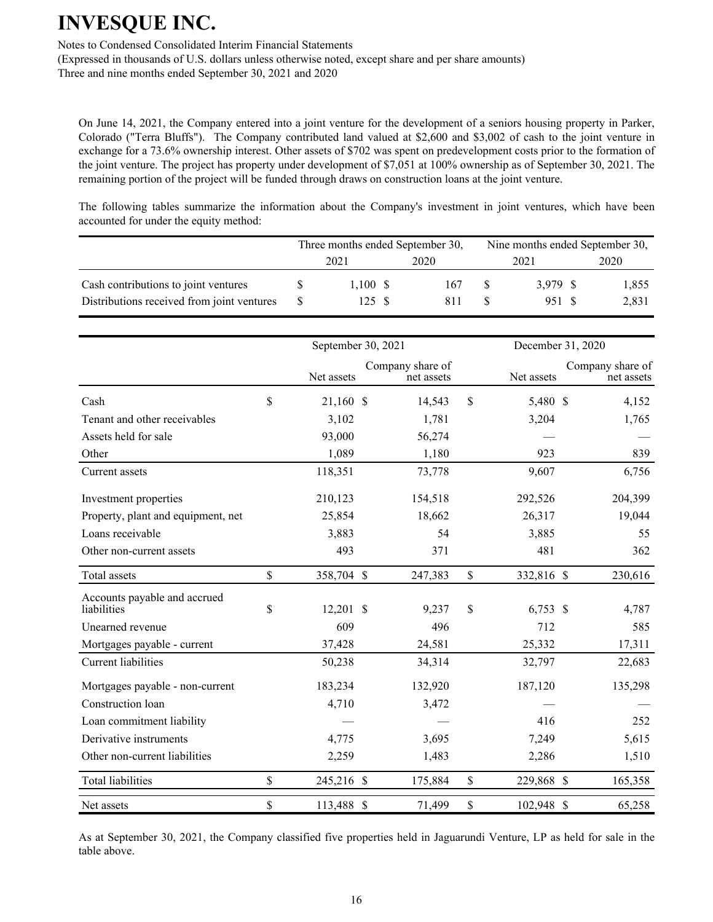Notes to Condensed Consolidated Interim Financial Statements

(Expressed in thousands of U.S. dollars unless otherwise noted, except share and per share amounts) Three and nine months ended September 30, 2021 and 2020

On June 14, 2021, the Company entered into a joint venture for the development of a seniors housing property in Parker, Colorado ("Terra Bluffs"). The Company contributed land valued at \$2,600 and \$3,002 of cash to the joint venture in exchange for a 73.6% ownership interest. Other assets of \$702 was spent on predevelopment costs prior to the formation of the joint venture. The project has property under development of \$7,051 at 100% ownership as of September 30, 2021. The remaining portion of the project will be funded through draws on construction loans at the joint venture.

The following tables summarize the information about the Company's investment in joint ventures, which have been accounted for under the equity method:

|                                            |      |            |      | Three months ended September 30, |      | Nine months ended September 30, |      |       |
|--------------------------------------------|------|------------|------|----------------------------------|------|---------------------------------|------|-------|
|                                            | 2021 |            | 2020 |                                  | 2021 |                                 | 2020 |       |
| Cash contributions to joint ventures       |      | $1,100$ \$ |      | 167                              |      | 3.979 S                         |      | 1,855 |
| Distributions received from joint ventures |      | 125 S      |      | 811                              |      | 951 S                           |      | 2,831 |

|                                             | September 30, 2021 |                                | December 31, 2020 |            |                                |
|---------------------------------------------|--------------------|--------------------------------|-------------------|------------|--------------------------------|
|                                             | Net assets         | Company share of<br>net assets |                   | Net assets | Company share of<br>net assets |
| Cash                                        | \$<br>21,160 \$    | 14,543                         | $\mathsf{\$}$     | 5,480 \$   | 4,152                          |
| Tenant and other receivables                | 3,102              | 1,781                          |                   | 3,204      | 1,765                          |
| Assets held for sale                        | 93,000             | 56,274                         |                   |            |                                |
| Other                                       | 1,089              | 1,180                          |                   | 923        | 839                            |
| Current assets                              | 118,351            | 73,778                         |                   | 9,607      | 6,756                          |
| Investment properties                       | 210,123            | 154,518                        |                   | 292,526    | 204,399                        |
| Property, plant and equipment, net          | 25,854             | 18,662                         |                   | 26,317     | 19,044                         |
| Loans receivable                            | 3,883              | 54                             |                   | 3,885      | 55                             |
| Other non-current assets                    | 493                | 371                            |                   | 481        | 362                            |
| Total assets                                | \$<br>358,704 \$   | 247,383                        | \$                | 332,816 \$ | 230,616                        |
| Accounts payable and accrued<br>liabilities | \$<br>$12,201$ \$  | 9,237                          | \$                | $6,753$ \$ | 4,787                          |
| Unearned revenue                            | 609                | 496                            |                   | 712        | 585                            |
| Mortgages payable - current                 | 37,428             | 24,581                         |                   | 25,332     | 17,311                         |
| Current liabilities                         | 50,238             | 34,314                         |                   | 32,797     | 22,683                         |
| Mortgages payable - non-current             | 183,234            | 132,920                        |                   | 187,120    | 135,298                        |
| Construction loan                           | 4,710              | 3,472                          |                   |            |                                |
| Loan commitment liability                   |                    |                                |                   | 416        | 252                            |
| Derivative instruments                      | 4,775              | 3,695                          |                   | 7,249      | 5,615                          |
| Other non-current liabilities               | 2,259              | 1,483                          |                   | 2,286      | 1,510                          |
| <b>Total liabilities</b>                    | \$<br>245,216 \$   | 175,884                        | \$                | 229,868 \$ | 165,358                        |
| Net assets                                  | \$<br>113,488 \$   | 71,499                         | \$                | 102,948 \$ | 65,258                         |

As at September 30, 2021, the Company classified five properties held in Jaguarundi Venture, LP as held for sale in the table above.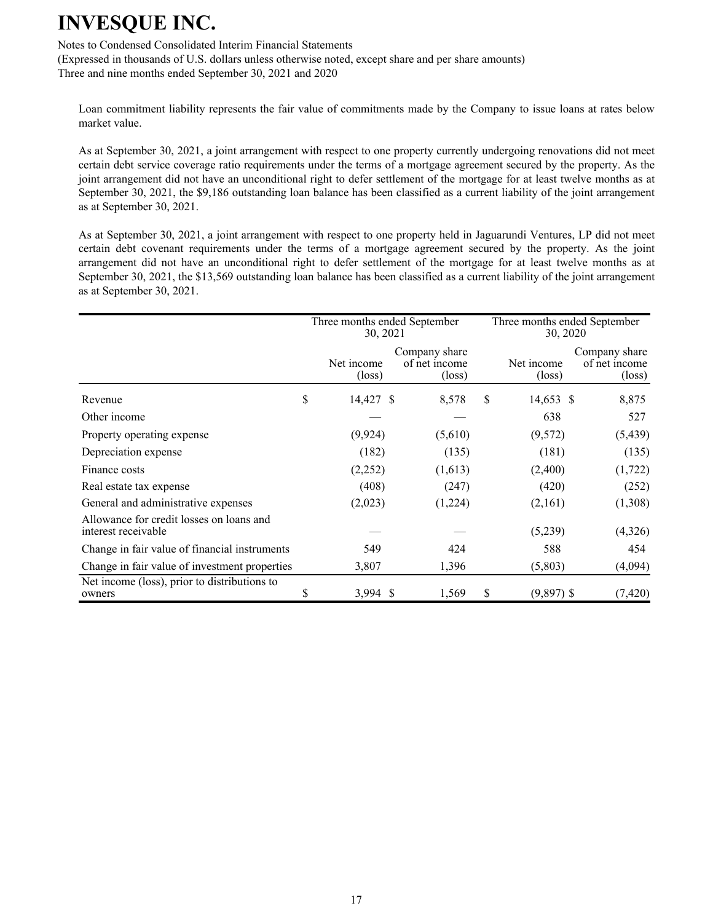Notes to Condensed Consolidated Interim Financial Statements

(Expressed in thousands of U.S. dollars unless otherwise noted, except share and per share amounts) Three and nine months ended September 30, 2021 and 2020

Loan commitment liability represents the fair value of commitments made by the Company to issue loans at rates below market value.

As at September 30, 2021, a joint arrangement with respect to one property currently undergoing renovations did not meet certain debt service coverage ratio requirements under the terms of a mortgage agreement secured by the property. As the joint arrangement did not have an unconditional right to defer settlement of the mortgage for at least twelve months as at September 30, 2021, the \$9,186 outstanding loan balance has been classified as a current liability of the joint arrangement as at September 30, 2021.

As at September 30, 2021, a joint arrangement with respect to one property held in Jaguarundi Ventures, LP did not meet certain debt covenant requirements under the terms of a mortgage agreement secured by the property. As the joint arrangement did not have an unconditional right to defer settlement of the mortgage for at least twelve months as at September 30, 2021, the \$13,569 outstanding loan balance has been classified as a current liability of the joint arrangement as at September 30, 2021.

|                                                                 |    | Three months ended September<br>30, 2021 |                                                   |   | Three months ended September<br>30, 2020 |                                                   |
|-----------------------------------------------------------------|----|------------------------------------------|---------------------------------------------------|---|------------------------------------------|---------------------------------------------------|
|                                                                 |    | Net income<br>$(\text{loss})$            | Company share<br>of net income<br>$(\text{loss})$ |   | Net income<br>(loss)                     | Company share<br>of net income<br>$(\text{loss})$ |
| Revenue                                                         | \$ | 14,427 \$                                | 8,578                                             | S | 14,653 \$                                | 8,875                                             |
| Other income                                                    |    |                                          |                                                   |   | 638                                      | 527                                               |
| Property operating expense                                      |    | (9, 924)                                 | (5,610)                                           |   | (9,572)                                  | (5, 439)                                          |
| Depreciation expense                                            |    | (182)                                    | (135)                                             |   | (181)                                    | (135)                                             |
| Finance costs                                                   |    | (2,252)                                  | (1,613)                                           |   | (2,400)                                  | (1, 722)                                          |
| Real estate tax expense                                         |    | (408)                                    | (247)                                             |   | (420)                                    | (252)                                             |
| General and administrative expenses                             |    | (2,023)                                  | (1,224)                                           |   | (2,161)                                  | (1,308)                                           |
| Allowance for credit losses on loans and<br>interest receivable |    |                                          |                                                   |   | (5,239)                                  | (4,326)                                           |
| Change in fair value of financial instruments                   |    | 549                                      | 424                                               |   | 588                                      | 454                                               |
| Change in fair value of investment properties                   |    | 3,807                                    | 1,396                                             |   | (5,803)                                  | (4,094)                                           |
| Net income (loss), prior to distributions to<br>owners          | S  | $3,994$ \$                               | 1,569                                             | S | $(9,897)$ \$                             | (7, 420)                                          |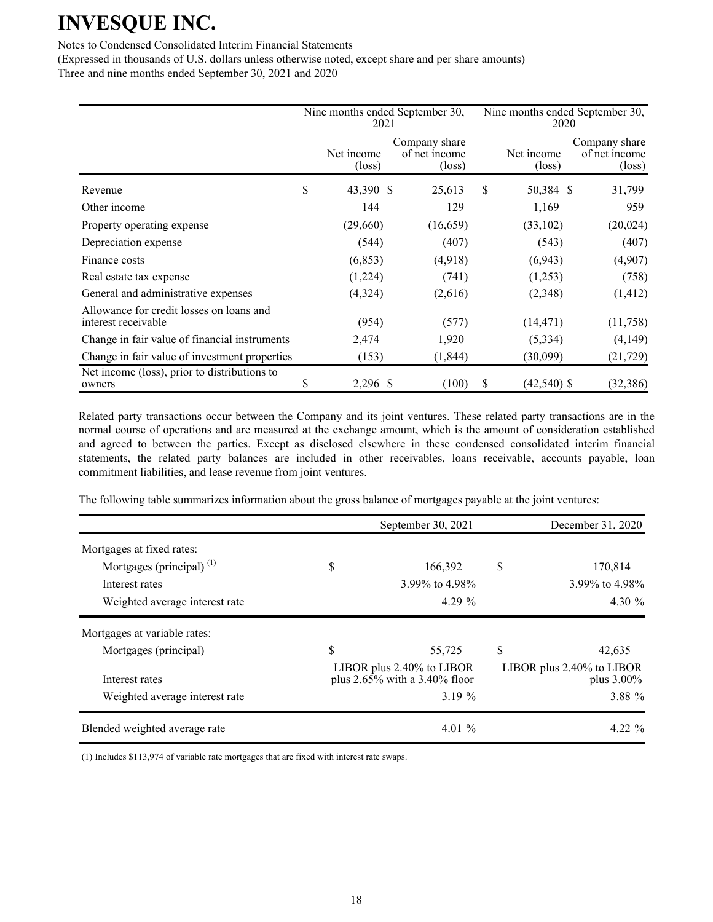#### Notes to Condensed Consolidated Interim Financial Statements

(Expressed in thousands of U.S. dollars unless otherwise noted, except share and per share amounts) Three and nine months ended September 30, 2021 and 2020

|                                                                 | Nine months ended September 30,<br>2021 |                                                   | Nine months ended September 30,<br>2020 |                               |                                                   |  |
|-----------------------------------------------------------------|-----------------------------------------|---------------------------------------------------|-----------------------------------------|-------------------------------|---------------------------------------------------|--|
|                                                                 | Net income<br>$(\text{loss})$           | Company share<br>of net income<br>$(\text{loss})$ |                                         | Net income<br>$(\text{loss})$ | Company share<br>of net income<br>$(\text{loss})$ |  |
| Revenue                                                         | \$<br>43,390 \$                         | 25,613                                            | \$                                      | 50,384 \$                     | 31,799                                            |  |
| Other income                                                    | 144                                     | 129                                               |                                         | 1,169                         | 959                                               |  |
| Property operating expense                                      | (29,660)                                | (16, 659)                                         |                                         | (33,102)                      | (20, 024)                                         |  |
| Depreciation expense                                            | (544)                                   | (407)                                             |                                         | (543)                         | (407)                                             |  |
| Finance costs                                                   | (6, 853)                                | (4,918)                                           |                                         | (6,943)                       | (4,907)                                           |  |
| Real estate tax expense                                         | (1,224)                                 | (741)                                             |                                         | (1,253)                       | (758)                                             |  |
| General and administrative expenses                             | (4,324)                                 | (2,616)                                           |                                         | (2,348)                       | (1, 412)                                          |  |
| Allowance for credit losses on loans and<br>interest receivable | (954)                                   | (577)                                             |                                         | (14, 471)                     | (11,758)                                          |  |
| Change in fair value of financial instruments                   | 2,474                                   | 1,920                                             |                                         | (5,334)                       | (4,149)                                           |  |
| Change in fair value of investment properties                   | (153)                                   | (1, 844)                                          |                                         | (30,099)                      | (21, 729)                                         |  |
| Net income (loss), prior to distributions to<br>owners          | \$<br>2,296 \$                          | (100)                                             | \$                                      | $(42,540)$ \$                 | (32, 386)                                         |  |

Related party transactions occur between the Company and its joint ventures. These related party transactions are in the normal course of operations and are measured at the exchange amount, which is the amount of consideration established and agreed to between the parties. Except as disclosed elsewhere in these condensed consolidated interim financial statements, the related party balances are included in other receivables, loans receivable, accounts payable, loan commitment liabilities, and lease revenue from joint ventures.

The following table summarizes information about the gross balance of mortgages payable at the joint ventures:

|                                | September 30, 2021                                               | December 31, 2020                          |
|--------------------------------|------------------------------------------------------------------|--------------------------------------------|
| Mortgages at fixed rates:      |                                                                  |                                            |
| Mortgages (principal) $(1)$    | \$<br>166,392                                                    | \$<br>170,814                              |
| Interest rates                 | 3.99% to 4.98%                                                   | 3.99% to 4.98%                             |
| Weighted average interest rate | $4.29\%$                                                         | 4.30 $\%$                                  |
| Mortgages at variable rates:   |                                                                  |                                            |
| Mortgages (principal)          | \$<br>55,725                                                     | \$<br>42,635                               |
| Interest rates                 | LIBOR plus $2.40\%$ to LIBOR<br>plus $2.65\%$ with a 3.40% floor | LIBOR plus 2.40% to LIBOR<br>plus $3.00\%$ |
| Weighted average interest rate | 3.19 $%$                                                         | 3.88 %                                     |
| Blended weighted average rate  | 4.01 $\%$                                                        | $4.22 \%$                                  |

(1) Includes \$113,974 of variable rate mortgages that are fixed with interest rate swaps.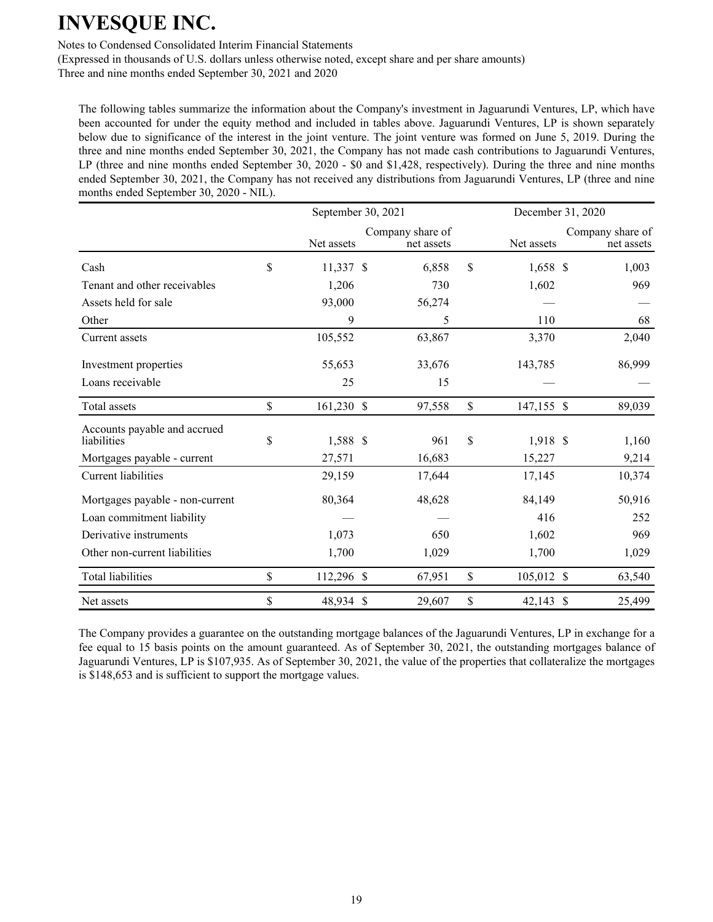Notes to Condensed Consolidated Interim Financial Statements

(Expressed in thousands of U.S. dollars unless otherwise noted, except share and per share amounts)

Three and nine months ended September 30, 2021 and 2020

The following tables summarize the information about the Company's investment in Jaguarundi Ventures, LP, which have been accounted for under the equity method and included in tables above. Jaguarundi Ventures, LP is shown separately below due to significance of the interest in the joint venture. The joint venture was formed on June 5, 2019. During the three and nine months ended September 30, 2021, the Company has not made cash contributions to Jaguarundi Ventures, LP (three and nine months ended September 30, 2020 - \$0 and \$1,428, respectively). During the three and nine months ended September 30, 2021, the Company has not received any distributions from Jaguarundi Ventures, LP (three and nine months ended September 30, 2020 - NIL).

|                                             | September 30, 2021 |            |  |                                |               |            | December 31, 2020 |                                |  |  |
|---------------------------------------------|--------------------|------------|--|--------------------------------|---------------|------------|-------------------|--------------------------------|--|--|
|                                             |                    | Net assets |  | Company share of<br>net assets |               | Net assets |                   | Company share of<br>net assets |  |  |
| Cash                                        | \$                 | 11,337 \$  |  | 6,858                          | \$            | $1,658$ \$ |                   | 1,003                          |  |  |
| Tenant and other receivables                |                    | 1,206      |  | 730                            |               | 1,602      |                   | 969                            |  |  |
| Assets held for sale                        |                    | 93,000     |  | 56,274                         |               |            |                   |                                |  |  |
| Other                                       |                    | 9          |  | 5                              |               | 110        |                   | 68                             |  |  |
| Current assets                              |                    | 105,552    |  | 63,867                         |               | 3,370      |                   | 2,040                          |  |  |
| Investment properties                       |                    | 55,653     |  | 33,676                         |               | 143,785    |                   | 86,999                         |  |  |
| Loans receivable                            |                    | 25         |  | 15                             |               |            |                   |                                |  |  |
| Total assets                                | \$                 | 161,230 \$ |  | 97,558                         | $\mathsf{\$}$ | 147,155 \$ |                   | 89,039                         |  |  |
| Accounts payable and accrued<br>liabilities | \$                 | 1,588 \$   |  | 961                            | $\mathsf{\$}$ | 1,918 \$   |                   | 1,160                          |  |  |
| Mortgages payable - current                 |                    | 27,571     |  | 16,683                         |               | 15,227     |                   | 9,214                          |  |  |
| <b>Current liabilities</b>                  |                    | 29,159     |  | 17,644                         |               | 17,145     |                   | 10,374                         |  |  |
| Mortgages payable - non-current             |                    | 80,364     |  | 48,628                         |               | 84,149     |                   | 50,916                         |  |  |
| Loan commitment liability                   |                    |            |  |                                |               | 416        |                   | 252                            |  |  |
| Derivative instruments                      |                    | 1,073      |  | 650                            |               | 1,602      |                   | 969                            |  |  |
| Other non-current liabilities               |                    | 1,700      |  | 1,029                          |               | 1,700      |                   | 1,029                          |  |  |
| Total liabilities                           | \$                 | 112,296 \$ |  | 67,951                         | \$            | 105,012 \$ |                   | 63,540                         |  |  |
| Net assets                                  | \$                 | 48,934 \$  |  | 29,607                         | \$            | 42,143 \$  |                   | 25,499                         |  |  |

The Company provides a guarantee on the outstanding mortgage balances of the Jaguarundi Ventures, LP in exchange for a fee equal to 15 basis points on the amount guaranteed. As of September 30, 2021, the outstanding mortgages balance of Jaguarundi Ventures, LP is \$107,935. As of September 30, 2021, the value of the properties that collateralize the mortgages is \$148,653 and is sufficient to support the mortgage values.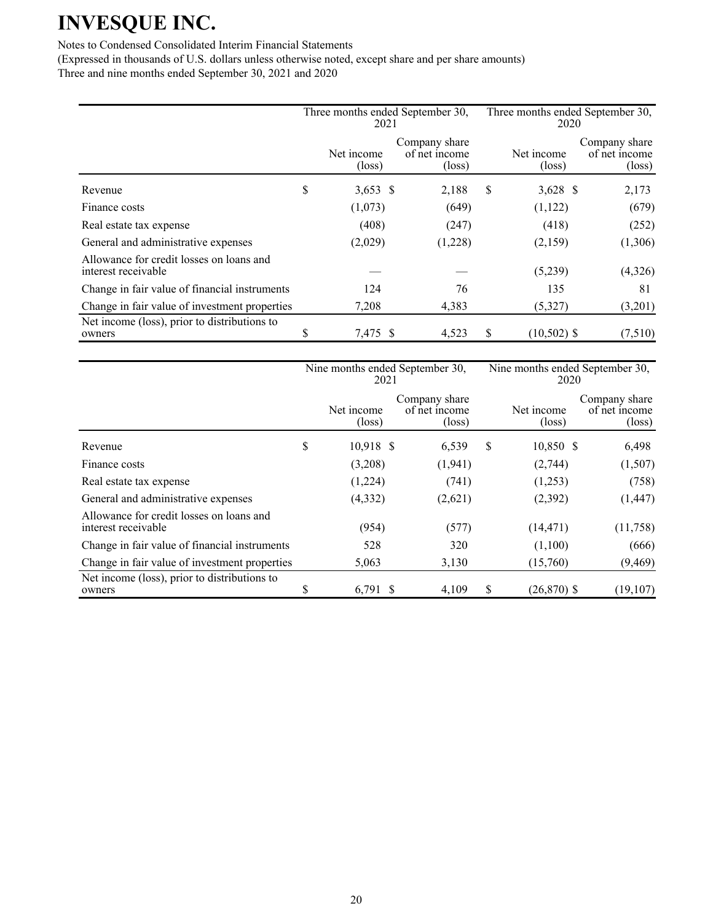### Notes to Condensed Consolidated Interim Financial Statements

|                                                                 | Three months ended September 30,<br>2021 |                               |                                                   |   | Three months ended September 30,<br>2020 |                                                   |  |  |
|-----------------------------------------------------------------|------------------------------------------|-------------------------------|---------------------------------------------------|---|------------------------------------------|---------------------------------------------------|--|--|
|                                                                 |                                          | Net income<br>$(\text{loss})$ | Company share<br>of net income<br>$(\text{loss})$ |   | Net income<br>$(\text{loss})$            | Company share<br>of net income<br>$(\text{loss})$ |  |  |
| Revenue                                                         | \$                                       | $3,653$ \$                    | 2,188                                             | S | $3,628$ \$                               | 2,173                                             |  |  |
| Finance costs                                                   |                                          | (1,073)                       | (649)                                             |   | (1,122)                                  | (679)                                             |  |  |
| Real estate tax expense                                         |                                          | (408)                         | (247)                                             |   | (418)                                    | (252)                                             |  |  |
| General and administrative expenses                             |                                          | (2,029)                       | (1,228)                                           |   | (2,159)                                  | (1,306)                                           |  |  |
| Allowance for credit losses on loans and<br>interest receivable |                                          |                               |                                                   |   | (5,239)                                  | (4,326)                                           |  |  |
| Change in fair value of financial instruments                   |                                          | 124                           | 76                                                |   | 135                                      | 81                                                |  |  |
| Change in fair value of investment properties                   |                                          | 7,208                         | 4,383                                             |   | (5,327)                                  | (3,201)                                           |  |  |
| Net income (loss), prior to distributions to<br>owners          | S                                        | 7,475 \$                      | 4,523                                             | S | $(10,502)$ \$                            | (7,510)                                           |  |  |

|                                                                 | Nine months ended September 30,<br>2021 |                               |  |                                                   | Nine months ended September 30,<br>2020 |                               |                                                   |  |
|-----------------------------------------------------------------|-----------------------------------------|-------------------------------|--|---------------------------------------------------|-----------------------------------------|-------------------------------|---------------------------------------------------|--|
|                                                                 |                                         | Net income<br>$(\text{loss})$ |  | Company share<br>of net income<br>$(\text{loss})$ |                                         | Net income<br>$(\text{loss})$ | Company share<br>of net income<br>$(\text{loss})$ |  |
| Revenue                                                         | \$                                      | $10,918$ \$                   |  | 6,539                                             | S                                       | 10,850 \$                     | 6,498                                             |  |
| Finance costs                                                   |                                         | (3,208)                       |  | (1,941)                                           |                                         | (2,744)                       | (1,507)                                           |  |
| Real estate tax expense                                         |                                         | (1,224)                       |  | (741)                                             |                                         | (1,253)                       | (758)                                             |  |
| General and administrative expenses                             |                                         | (4, 332)                      |  | (2,621)                                           |                                         | (2,392)                       | (1, 447)                                          |  |
| Allowance for credit losses on loans and<br>interest receivable |                                         | (954)                         |  | (577)                                             |                                         | (14, 471)                     | (11,758)                                          |  |
| Change in fair value of financial instruments                   |                                         | 528                           |  | 320                                               |                                         | (1,100)                       | (666)                                             |  |
| Change in fair value of investment properties                   |                                         | 5,063                         |  | 3,130                                             |                                         | (15,760)                      | (9, 469)                                          |  |
| Net income (loss), prior to distributions to<br>owners          | ъ.                                      | $6,791$ \$                    |  | 4,109                                             | S                                       | $(26,870)$ \$                 | (19, 107)                                         |  |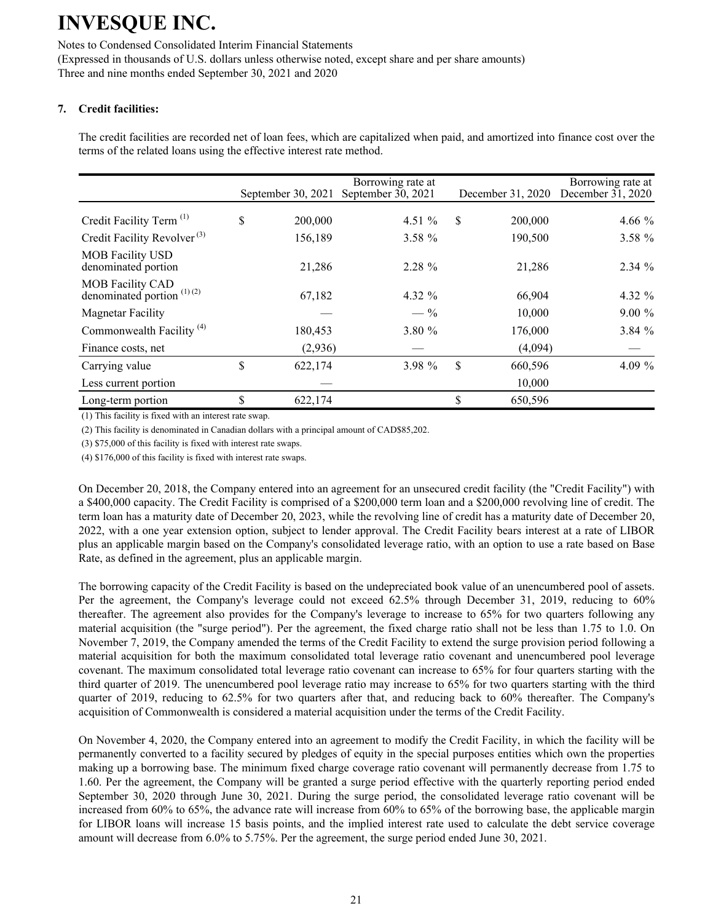Notes to Condensed Consolidated Interim Financial Statements (Expressed in thousands of U.S. dollars unless otherwise noted, except share and per share amounts) Three and nine months ended September 30, 2021 and 2020

### **7. Credit facilities:**

The credit facilities are recorded net of loan fees, which are capitalized when paid, and amortized into finance cost over the terms of the related loans using the effective interest rate method.

|                                                         | September 30, 2021 | Borrowing rate at<br>September $30, 2021$ | December 31, 2020 | Borrowing rate at<br>December $31, 2020$ |
|---------------------------------------------------------|--------------------|-------------------------------------------|-------------------|------------------------------------------|
| Credit Facility Term <sup>(1)</sup>                     | \$<br>200,000      | 4.51 $%$                                  | \$<br>200,000     | 4.66 $%$                                 |
| Credit Facility Revolver <sup>(3)</sup>                 | 156,189            | 3.58 %                                    | 190,500           | 3.58 %                                   |
| <b>MOB</b> Facility USD<br>denominated portion          | 21,286             | 2.28 %                                    | 21,286            | $2.34\%$                                 |
| <b>MOB Facility CAD</b><br>denominated portion $(1)(2)$ | 67,182             | 4.32 %                                    | 66,904            | 4.32 %                                   |
| <b>Magnetar Facility</b>                                |                    | $-$ %                                     | 10.000            | $9.00\%$                                 |
| Commonwealth Facility <sup>(4)</sup>                    | 180,453            | 3.80 %                                    | 176,000           | 3.84%                                    |
| Finance costs, net                                      | (2,936)            |                                           | (4,094)           |                                          |
| Carrying value                                          | \$<br>622,174      | 3.98 %                                    | \$<br>660,596     | 4.09 $%$                                 |
| Less current portion                                    |                    |                                           | 10,000            |                                          |
| Long-term portion                                       | \$<br>622,174      |                                           | \$<br>650,596     |                                          |

(1) This facility is fixed with an interest rate swap.

(2) This facility is denominated in Canadian dollars with a principal amount of CAD\$85,202.

(3) \$75,000 of this facility is fixed with interest rate swaps.

(4) \$176,000 of this facility is fixed with interest rate swaps.

On December 20, 2018, the Company entered into an agreement for an unsecured credit facility (the "Credit Facility") with a \$400,000 capacity. The Credit Facility is comprised of a \$200,000 term loan and a \$200,000 revolving line of credit. The term loan has a maturity date of December 20, 2023, while the revolving line of credit has a maturity date of December 20, 2022, with a one year extension option, subject to lender approval. The Credit Facility bears interest at a rate of LIBOR plus an applicable margin based on the Company's consolidated leverage ratio, with an option to use a rate based on Base Rate, as defined in the agreement, plus an applicable margin.

The borrowing capacity of the Credit Facility is based on the undepreciated book value of an unencumbered pool of assets. Per the agreement, the Company's leverage could not exceed 62.5% through December 31, 2019, reducing to 60% thereafter. The agreement also provides for the Company's leverage to increase to 65% for two quarters following any material acquisition (the "surge period"). Per the agreement, the fixed charge ratio shall not be less than 1.75 to 1.0. On November 7, 2019, the Company amended the terms of the Credit Facility to extend the surge provision period following a material acquisition for both the maximum consolidated total leverage ratio covenant and unencumbered pool leverage covenant. The maximum consolidated total leverage ratio covenant can increase to 65% for four quarters starting with the third quarter of 2019. The unencumbered pool leverage ratio may increase to 65% for two quarters starting with the third quarter of 2019, reducing to 62.5% for two quarters after that, and reducing back to 60% thereafter. The Company's acquisition of Commonwealth is considered a material acquisition under the terms of the Credit Facility.

On November 4, 2020, the Company entered into an agreement to modify the Credit Facility, in which the facility will be permanently converted to a facility secured by pledges of equity in the special purposes entities which own the properties making up a borrowing base. The minimum fixed charge coverage ratio covenant will permanently decrease from 1.75 to 1.60. Per the agreement, the Company will be granted a surge period effective with the quarterly reporting period ended September 30, 2020 through June 30, 2021. During the surge period, the consolidated leverage ratio covenant will be increased from 60% to 65%, the advance rate will increase from 60% to 65% of the borrowing base, the applicable margin for LIBOR loans will increase 15 basis points, and the implied interest rate used to calculate the debt service coverage amount will decrease from 6.0% to 5.75%. Per the agreement, the surge period ended June 30, 2021.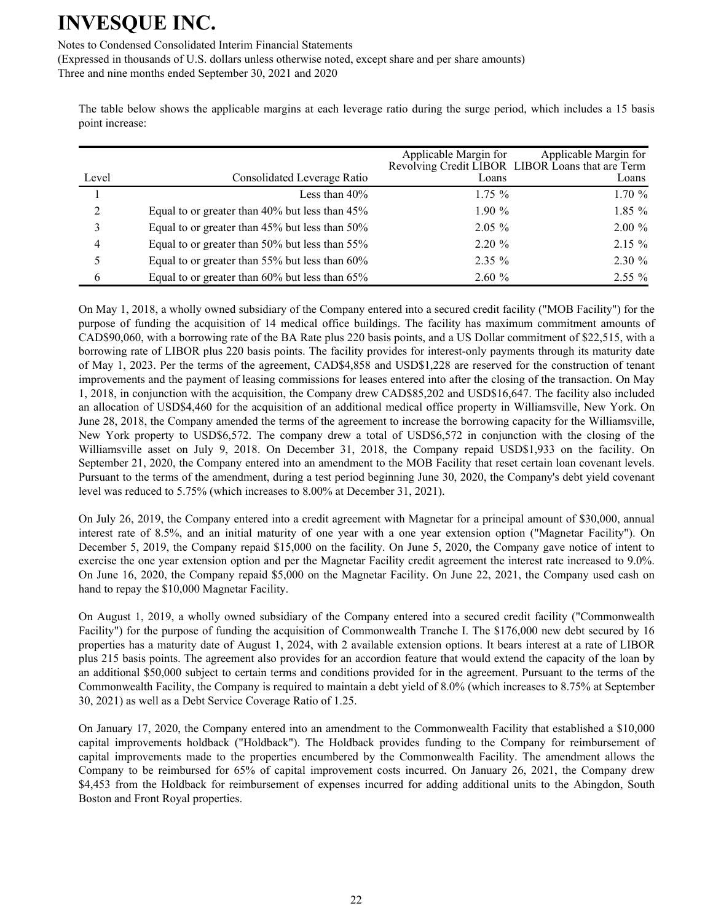Notes to Condensed Consolidated Interim Financial Statements

(Expressed in thousands of U.S. dollars unless otherwise noted, except share and per share amounts)

Three and nine months ended September 30, 2021 and 2020

The table below shows the applicable margins at each leverage ratio during the surge period, which includes a 15 basis point increase:

|                |                                                | Applicable Margin for | Applicable Margin for<br>Revolving Credit LIBOR LIBOR Loans that are Term |
|----------------|------------------------------------------------|-----------------------|---------------------------------------------------------------------------|
| Level          | Consolidated Leverage Ratio                    | Loans                 | Loans                                                                     |
|                | Less than $40\%$                               | $1.75\%$              | 1.70%                                                                     |
| $\overline{2}$ | Equal to or greater than 40% but less than 45% | $1.90\%$              | $1.85\%$                                                                  |
| 3              | Equal to or greater than 45% but less than 50% | $2.05\%$              | $2.00 \%$                                                                 |
| 4              | Equal to or greater than 50% but less than 55% | $2.20 \%$             | $2.15 \%$                                                                 |
| 5              | Equal to or greater than 55% but less than 60% | $2.35\%$              | $2.30 \%$                                                                 |
| 6              | Equal to or greater than 60% but less than 65% | 2.60%                 | $2.55\%$                                                                  |

On May 1, 2018, a wholly owned subsidiary of the Company entered into a secured credit facility ("MOB Facility") for the purpose of funding the acquisition of 14 medical office buildings. The facility has maximum commitment amounts of CAD\$90,060, with a borrowing rate of the BA Rate plus 220 basis points, and a US Dollar commitment of \$22,515, with a borrowing rate of LIBOR plus 220 basis points. The facility provides for interest-only payments through its maturity date of May 1, 2023. Per the terms of the agreement, CAD\$4,858 and USD\$1,228 are reserved for the construction of tenant improvements and the payment of leasing commissions for leases entered into after the closing of the transaction. On May 1, 2018, in conjunction with the acquisition, the Company drew CAD\$85,202 and USD\$16,647. The facility also included an allocation of USD\$4,460 for the acquisition of an additional medical office property in Williamsville, New York. On June 28, 2018, the Company amended the terms of the agreement to increase the borrowing capacity for the Williamsville, New York property to USD\$6,572. The company drew a total of USD\$6,572 in conjunction with the closing of the Williamsville asset on July 9, 2018. On December 31, 2018, the Company repaid USD\$1,933 on the facility. On September 21, 2020, the Company entered into an amendment to the MOB Facility that reset certain loan covenant levels. Pursuant to the terms of the amendment, during a test period beginning June 30, 2020, the Company's debt yield covenant level was reduced to 5.75% (which increases to 8.00% at December 31, 2021).

On July 26, 2019, the Company entered into a credit agreement with Magnetar for a principal amount of \$30,000, annual interest rate of 8.5%, and an initial maturity of one year with a one year extension option ("Magnetar Facility"). On December 5, 2019, the Company repaid \$15,000 on the facility. On June 5, 2020, the Company gave notice of intent to exercise the one year extension option and per the Magnetar Facility credit agreement the interest rate increased to 9.0%. On June 16, 2020, the Company repaid \$5,000 on the Magnetar Facility. On June 22, 2021, the Company used cash on hand to repay the \$10,000 Magnetar Facility.

On August 1, 2019, a wholly owned subsidiary of the Company entered into a secured credit facility ("Commonwealth Facility") for the purpose of funding the acquisition of Commonwealth Tranche I. The \$176,000 new debt secured by 16 properties has a maturity date of August 1, 2024, with 2 available extension options. It bears interest at a rate of LIBOR plus 215 basis points. The agreement also provides for an accordion feature that would extend the capacity of the loan by an additional \$50,000 subject to certain terms and conditions provided for in the agreement. Pursuant to the terms of the Commonwealth Facility, the Company is required to maintain a debt yield of 8.0% (which increases to 8.75% at September 30, 2021) as well as a Debt Service Coverage Ratio of 1.25.

On January 17, 2020, the Company entered into an amendment to the Commonwealth Facility that established a \$10,000 capital improvements holdback ("Holdback"). The Holdback provides funding to the Company for reimbursement of capital improvements made to the properties encumbered by the Commonwealth Facility. The amendment allows the Company to be reimbursed for 65% of capital improvement costs incurred. On January 26, 2021, the Company drew \$4,453 from the Holdback for reimbursement of expenses incurred for adding additional units to the Abingdon, South Boston and Front Royal properties.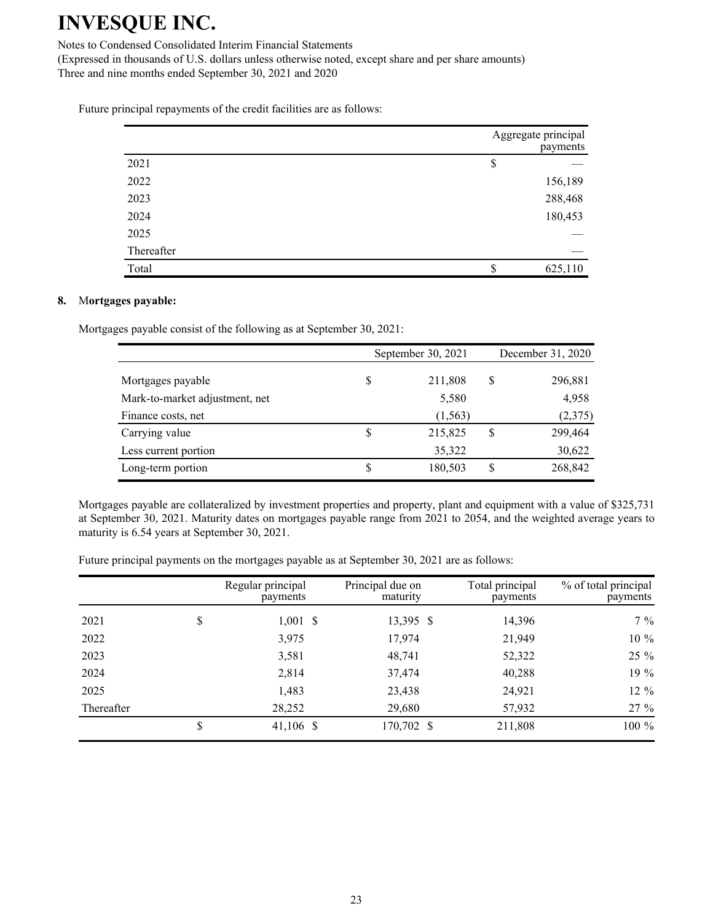Notes to Condensed Consolidated Interim Financial Statements

(Expressed in thousands of U.S. dollars unless otherwise noted, except share and per share amounts) Three and nine months ended September 30, 2021 and 2020

Future principal repayments of the credit facilities are as follows:

|            | Aggregate principal<br>payments |
|------------|---------------------------------|
| 2021       | \$                              |
| 2022       | 156,189                         |
| 2023       | 288,468                         |
| 2024       | 180,453                         |
| 2025       |                                 |
| Thereafter |                                 |
| Total      | 625,110<br>\$                   |

#### **8.** M**ortgages payable:**

Mortgages payable consist of the following as at September 30, 2021:

|                                | September 30, 2021 |          |    | December 31, 2020 |  |  |
|--------------------------------|--------------------|----------|----|-------------------|--|--|
| Mortgages payable              |                    | 211,808  | \$ | 296,881           |  |  |
| Mark-to-market adjustment, net |                    | 5,580    |    | 4,958             |  |  |
| Finance costs, net             |                    | (1, 563) |    | (2,375)           |  |  |
| Carrying value                 | S                  | 215,825  | \$ | 299,464           |  |  |
| Less current portion           |                    | 35,322   |    | 30,622            |  |  |
| Long-term portion              |                    | 180,503  | \$ | 268,842           |  |  |

Mortgages payable are collateralized by investment properties and property, plant and equipment with a value of \$325,731 at September 30, 2021. Maturity dates on mortgages payable range from 2021 to 2054, and the weighted average years to maturity is 6.54 years at September 30, 2021.

Future principal payments on the mortgages payable as at September 30, 2021 are as follows:

|            | Regular principal<br>payments | Principal due on<br>maturity | Total principal<br>payments | % of total principal<br>payments |
|------------|-------------------------------|------------------------------|-----------------------------|----------------------------------|
| 2021       | \$<br>$1,001$ \$              | 13,395 \$                    | 14,396                      | $7\%$                            |
| 2022       | 3,975                         | 17,974                       | 21,949                      | 10 %                             |
| 2023       | 3,581                         | 48,741                       | 52,322                      | 25 %                             |
| 2024       | 2,814                         | 37,474                       | 40,288                      | 19 %                             |
| 2025       | 1,483                         | 23,438                       | 24,921                      | 12 %                             |
| Thereafter | 28,252                        | 29,680                       | 57,932                      | 27 %                             |
|            | \$<br>41,106 \$               | 170,702 \$                   | 211,808                     | 100 %                            |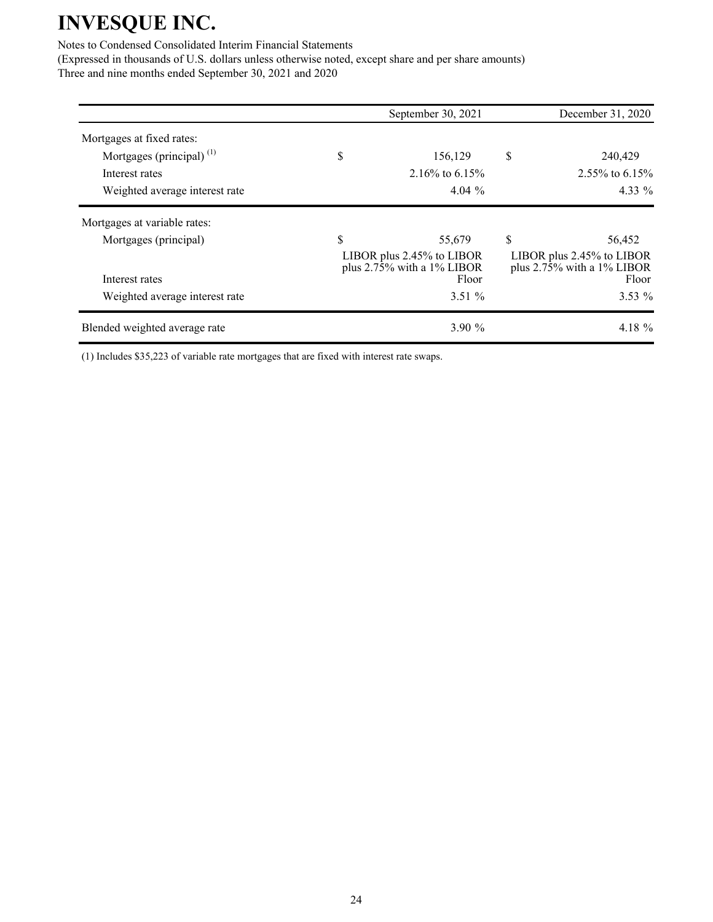### Notes to Condensed Consolidated Interim Financial Statements

(Expressed in thousands of U.S. dollars unless otherwise noted, except share and per share amounts) Three and nine months ended September 30, 2021 and 2020

|                                | September 30, 2021                                                     | December 31, 2020                                                              |
|--------------------------------|------------------------------------------------------------------------|--------------------------------------------------------------------------------|
| Mortgages at fixed rates:      |                                                                        |                                                                                |
| Mortgages (principal) $(1)$    | \$<br>156,129                                                          | \$<br>240,429                                                                  |
| Interest rates                 | 2.16\% to 6.15\%                                                       | 2.55% to $6.15%$                                                               |
| Weighted average interest rate | 4.04 $%$                                                               | 4.33 %                                                                         |
| Mortgages at variable rates:   |                                                                        |                                                                                |
| Mortgages (principal)          | \$<br>55,679                                                           | \$<br>56,452                                                                   |
| Interest rates                 | LIBOR plus $2.45\%$ to LIBOR<br>plus $2.75\%$ with a 1% LIBOR<br>Floor | LIBOR plus 2.45% to LIBOR<br>plus $2.7\overline{5}\%$ with a 1% LIBOR<br>Floor |
| Weighted average interest rate | 3.51%                                                                  | $3.53\%$                                                                       |
| Blended weighted average rate  | 3.90%                                                                  | 4.18 %                                                                         |

(1) Includes \$35,223 of variable rate mortgages that are fixed with interest rate swaps.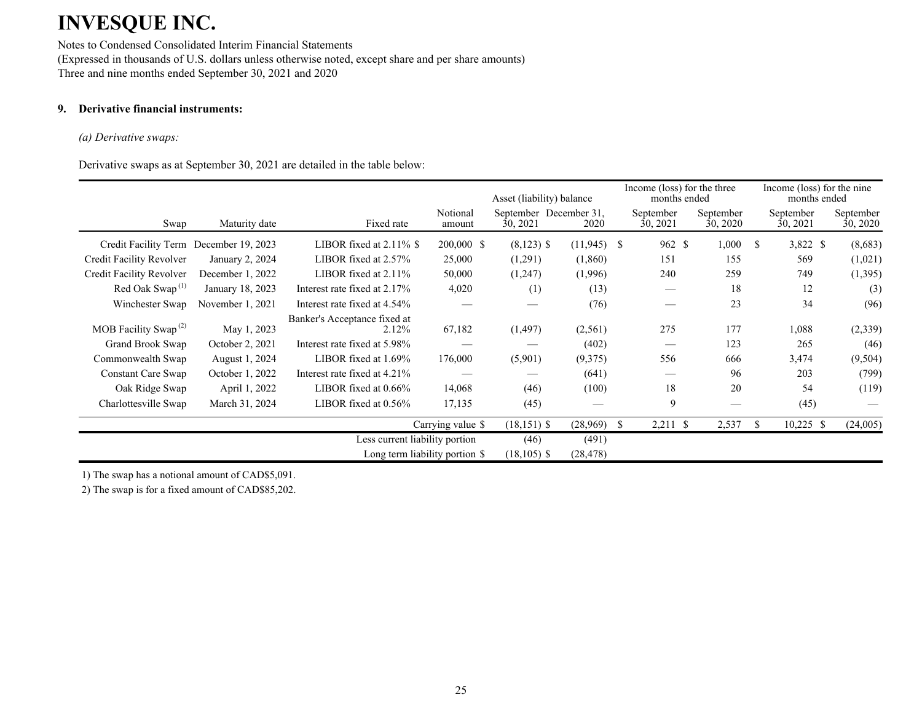Notes to Condensed Consolidated Interim Financial Statements (Expressed in thousands of U.S. dollars unless otherwise noted, except share and per share amounts) Three and nine months ended September 30, 2021 and 2020

### **9. Derivative financial instruments:**

#### *(a) Derivative swaps:*

Derivative swaps as at September 30, 2021 are detailed in the table below:

|                                               |                  |                                       |                                | Income (loss) for the three<br>Asset (liability) balance<br>months ended |               |               |                       |                       | Income (loss) for the nine<br>months ended |                       |                       |
|-----------------------------------------------|------------------|---------------------------------------|--------------------------------|--------------------------------------------------------------------------|---------------|---------------|-----------------------|-----------------------|--------------------------------------------|-----------------------|-----------------------|
| Swap                                          | Maturity date    | Fixed rate                            | Notional<br>amount             | September December 31,<br>30, 2021                                       | 2020          |               | September<br>30, 2021 | September<br>30, 2020 |                                            | September<br>30, 2021 | September<br>30, 2020 |
| Credit Facility Term December 19, 2023        |                  | LIBOR fixed at $2.11\%$ \$            | 200,000 \$                     | $(8,123)$ \$                                                             | $(11,945)$ \$ |               | 962 \$                | 1,000                 | <sup>\$</sup>                              | 3,822 \$              | (8,683)               |
| Credit Facility Revolver                      | January 2, 2024  | LIBOR fixed at $2.57\%$               | 25,000                         | (1,291)                                                                  | (1,860)       |               | 151                   | 155                   |                                            | 569                   | (1,021)               |
| Credit Facility Revolver                      | December 1, 2022 | LIBOR fixed at 2.11%                  | 50,000                         | (1,247)                                                                  | (1,996)       |               | 240                   | 259                   |                                            | 749                   | (1,395)               |
| Red Oak Swap <sup><math>(1)</math></sup>      | January 18, 2023 | Interest rate fixed at 2.17%          | 4,020                          | (1)                                                                      | (13)          |               |                       | 18                    |                                            | 12                    | (3)                   |
| Winchester Swap                               | November 1, 2021 | Interest rate fixed at 4.54%          |                                |                                                                          | (76)          |               |                       | 23                    |                                            | 34                    | (96)                  |
| MOB Facility Swap <sup><math>(2)</math></sup> | May 1, 2023      | Banker's Acceptance fixed at<br>2.12% | 67,182                         | (1, 497)                                                                 | (2,561)       |               | 275                   | 177                   |                                            | 1,088                 | (2,339)               |
| Grand Brook Swap                              | October 2, 2021  | Interest rate fixed at 5.98%          | __                             |                                                                          | (402)         |               |                       | 123                   |                                            | 265                   | (46)                  |
| Commonwealth Swap                             | August 1, 2024   | LIBOR fixed at 1.69%                  | 176,000                        | (5,901)                                                                  | (9,375)       |               | 556                   | 666                   |                                            | 3,474                 | (9,504)               |
| Constant Care Swap                            | October 1, 2022  | Interest rate fixed at 4.21%          |                                |                                                                          | (641)         |               |                       | 96                    |                                            | 203                   | (799)                 |
| Oak Ridge Swap                                | April 1, 2022    | LIBOR fixed at 0.66%                  | 14,068                         | (46)                                                                     | (100)         |               | 18                    | 20                    |                                            | 54                    | (119)                 |
| Charlottesville Swap                          | March 31, 2024   | LIBOR fixed at $0.56\%$               | 17,135                         | (45)                                                                     |               |               | 9                     |                       |                                            | (45)                  |                       |
|                                               |                  |                                       | Carrying value \$              | $(18, 151)$ \$                                                           | (28,969)      | <sup>\$</sup> | $2,211$ \$            | 2,537                 | <sup>\$</sup>                              | $10,225$ \$           | (24,005)              |
|                                               |                  | Less current liability portion        |                                | (46)                                                                     | (491)         |               |                       |                       |                                            |                       |                       |
|                                               |                  |                                       | Long term liability portion \$ | $(18, 105)$ \$                                                           | (28, 478)     |               |                       |                       |                                            |                       |                       |

1) The swap has a notional amount of CAD\$5,091.

2) The swap is for a fixed amount of CAD\$85,202.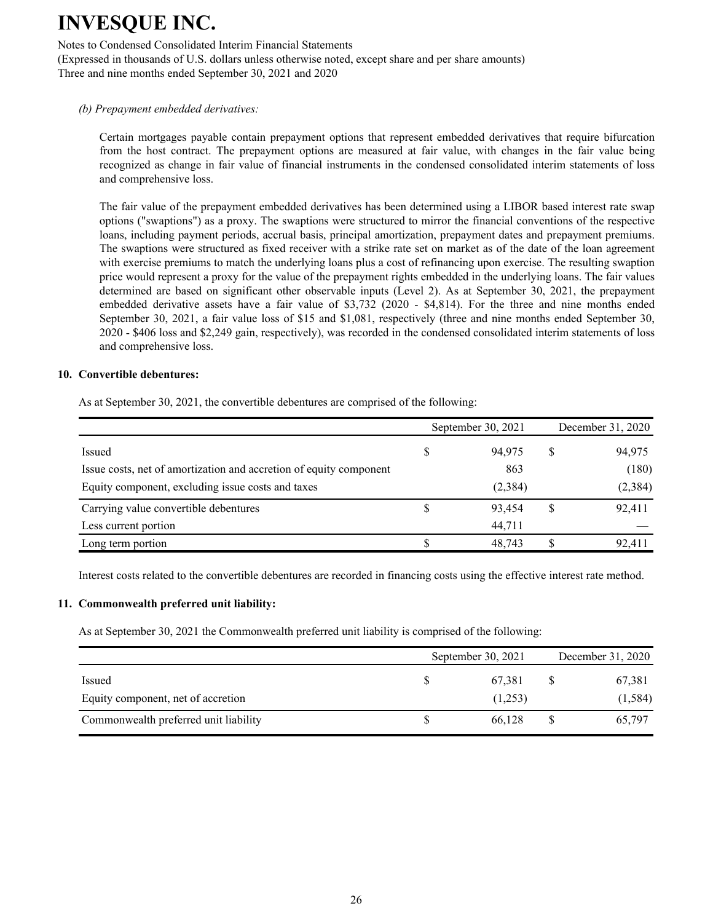Notes to Condensed Consolidated Interim Financial Statements

(Expressed in thousands of U.S. dollars unless otherwise noted, except share and per share amounts) Three and nine months ended September 30, 2021 and 2020

#### *(b) Prepayment embedded derivatives:*

Certain mortgages payable contain prepayment options that represent embedded derivatives that require bifurcation from the host contract. The prepayment options are measured at fair value, with changes in the fair value being recognized as change in fair value of financial instruments in the condensed consolidated interim statements of loss and comprehensive loss.

The fair value of the prepayment embedded derivatives has been determined using a LIBOR based interest rate swap options ("swaptions") as a proxy. The swaptions were structured to mirror the financial conventions of the respective loans, including payment periods, accrual basis, principal amortization, prepayment dates and prepayment premiums. The swaptions were structured as fixed receiver with a strike rate set on market as of the date of the loan agreement with exercise premiums to match the underlying loans plus a cost of refinancing upon exercise. The resulting swaption price would represent a proxy for the value of the prepayment rights embedded in the underlying loans. The fair values determined are based on significant other observable inputs (Level 2). As at September 30, 2021, the prepayment embedded derivative assets have a fair value of \$3,732 (2020 - \$4,814). For the three and nine months ended September 30, 2021, a fair value loss of \$15 and \$1,081, respectively (three and nine months ended September 30, 2020 - \$406 loss and \$2,249 gain, respectively), was recorded in the condensed consolidated interim statements of loss and comprehensive loss.

#### **10. Convertible debentures:**

As at September 30, 2021, the convertible debentures are comprised of the following:

|                                                                    | September 30, 2021 | December 31, 2020 |          |  |
|--------------------------------------------------------------------|--------------------|-------------------|----------|--|
| Issued                                                             | 94,975             | S                 | 94,975   |  |
| Issue costs, net of amortization and accretion of equity component | 863                |                   | (180)    |  |
| Equity component, excluding issue costs and taxes                  | (2, 384)           |                   | (2, 384) |  |
| Carrying value convertible debentures                              | 93.454             |                   | 92,411   |  |
| Less current portion                                               | 44,711             |                   |          |  |
| Long term portion                                                  | 48,743             |                   | 92,411   |  |

Interest costs related to the convertible debentures are recorded in financing costs using the effective interest rate method.

#### **11. Commonwealth preferred unit liability:**

As at September 30, 2021 the Commonwealth preferred unit liability is comprised of the following:

|                                       | September 30, 2021 | December 31, 2020 |          |  |
|---------------------------------------|--------------------|-------------------|----------|--|
| Issued                                | 67.381             |                   | 67,381   |  |
| Equity component, net of accretion    | (1,253)            |                   | (1, 584) |  |
| Commonwealth preferred unit liability | 66.128             |                   | 65,797   |  |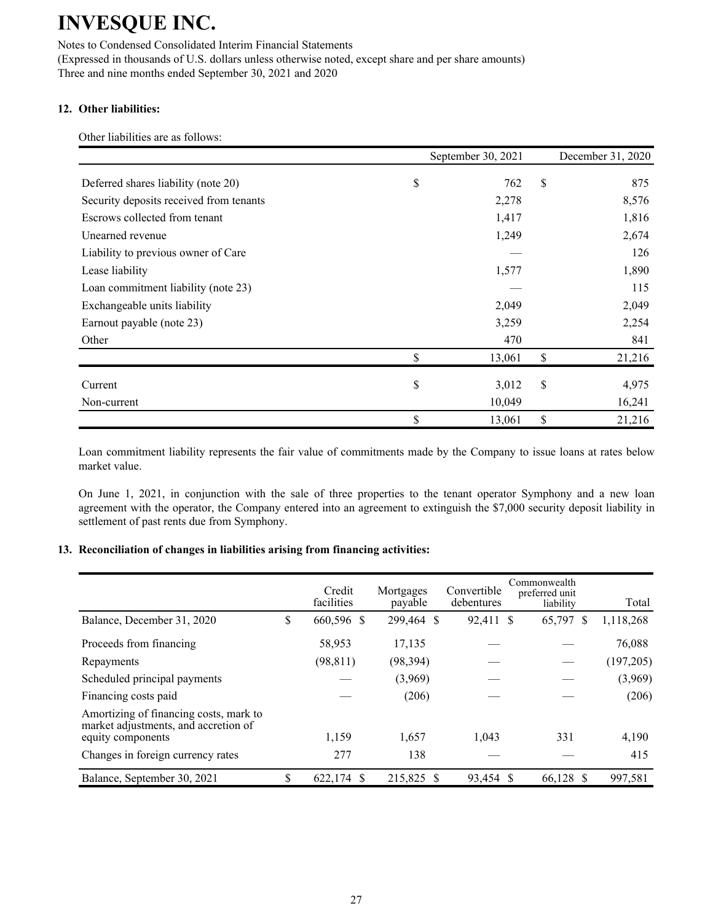Notes to Condensed Consolidated Interim Financial Statements (Expressed in thousands of U.S. dollars unless otherwise noted, except share and per share amounts) Three and nine months ended September 30, 2021 and 2020

### **12. Other liabilities:**

Other liabilities are as follows:

|                                         | September 30, 2021 | December 31, 2020 |
|-----------------------------------------|--------------------|-------------------|
| Deferred shares liability (note 20)     | \$<br>762          | \$<br>875         |
| Security deposits received from tenants | 2,278              | 8,576             |
| Escrows collected from tenant           | 1,417              | 1,816             |
| Unearned revenue                        | 1,249              | 2,674             |
| Liability to previous owner of Care     |                    | 126               |
| Lease liability                         | 1,577              | 1,890             |
| Loan commitment liability (note 23)     |                    | 115               |
| Exchangeable units liability            | 2,049              | 2,049             |
| Earnout payable (note 23)               | 3,259              | 2,254             |
| Other                                   | 470                | 841               |
|                                         | \$<br>13,061       | \$<br>21,216      |
| Current                                 | \$<br>3,012        | \$<br>4,975       |
| Non-current                             | 10,049             | 16,241            |
|                                         | \$<br>13,061       | \$<br>21,216      |

Loan commitment liability represents the fair value of commitments made by the Company to issue loans at rates below market value.

On June 1, 2021, in conjunction with the sale of three properties to the tenant operator Symphony and a new loan agreement with the operator, the Company entered into an agreement to extinguish the \$7,000 security deposit liability in settlement of past rents due from Symphony.

### **13. Reconciliation of changes in liabilities arising from financing activities:**

|                                                                                | Credit<br>facilities | Mortgages<br>payable | Convertible<br>debentures | Commonwealth<br>preferred unit<br>liability | Total      |
|--------------------------------------------------------------------------------|----------------------|----------------------|---------------------------|---------------------------------------------|------------|
| Balance, December 31, 2020                                                     | \$<br>660,596 \$     | 299,464 \$           | 92,411 \$                 | 65,797 \$                                   | 1,118,268  |
| Proceeds from financing                                                        | 58,953               | 17,135               |                           |                                             | 76,088     |
| Repayments                                                                     | (98, 811)            | (98, 394)            |                           |                                             | (197, 205) |
| Scheduled principal payments                                                   |                      | (3,969)              |                           |                                             | (3,969)    |
| Financing costs paid                                                           |                      | (206)                |                           |                                             | (206)      |
| Amortizing of financing costs, mark to<br>market adjustments, and accretion of |                      |                      |                           |                                             |            |
| equity components                                                              | 1,159                | 1,657                | 1,043                     | 331                                         | 4,190      |
| Changes in foreign currency rates                                              | 277                  | 138                  |                           |                                             | 415        |
| Balance, September 30, 2021                                                    | \$<br>622,174 \$     | 215,825 \$           | 93,454 \$                 | 66,128 \$                                   | 997,581    |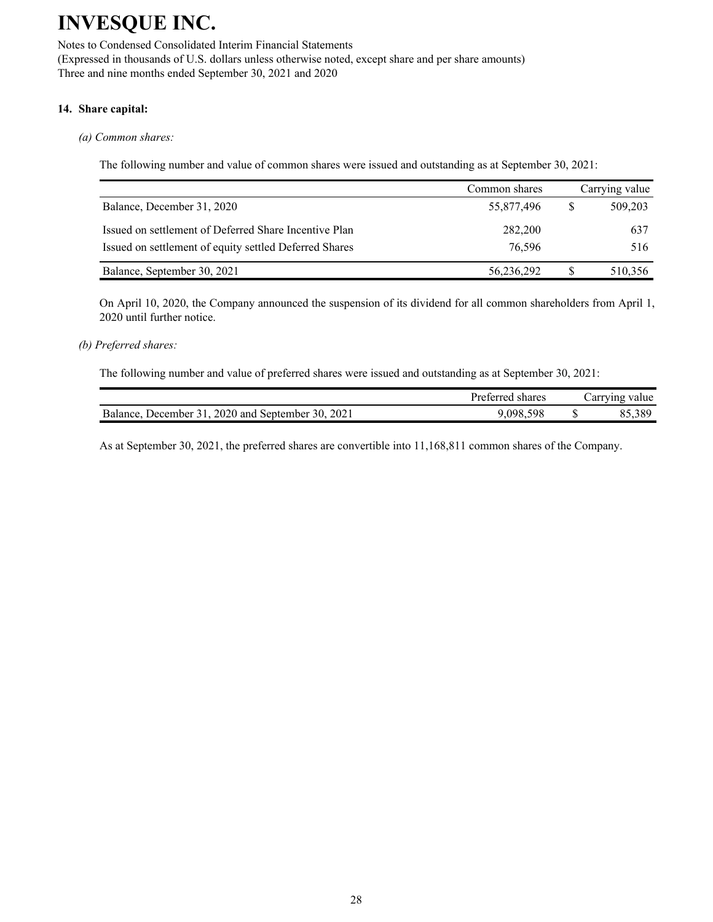Notes to Condensed Consolidated Interim Financial Statements (Expressed in thousands of U.S. dollars unless otherwise noted, except share and per share amounts) Three and nine months ended September 30, 2021 and 2020

### **14. Share capital:**

#### *(a) Common shares:*

The following number and value of common shares were issued and outstanding as at September 30, 2021:

|                                                        | Common shares | Carrying value |
|--------------------------------------------------------|---------------|----------------|
| Balance, December 31, 2020                             | 55,877,496    | 509,203        |
| Issued on settlement of Deferred Share Incentive Plan  | 282,200       | 637            |
| Issued on settlement of equity settled Deferred Shares | 76.596        | 516            |
| Balance, September 30, 2021                            | 56,236,292    | 510,356        |

On April 10, 2020, the Company announced the suspension of its dividend for all common shareholders from April 1, 2020 until further notice.

#### *(b) Preferred shares:*

The following number and value of preferred shares were issued and outstanding as at September 30, 2021:

|                                                      | Preferred shares |    | Carrying value |
|------------------------------------------------------|------------------|----|----------------|
| December 31, 2020 and September 30, 2021<br>Balance. | 598<br>.098.5    | ۰ש | 85,389         |

As at September 30, 2021, the preferred shares are convertible into 11,168,811 common shares of the Company.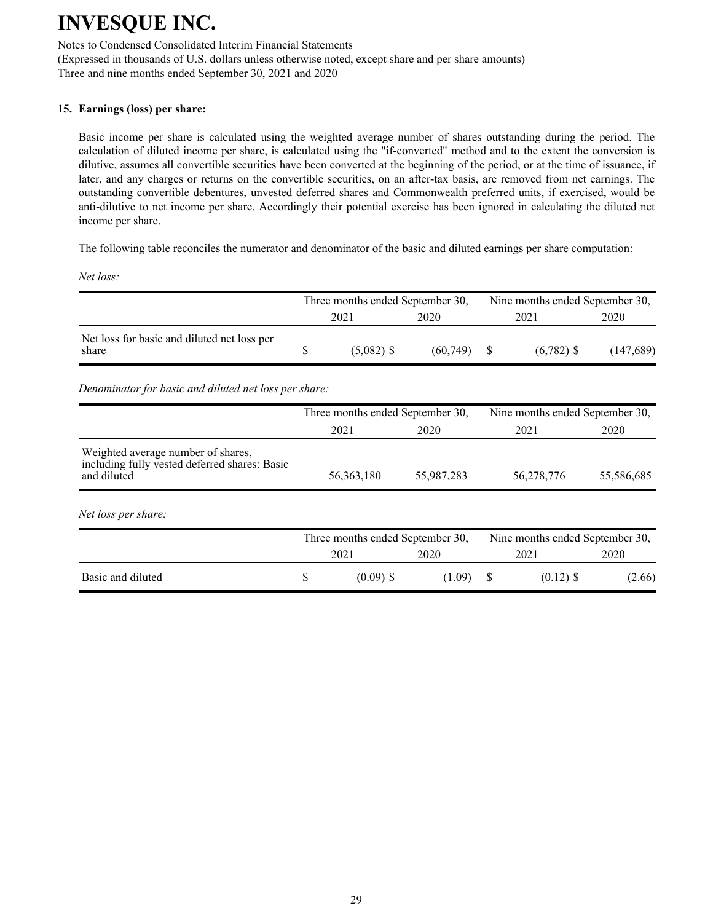Notes to Condensed Consolidated Interim Financial Statements (Expressed in thousands of U.S. dollars unless otherwise noted, except share and per share amounts) Three and nine months ended September 30, 2021 and 2020

### **15. Earnings (loss) per share:**

Basic income per share is calculated using the weighted average number of shares outstanding during the period. The calculation of diluted income per share, is calculated using the "if-converted" method and to the extent the conversion is dilutive, assumes all convertible securities have been converted at the beginning of the period, or at the time of issuance, if later, and any charges or returns on the convertible securities, on an after-tax basis, are removed from net earnings. The outstanding convertible debentures, unvested deferred shares and Commonwealth preferred units, if exercised, would be anti-dilutive to net income per share. Accordingly their potential exercise has been ignored in calculating the diluted net income per share.

The following table reconciles the numerator and denominator of the basic and diluted earnings per share computation:

*Net loss:*

|                                                      | Three months ended September 30, |              |          |      | Nine months ended September 30, |           |  |  |
|------------------------------------------------------|----------------------------------|--------------|----------|------|---------------------------------|-----------|--|--|
|                                                      |                                  | 2021         | 2020     | 2021 |                                 | 2020      |  |  |
| Net loss for basic and diluted net loss per<br>share |                                  | $(5,082)$ \$ | (60.749) |      | $(6.782)$ \$                    | (147,689) |  |  |

*Denominator for basic and diluted net loss per share:*

|                                                                                                    | Three months ended September 30, |            | Nine months ended September 30, |                                 |  |  |
|----------------------------------------------------------------------------------------------------|----------------------------------|------------|---------------------------------|---------------------------------|--|--|
|                                                                                                    | 2020<br>2021                     |            | 2021                            | 2020                            |  |  |
| Weighted average number of shares,<br>including fully vested deferred shares: Basic<br>and diluted | 56, 363, 180                     | 55,987,283 | 56,278,776                      | 55,586,685                      |  |  |
| Net loss per share:                                                                                |                                  |            |                                 |                                 |  |  |
|                                                                                                    | Three months ended September 30, |            |                                 | Nine months ended September 30, |  |  |
|                                                                                                    | 2021                             | 2020       | 2021                            | 2020                            |  |  |
| Basic and diluted                                                                                  | \$<br>$(0.09)$ \$                | (1.09)     | $(0.12)$ \$<br>S                | (2.66)                          |  |  |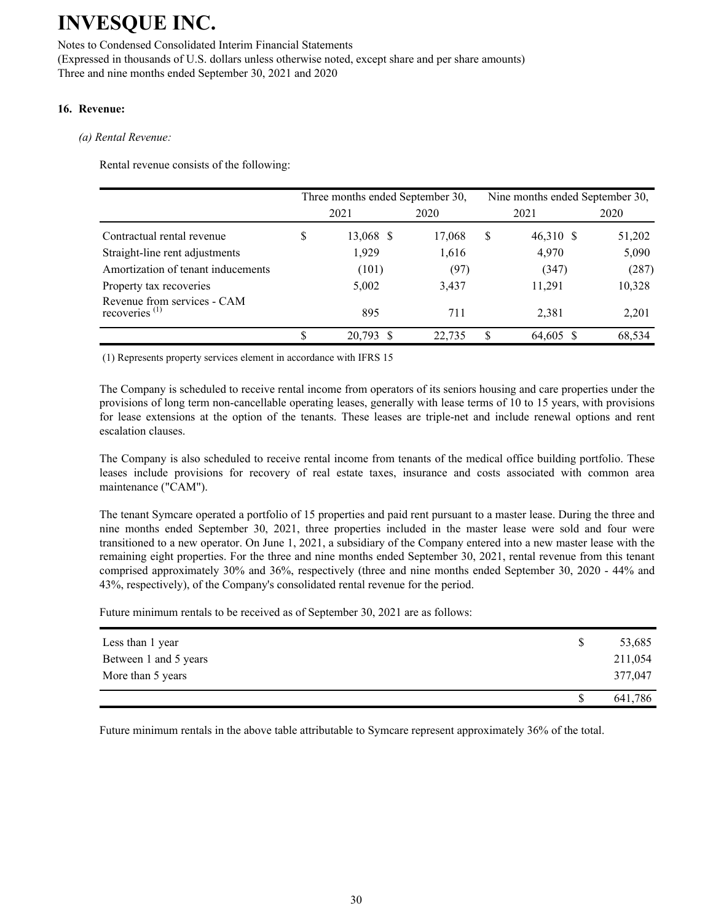Notes to Condensed Consolidated Interim Financial Statements (Expressed in thousands of U.S. dollars unless otherwise noted, except share and per share amounts) Three and nine months ended September 30, 2021 and 2020

### **16. Revenue:**

### *(a) Rental Revenue:*

Rental revenue consists of the following:

|                                                 |              | Three months ended September 30, |        | Nine months ended September 30, |           |        |  |  |
|-------------------------------------------------|--------------|----------------------------------|--------|---------------------------------|-----------|--------|--|--|
|                                                 | 2021         |                                  | 2020   |                                 | 2021      | 2020   |  |  |
| Contractual rental revenue                      | <sup>S</sup> | 13,068 \$                        | 17,068 | \$                              | 46,310 \$ | 51,202 |  |  |
| Straight-line rent adjustments                  |              | 1,929                            | 1,616  |                                 | 4,970     | 5,090  |  |  |
| Amortization of tenant inducements              |              | (101)                            | (97)   |                                 | (347)     | (287)  |  |  |
| Property tax recoveries                         |              | 5,002                            | 3,437  |                                 | 11,291    | 10,328 |  |  |
| Revenue from services - CAM<br>recoveries $(1)$ |              | 895                              | 711    |                                 | 2,381     | 2,201  |  |  |
|                                                 |              | 20.793                           | 22.735 | S                               | 64.605 \$ | 68,534 |  |  |

(1) Represents property services element in accordance with IFRS 15

The Company is scheduled to receive rental income from operators of its seniors housing and care properties under the provisions of long term non-cancellable operating leases, generally with lease terms of 10 to 15 years, with provisions for lease extensions at the option of the tenants. These leases are triple-net and include renewal options and rent escalation clauses.

The Company is also scheduled to receive rental income from tenants of the medical office building portfolio. These leases include provisions for recovery of real estate taxes, insurance and costs associated with common area maintenance ("CAM").

The tenant Symcare operated a portfolio of 15 properties and paid rent pursuant to a master lease. During the three and nine months ended September 30, 2021, three properties included in the master lease were sold and four were transitioned to a new operator. On June 1, 2021, a subsidiary of the Company entered into a new master lease with the remaining eight properties. For the three and nine months ended September 30, 2021, rental revenue from this tenant comprised approximately 30% and 36%, respectively (three and nine months ended September 30, 2020 - 44% and 43%, respectively), of the Company's consolidated rental revenue for the period.

Future minimum rentals to be received as of September 30, 2021 are as follows:

| Less than 1 year      | 53,685  |
|-----------------------|---------|
| Between 1 and 5 years | 211,054 |
| More than 5 years     | 377,047 |
|                       | 641,786 |

Future minimum rentals in the above table attributable to Symcare represent approximately 36% of the total.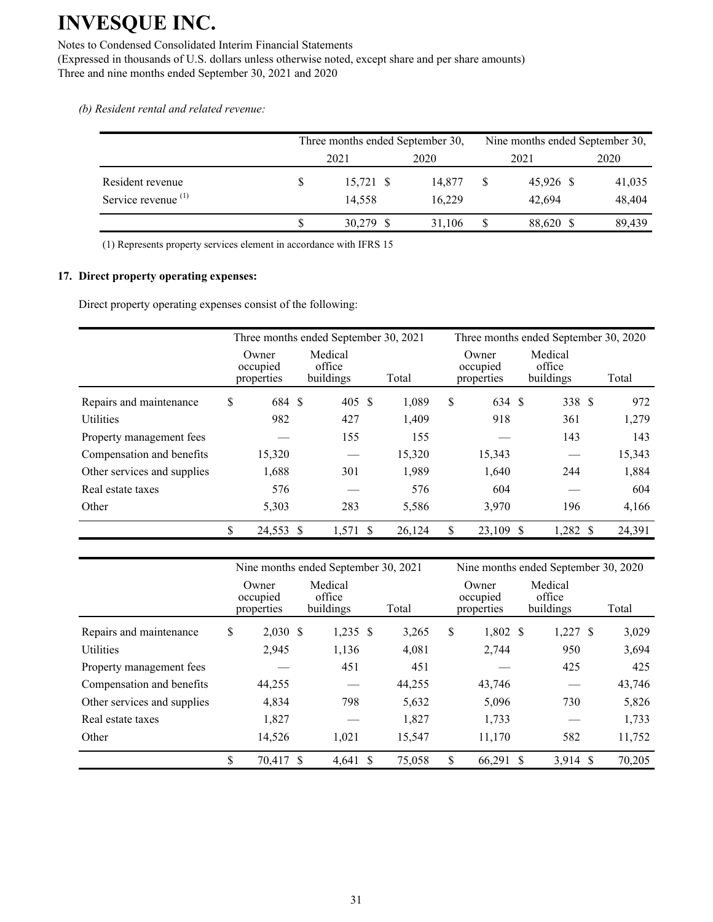Notes to Condensed Consolidated Interim Financial Statements

(Expressed in thousands of U.S. dollars unless otherwise noted, except share and per share amounts) Three and nine months ended September 30, 2021 and 2020

*(b) Resident rental and related revenue:*

|                                | Three months ended September 30, |        |   | Nine months ended September 30, |        |
|--------------------------------|----------------------------------|--------|---|---------------------------------|--------|
|                                | 2021                             | 2020   |   | 2021                            | 2020   |
| Resident revenue               | $15,721$ \$                      | 14.877 | S | 45,926 \$                       | 41,035 |
| Service revenue <sup>(1)</sup> | 14,558                           | 16.229 |   | 42.694                          | 48,404 |
|                                | 30,279 \$                        | 31.106 | S | 88,620 \$                       | 89,439 |

(1) Represents property services element in accordance with IFRS 15

### **17. Direct property operating expenses:**

Direct property operating expenses consist of the following:

|                             | Three months ended September 30, 2021 |                                |        | Three months ended September 30, 2020 |                                 |                                |  |  |        |
|-----------------------------|---------------------------------------|--------------------------------|--------|---------------------------------------|---------------------------------|--------------------------------|--|--|--------|
|                             | Owner<br>occupied<br>properties       | Medical<br>office<br>buildings | Total  |                                       | Owner<br>occupied<br>properties | Medical<br>office<br>buildings |  |  | Total  |
| Repairs and maintenance     | \$<br>684 \$                          | 405 \$                         | 1,089  | \$                                    | 634 \$                          | 338 \$                         |  |  | 972    |
| <b>Utilities</b>            | 982                                   | 427                            | 1,409  |                                       | 918                             | 361                            |  |  | 1,279  |
| Property management fees    |                                       | 155                            | 155    |                                       |                                 | 143                            |  |  | 143    |
| Compensation and benefits   | 15,320                                |                                | 15,320 |                                       | 15,343                          |                                |  |  | 15,343 |
| Other services and supplies | 1,688                                 | 301                            | 1,989  |                                       | 1,640                           | 244                            |  |  | 1,884  |
| Real estate taxes           | 576                                   |                                | 576    |                                       | 604                             |                                |  |  | 604    |
| Other                       | 5,303                                 | 283                            | 5,586  |                                       | 3,970                           | 196                            |  |  | 4,166  |
|                             | \$<br>24,553 \$                       | $1,571$ \$                     | 26,124 | \$                                    | 23,109                          | $1,282$ \$<br><sup>\$</sup>    |  |  | 24,391 |

|                             | Nine months ended September 30, 2021 |                                |        | Nine months ended September 30, 2020 |                                 |    |                                |  |        |
|-----------------------------|--------------------------------------|--------------------------------|--------|--------------------------------------|---------------------------------|----|--------------------------------|--|--------|
|                             | Owner<br>occupied<br>properties      | Medical<br>office<br>buildings | Total  |                                      | Owner<br>occupied<br>properties |    | Medical<br>office<br>buildings |  | Total  |
| Repairs and maintenance     | \$<br>$2,030$ \$                     | $1,235$ \$                     | 3,265  | \$                                   | $1,802$ \$                      |    | $1,227$ \$                     |  | 3,029  |
| <b>Utilities</b>            | 2,945                                | 1,136                          | 4,081  |                                      | 2,744                           |    | 950                            |  | 3,694  |
| Property management fees    |                                      | 451                            | 451    |                                      |                                 |    | 425                            |  | 425    |
| Compensation and benefits   | 44,255                               |                                | 44,255 |                                      | 43,746                          |    |                                |  | 43,746 |
| Other services and supplies | 4,834                                | 798                            | 5,632  |                                      | 5,096                           |    | 730                            |  | 5,826  |
| Real estate taxes           | 1,827                                |                                | 1,827  |                                      | 1,733                           |    |                                |  | 1,733  |
| Other                       | 14,526                               | 1,021                          | 15,547 |                                      | 11,170                          |    | 582                            |  | 11,752 |
|                             | \$<br>70,417 \$                      | $4,641$ \$                     | 75,058 | \$                                   | 66,291                          | -S | 3.914S                         |  | 70,205 |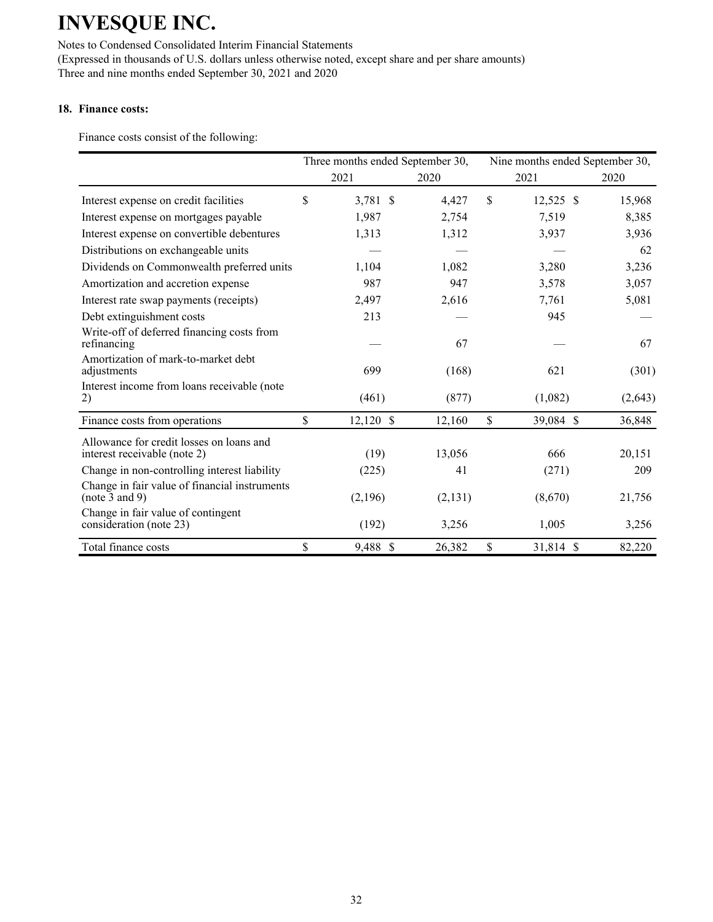Notes to Condensed Consolidated Interim Financial Statements (Expressed in thousands of U.S. dollars unless otherwise noted, except share and per share amounts) Three and nine months ended September 30, 2021 and 2020

### **18. Finance costs:**

Finance costs consist of the following:

|                                                                          | Three months ended September 30, |         | Nine months ended September 30, |             |         |  |
|--------------------------------------------------------------------------|----------------------------------|---------|---------------------------------|-------------|---------|--|
|                                                                          | 2021                             | 2020    |                                 | 2021        | 2020    |  |
| Interest expense on credit facilities                                    | \$<br>3,781 \$                   | 4,427   | \$.                             | $12,525$ \$ | 15,968  |  |
| Interest expense on mortgages payable                                    | 1,987                            | 2,754   |                                 | 7,519       | 8,385   |  |
| Interest expense on convertible debentures                               | 1,313                            | 1,312   |                                 | 3,937       | 3,936   |  |
| Distributions on exchangeable units                                      |                                  |         |                                 |             | 62      |  |
| Dividends on Commonwealth preferred units                                | 1,104                            | 1,082   |                                 | 3,280       | 3,236   |  |
| Amortization and accretion expense                                       | 987                              | 947     |                                 | 3,578       | 3,057   |  |
| Interest rate swap payments (receipts)                                   | 2,497                            | 2,616   |                                 | 7,761       | 5,081   |  |
| Debt extinguishment costs                                                | 213                              |         |                                 | 945         |         |  |
| Write-off of deferred financing costs from<br>refinancing                |                                  | 67      |                                 |             | 67      |  |
| Amortization of mark-to-market debt<br>adjustments                       | 699                              | (168)   |                                 | 621         | (301)   |  |
| Interest income from loans receivable (note<br>2)                        | (461)                            | (877)   |                                 | (1,082)     | (2,643) |  |
| Finance costs from operations                                            | \$<br>$12,120$ \$                | 12,160  | \$                              | 39,084 \$   | 36,848  |  |
| Allowance for credit losses on loans and<br>interest receivable (note 2) | (19)                             | 13,056  |                                 | 666         | 20,151  |  |
| Change in non-controlling interest liability                             | (225)                            | 41      |                                 | (271)       | 209     |  |
| Change in fair value of financial instruments<br>(note 3 and 9)          | (2,196)                          | (2,131) |                                 | (8,670)     | 21,756  |  |
| Change in fair value of contingent<br>consideration (note 23)            | (192)                            | 3,256   |                                 | 1,005       | 3,256   |  |
| Total finance costs                                                      | \$<br>9,488 \$                   | 26,382  | \$                              | 31,814 \$   | 82,220  |  |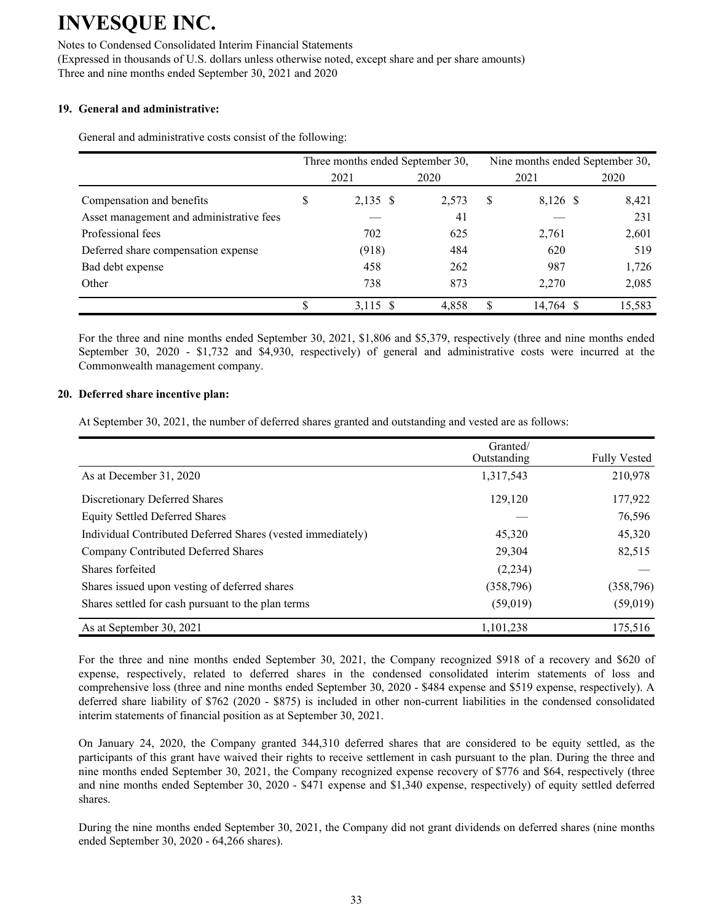Notes to Condensed Consolidated Interim Financial Statements (Expressed in thousands of U.S. dollars unless otherwise noted, except share and per share amounts) Three and nine months ended September 30, 2021 and 2020

### **19. General and administrative:**

General and administrative costs consist of the following:

|                                          |      | Three months ended September 30, |       | Nine months ended September 30, |           |        |  |  |
|------------------------------------------|------|----------------------------------|-------|---------------------------------|-----------|--------|--|--|
|                                          | 2021 |                                  | 2020  |                                 | 2021      | 2020   |  |  |
| Compensation and benefits                | \$   | 2,135 \$                         | 2,573 | S                               | 8,126 \$  | 8,421  |  |  |
| Asset management and administrative fees |      |                                  | 41    |                                 |           | 231    |  |  |
| Professional fees                        |      | 702                              | 625   |                                 | 2,761     | 2,601  |  |  |
| Deferred share compensation expense      |      | (918)                            | 484   |                                 | 620       | 519    |  |  |
| Bad debt expense                         |      | 458                              | 262   |                                 | 987       | 1,726  |  |  |
| Other                                    |      | 738                              | 873   |                                 | 2.270     | 2,085  |  |  |
|                                          | \$   | 3,115 \$                         | 4.858 |                                 | 14,764 \$ | 15,583 |  |  |

For the three and nine months ended September 30, 2021, \$1,806 and \$5,379, respectively (three and nine months ended September 30, 2020 - \$1,732 and \$4,930, respectively) of general and administrative costs were incurred at the Commonwealth management company.

#### **20. Deferred share incentive plan:**

At September 30, 2021, the number of deferred shares granted and outstanding and vested are as follows:

|                                                             | Granted/<br>Outstanding | <b>Fully Vested</b> |
|-------------------------------------------------------------|-------------------------|---------------------|
| As at December 31, 2020                                     | 1,317,543               | 210,978             |
| Discretionary Deferred Shares                               | 129,120                 | 177,922             |
| <b>Equity Settled Deferred Shares</b>                       |                         | 76,596              |
| Individual Contributed Deferred Shares (vested immediately) | 45,320                  | 45,320              |
| Company Contributed Deferred Shares                         | 29,304                  | 82,515              |
| Shares forfeited                                            | (2,234)                 |                     |
| Shares issued upon vesting of deferred shares               | (358, 796)              | (358, 796)          |
| Shares settled for cash pursuant to the plan terms          | (59,019)                | (59, 019)           |
| As at September 30, 2021                                    | 1,101,238               | 175,516             |

For the three and nine months ended September 30, 2021, the Company recognized \$918 of a recovery and \$620 of expense, respectively, related to deferred shares in the condensed consolidated interim statements of loss and comprehensive loss (three and nine months ended September 30, 2020 - \$484 expense and \$519 expense, respectively). A deferred share liability of \$762 (2020 - \$875) is included in other non-current liabilities in the condensed consolidated interim statements of financial position as at September 30, 2021.

On January 24, 2020, the Company granted 344,310 deferred shares that are considered to be equity settled, as the participants of this grant have waived their rights to receive settlement in cash pursuant to the plan. During the three and nine months ended September 30, 2021, the Company recognized expense recovery of \$776 and \$64, respectively (three and nine months ended September 30, 2020 - \$471 expense and \$1,340 expense, respectively) of equity settled deferred shares.

During the nine months ended September 30, 2021, the Company did not grant dividends on deferred shares (nine months ended September 30, 2020 - 64,266 shares).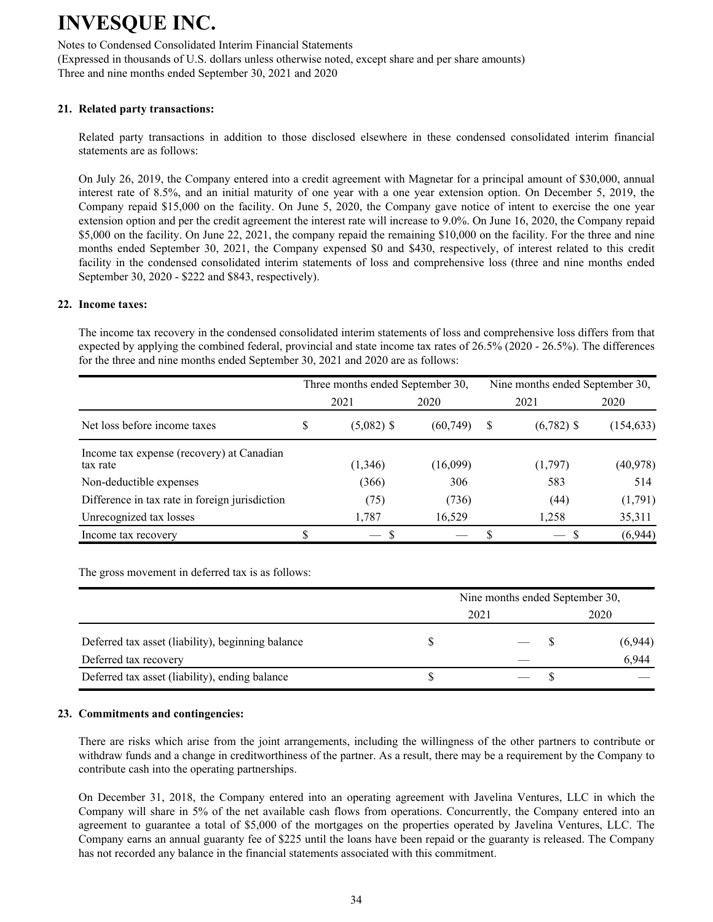Notes to Condensed Consolidated Interim Financial Statements (Expressed in thousands of U.S. dollars unless otherwise noted, except share and per share amounts) Three and nine months ended September 30, 2021 and 2020

#### **21. Related party transactions:**

Related party transactions in addition to those disclosed elsewhere in these condensed consolidated interim financial statements are as follows:

On July 26, 2019, the Company entered into a credit agreement with Magnetar for a principal amount of \$30,000, annual interest rate of 8.5%, and an initial maturity of one year with a one year extension option. On December 5, 2019, the Company repaid \$15,000 on the facility. On June 5, 2020, the Company gave notice of intent to exercise the one year extension option and per the credit agreement the interest rate will increase to 9.0%. On June 16, 2020, the Company repaid \$5,000 on the facility. On June 22, 2021, the company repaid the remaining \$10,000 on the facility. For the three and nine months ended September 30, 2021, the Company expensed \$0 and \$430, respectively, of interest related to this credit facility in the condensed consolidated interim statements of loss and comprehensive loss (three and nine months ended September 30, 2020 - \$222 and \$843, respectively).

#### **22. Income taxes:**

The income tax recovery in the condensed consolidated interim statements of loss and comprehensive loss differs from that expected by applying the combined federal, provincial and state income tax rates of 26.5% (2020 - 26.5%). The differences for the three and nine months ended September 30, 2021 and 2020 are as follows:

|                                                       |   | Three months ended September 30, |           | Nine months ended September 30, |              |            |  |  |  |
|-------------------------------------------------------|---|----------------------------------|-----------|---------------------------------|--------------|------------|--|--|--|
|                                                       |   | 2021                             | 2020      |                                 | 2021         | 2020       |  |  |  |
| Net loss before income taxes                          | S | $(5,082)$ \$                     | (60, 749) | S                               | $(6,782)$ \$ | (154, 633) |  |  |  |
| Income tax expense (recovery) at Canadian<br>tax rate |   | (1,346)                          | (16,099)  |                                 | (1,797)      | (40, 978)  |  |  |  |
| Non-deductible expenses                               |   | (366)                            | 306       |                                 | 583          | 514        |  |  |  |
| Difference in tax rate in foreign jurisdiction        |   | (75)                             | (736)     |                                 | (44)         | (1,791)    |  |  |  |
| Unrecognized tax losses                               |   | 1,787                            | 16,529    |                                 | 1,258        | 35,311     |  |  |  |
| Income tax recovery                                   |   |                                  |           |                                 |              | (6,944)    |  |  |  |

The gross movement in deferred tax is as follows:

|                                                   |      | Nine months ended September 30, |         |
|---------------------------------------------------|------|---------------------------------|---------|
|                                                   | 2021 |                                 | 2020    |
| Deferred tax asset (liability), beginning balance |      |                                 | (6,944) |
| Deferred tax recovery                             |      |                                 | 6,944   |
| Deferred tax asset (liability), ending balance    |      |                                 |         |

#### **23. Commitments and contingencies:**

There are risks which arise from the joint arrangements, including the willingness of the other partners to contribute or withdraw funds and a change in creditworthiness of the partner. As a result, there may be a requirement by the Company to contribute cash into the operating partnerships.

On December 31, 2018, the Company entered into an operating agreement with Javelina Ventures, LLC in which the Company will share in 5% of the net available cash flows from operations. Concurrently, the Company entered into an agreement to guarantee a total of \$5,000 of the mortgages on the properties operated by Javelina Ventures, LLC. The Company earns an annual guaranty fee of \$225 until the loans have been repaid or the guaranty is released. The Company has not recorded any balance in the financial statements associated with this commitment.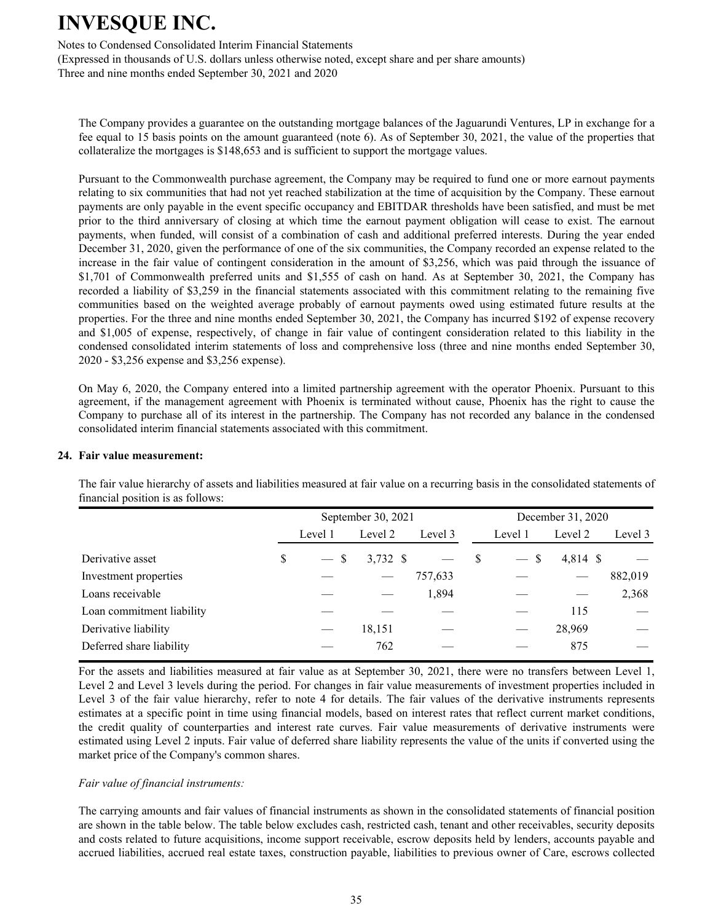Notes to Condensed Consolidated Interim Financial Statements

(Expressed in thousands of U.S. dollars unless otherwise noted, except share and per share amounts) Three and nine months ended September 30, 2021 and 2020

The Company provides a guarantee on the outstanding mortgage balances of the Jaguarundi Ventures, LP in exchange for a fee equal to 15 basis points on the amount guaranteed (note 6). As of September 30, 2021, the value of the properties that collateralize the mortgages is \$148,653 and is sufficient to support the mortgage values.

Pursuant to the Commonwealth purchase agreement, the Company may be required to fund one or more earnout payments relating to six communities that had not yet reached stabilization at the time of acquisition by the Company. These earnout payments are only payable in the event specific occupancy and EBITDAR thresholds have been satisfied, and must be met prior to the third anniversary of closing at which time the earnout payment obligation will cease to exist. The earnout payments, when funded, will consist of a combination of cash and additional preferred interests. During the year ended December 31, 2020, given the performance of one of the six communities, the Company recorded an expense related to the increase in the fair value of contingent consideration in the amount of \$3,256, which was paid through the issuance of \$1,701 of Commonwealth preferred units and \$1,555 of cash on hand. As at September 30, 2021, the Company has recorded a liability of \$3,259 in the financial statements associated with this commitment relating to the remaining five communities based on the weighted average probably of earnout payments owed using estimated future results at the properties. For the three and nine months ended September 30, 2021, the Company has incurred \$192 of expense recovery and \$1,005 of expense, respectively, of change in fair value of contingent consideration related to this liability in the condensed consolidated interim statements of loss and comprehensive loss (three and nine months ended September 30, 2020 - \$3,256 expense and \$3,256 expense).

On May 6, 2020, the Company entered into a limited partnership agreement with the operator Phoenix. Pursuant to this agreement, if the management agreement with Phoenix is terminated without cause, Phoenix has the right to cause the Company to purchase all of its interest in the partnership. The Company has not recorded any balance in the condensed consolidated interim financial statements associated with this commitment.

#### **24. Fair value measurement:**

The fair value hierarchy of assets and liabilities measured at fair value on a recurring basis in the consolidated statements of financial position is as follows:

|                           |              | September 30, 2021 |         |    | December 31, 2020 |          |         |  |  |
|---------------------------|--------------|--------------------|---------|----|-------------------|----------|---------|--|--|
|                           | Level 1      | Level 2            | Level 3 |    | Level 1           | Level 2  | Level 3 |  |  |
| Derivative asset          | \$<br>$-$ \$ | 3,732 \$           |         | -S | $-$ \$            | 4,814 \$ |         |  |  |
| Investment properties     |              |                    | 757,633 |    |                   |          | 882,019 |  |  |
| Loans receivable          |              |                    | 1,894   |    |                   |          | 2,368   |  |  |
| Loan commitment liability |              |                    |         |    |                   | 115      |         |  |  |
| Derivative liability      |              | 18,151             |         |    |                   | 28,969   |         |  |  |
| Deferred share liability  |              | 762                |         |    |                   | 875      |         |  |  |

 For the assets and liabilities measured at fair value as at September 30, 2021, there were no transfers between Level 1, Level 2 and Level 3 levels during the period. For changes in fair value measurements of investment properties included in Level 3 of the fair value hierarchy, refer to note 4 for details. The fair values of the derivative instruments represents estimates at a specific point in time using financial models, based on interest rates that reflect current market conditions, the credit quality of counterparties and interest rate curves. Fair value measurements of derivative instruments were estimated using Level 2 inputs. Fair value of deferred share liability represents the value of the units if converted using the market price of the Company's common shares.

### *Fair value of financial instruments:*

The carrying amounts and fair values of financial instruments as shown in the consolidated statements of financial position are shown in the table below. The table below excludes cash, restricted cash, tenant and other receivables, security deposits and costs related to future acquisitions, income support receivable, escrow deposits held by lenders, accounts payable and accrued liabilities, accrued real estate taxes, construction payable, liabilities to previous owner of Care, escrows collected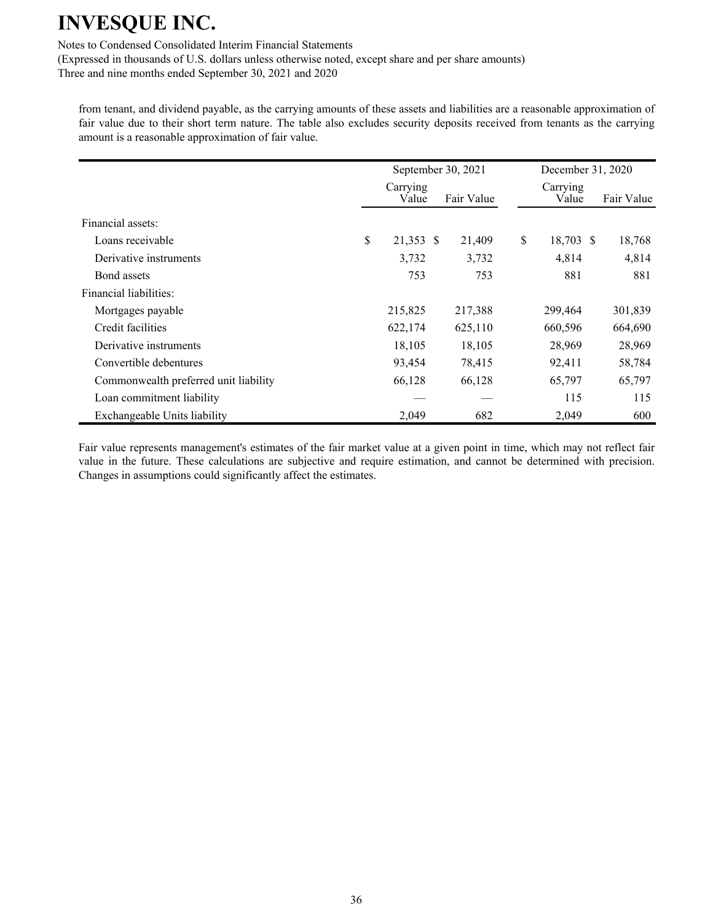Notes to Condensed Consolidated Interim Financial Statements

(Expressed in thousands of U.S. dollars unless otherwise noted, except share and per share amounts)

Three and nine months ended September 30, 2021 and 2020

from tenant, and dividend payable, as the carrying amounts of these assets and liabilities are a reasonable approximation of fair value due to their short term nature. The table also excludes security deposits received from tenants as the carrying amount is a reasonable approximation of fair value.

|                                       | September 30, 2021 |            | December 31, 2020 |            |  |  |
|---------------------------------------|--------------------|------------|-------------------|------------|--|--|
|                                       | Carrying<br>Value  | Fair Value | Carrying<br>Value | Fair Value |  |  |
| Financial assets:                     |                    |            |                   |            |  |  |
| Loans receivable                      | \$<br>21,353 \$    | 21,409     | \$<br>18,703 \$   | 18,768     |  |  |
| Derivative instruments                | 3,732              | 3,732      | 4,814             | 4,814      |  |  |
| Bond assets                           | 753                | 753        | 881               | 881        |  |  |
| Financial liabilities:                |                    |            |                   |            |  |  |
| Mortgages payable                     | 215,825            | 217,388    | 299,464           | 301,839    |  |  |
| Credit facilities                     | 622,174            | 625,110    | 660,596           | 664,690    |  |  |
| Derivative instruments                | 18,105             | 18,105     | 28,969            | 28,969     |  |  |
| Convertible debentures                | 93,454             | 78,415     | 92,411            | 58,784     |  |  |
| Commonwealth preferred unit liability | 66,128             | 66,128     | 65,797            | 65,797     |  |  |
| Loan commitment liability             |                    |            | 115               | 115        |  |  |
| Exchangeable Units liability          | 2,049              | 682        | 2,049             | 600        |  |  |

Fair value represents management's estimates of the fair market value at a given point in time, which may not reflect fair value in the future. These calculations are subjective and require estimation, and cannot be determined with precision. Changes in assumptions could significantly affect the estimates.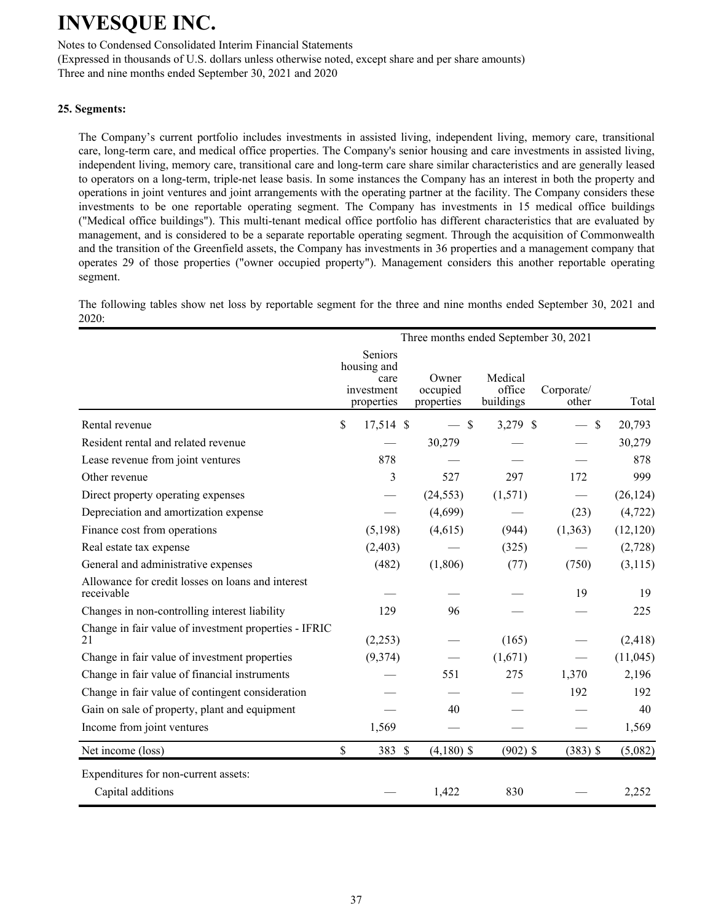Notes to Condensed Consolidated Interim Financial Statements

(Expressed in thousands of U.S. dollars unless otherwise noted, except share and per share amounts)

Three and nine months ended September 30, 2021 and 2020

### **25. Segments:**

The Company's current portfolio includes investments in assisted living, independent living, memory care, transitional care, long-term care, and medical office properties. The Company's senior housing and care investments in assisted living, independent living, memory care, transitional care and long-term care share similar characteristics and are generally leased to operators on a long-term, triple-net lease basis. In some instances the Company has an interest in both the property and operations in joint ventures and joint arrangements with the operating partner at the facility. The Company considers these investments to be one reportable operating segment. The Company has investments in 15 medical office buildings ("Medical office buildings"). This multi-tenant medical office portfolio has different characteristics that are evaluated by management, and is considered to be a separate reportable operating segment. Through the acquisition of Commonwealth and the transition of the Greenfield assets, the Company has investments in 36 properties and a management company that operates 29 of those properties ("owner occupied property"). Management considers this another reportable operating segment.

The following tables show net loss by reportable segment for the three and nine months ended September 30, 2021 and 2020:

|                                                                 |               |                                                            |                                 | Three months ended September 30, 2021 |                     |           |
|-----------------------------------------------------------------|---------------|------------------------------------------------------------|---------------------------------|---------------------------------------|---------------------|-----------|
|                                                                 |               | Seniors<br>housing and<br>care<br>investment<br>properties | Owner<br>occupied<br>properties | Medical<br>office<br>buildings        | Corporate/<br>other | Total     |
| Rental revenue                                                  | $\mathsf{\$}$ | 17,514 \$                                                  | - \$                            | 3,279 \$                              | $\mathsf{\$}$       | 20,793    |
| Resident rental and related revenue                             |               |                                                            | 30,279                          |                                       |                     | 30,279    |
| Lease revenue from joint ventures                               |               | 878                                                        |                                 |                                       |                     | 878       |
| Other revenue                                                   |               | 3                                                          | 527                             | 297                                   | 172                 | 999       |
| Direct property operating expenses                              |               |                                                            | (24, 553)                       | (1,571)                               |                     | (26, 124) |
| Depreciation and amortization expense                           |               |                                                            | (4,699)                         |                                       | (23)                | (4, 722)  |
| Finance cost from operations                                    |               | (5,198)                                                    | (4,615)                         | (944)                                 | (1,363)             | (12, 120) |
| Real estate tax expense                                         |               | (2,403)                                                    |                                 | (325)                                 |                     | (2,728)   |
| General and administrative expenses                             |               | (482)                                                      | (1,806)                         | (77)                                  | (750)               | (3,115)   |
| Allowance for credit losses on loans and interest<br>receivable |               |                                                            |                                 |                                       | 19                  | 19        |
| Changes in non-controlling interest liability                   |               | 129                                                        | 96                              |                                       |                     | 225       |
| Change in fair value of investment properties - IFRIC<br>21     |               | (2,253)                                                    |                                 | (165)                                 |                     | (2, 418)  |
| Change in fair value of investment properties                   |               | (9,374)                                                    |                                 | (1,671)                               |                     | (11,045)  |
| Change in fair value of financial instruments                   |               |                                                            | 551                             | 275                                   | 1,370               | 2,196     |
| Change in fair value of contingent consideration                |               |                                                            |                                 |                                       | 192                 | 192       |
| Gain on sale of property, plant and equipment                   |               |                                                            | 40                              |                                       |                     | 40        |
| Income from joint ventures                                      |               | 1,569                                                      |                                 |                                       |                     | 1,569     |
| Net income (loss)                                               | $\mathsf{\$}$ | 383 \$                                                     | $(4,180)$ \$                    | $(902)$ \$                            | $(383)$ \$          | (5,082)   |
| Expenditures for non-current assets:<br>Capital additions       |               |                                                            | 1,422                           | 830                                   |                     | 2,252     |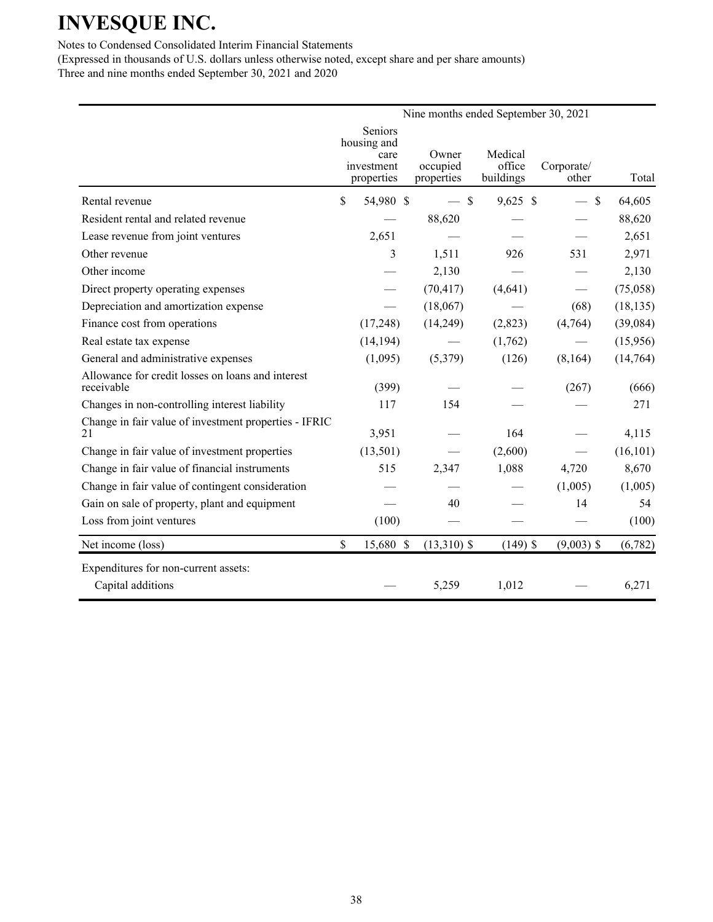Notes to Condensed Consolidated Interim Financial Statements

|                                                                 |               |                                                            |                        |               | Nine months ended September 30, 2021 |                     |           |
|-----------------------------------------------------------------|---------------|------------------------------------------------------------|------------------------|---------------|--------------------------------------|---------------------|-----------|
|                                                                 |               | Seniors<br>housing and<br>care<br>investment<br>properties | occupied<br>properties | Owner         | Medical<br>office<br>buildings       | Corporate/<br>other | Total     |
| Rental revenue                                                  | \$            | 54,980 \$                                                  |                        | $-$ \$        | $9,625$ \$                           | $\mathcal{S}$       | 64,605    |
| Resident rental and related revenue                             |               |                                                            | 88,620                 |               |                                      |                     | 88,620    |
| Lease revenue from joint ventures                               |               | 2,651                                                      |                        |               |                                      |                     | 2,651     |
| Other revenue                                                   |               | 3                                                          |                        | 1,511         | 926                                  | 531                 | 2,971     |
| Other income                                                    |               |                                                            |                        | 2,130         |                                      |                     | 2,130     |
| Direct property operating expenses                              |               |                                                            | (70, 417)              |               | (4,641)                              |                     | (75,058)  |
| Depreciation and amortization expense                           |               |                                                            | (18,067)               |               |                                      | (68)                | (18, 135) |
| Finance cost from operations                                    |               | (17,248)                                                   | (14,249)               |               | (2,823)                              | (4,764)             | (39,084)  |
| Real estate tax expense                                         |               | (14, 194)                                                  |                        |               | (1,762)                              |                     | (15,956)  |
| General and administrative expenses                             |               | (1,095)                                                    |                        | (5,379)       | (126)                                | (8,164)             | (14,764)  |
| Allowance for credit losses on loans and interest<br>receivable |               | (399)                                                      |                        |               |                                      | (267)               | (666)     |
| Changes in non-controlling interest liability                   |               | 117                                                        |                        | 154           |                                      |                     | 271       |
| Change in fair value of investment properties - IFRIC<br>21     |               | 3,951                                                      |                        |               | 164                                  |                     | 4,115     |
| Change in fair value of investment properties                   |               | (13,501)                                                   |                        |               | (2,600)                              |                     | (16, 101) |
| Change in fair value of financial instruments                   |               | 515                                                        |                        | 2,347         | 1,088                                | 4,720               | 8,670     |
| Change in fair value of contingent consideration                |               |                                                            |                        |               |                                      | (1,005)             | (1,005)   |
| Gain on sale of property, plant and equipment                   |               |                                                            |                        | 40            |                                      | 14                  | 54        |
| Loss from joint ventures                                        |               | (100)                                                      |                        |               |                                      |                     | (100)     |
| Net income (loss)                                               | $\mathsf{\$}$ | 15,680 \$                                                  |                        | $(13,310)$ \$ | $(149)$ \$                           | $(9,003)$ \$        | (6,782)   |
| Expenditures for non-current assets:<br>Capital additions       |               |                                                            |                        | 5,259         | 1,012                                |                     | 6,271     |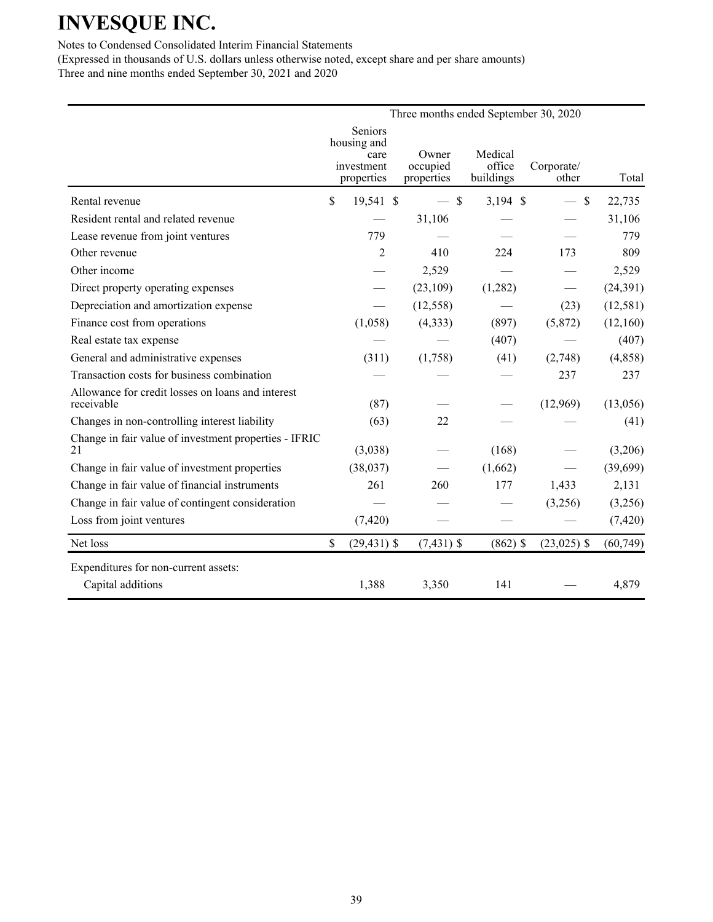Notes to Condensed Consolidated Interim Financial Statements

|                                                                 |                                                            | Three months ended September 30, 2020 |                                |                     |           |
|-----------------------------------------------------------------|------------------------------------------------------------|---------------------------------------|--------------------------------|---------------------|-----------|
|                                                                 | Seniors<br>housing and<br>care<br>investment<br>properties | Owner<br>occupied<br>properties       | Medical<br>office<br>buildings | Corporate/<br>other | Total     |
| Rental revenue                                                  | \$<br>19,541 \$                                            | $-$ \$                                | $3,194$ \$                     | $\mathcal{S}$       | 22,735    |
| Resident rental and related revenue                             |                                                            | 31,106                                |                                |                     | 31,106    |
| Lease revenue from joint ventures                               | 779                                                        |                                       |                                |                     | 779       |
| Other revenue                                                   | $\mathfrak{D}$                                             | 410                                   | 224                            | 173                 | 809       |
| Other income                                                    |                                                            | 2,529                                 |                                |                     | 2,529     |
| Direct property operating expenses                              |                                                            | (23,109)                              | (1,282)                        |                     | (24, 391) |
| Depreciation and amortization expense                           |                                                            | (12, 558)                             |                                | (23)                | (12, 581) |
| Finance cost from operations                                    | (1,058)                                                    | (4, 333)                              | (897)                          | (5,872)             | (12,160)  |
| Real estate tax expense                                         |                                                            |                                       | (407)                          |                     | (407)     |
| General and administrative expenses                             | (311)                                                      | (1,758)                               | (41)                           | (2,748)             | (4,858)   |
| Transaction costs for business combination                      |                                                            |                                       |                                | 237                 | 237       |
| Allowance for credit losses on loans and interest<br>receivable | (87)                                                       |                                       |                                | (12,969)            | (13,056)  |
| Changes in non-controlling interest liability                   | (63)                                                       | 22                                    |                                |                     | (41)      |
| Change in fair value of investment properties - IFRIC<br>21     | (3,038)                                                    |                                       | (168)                          |                     | (3,206)   |
| Change in fair value of investment properties                   | (38,037)                                                   |                                       | (1,662)                        |                     | (39,699)  |
| Change in fair value of financial instruments                   | 261                                                        | 260                                   | 177                            | 1,433               | 2,131     |
| Change in fair value of contingent consideration                |                                                            |                                       |                                | (3,256)             | (3,256)   |
| Loss from joint ventures                                        | (7, 420)                                                   |                                       |                                |                     | (7, 420)  |
| Net loss                                                        | \$<br>$(29, 431)$ \$                                       | $(7,431)$ \$                          | $(862)$ \$                     | $(23,025)$ \$       | (60, 749) |
| Expenditures for non-current assets:                            |                                                            |                                       |                                |                     |           |
| Capital additions                                               | 1,388                                                      | 3,350                                 | 141                            |                     | 4,879     |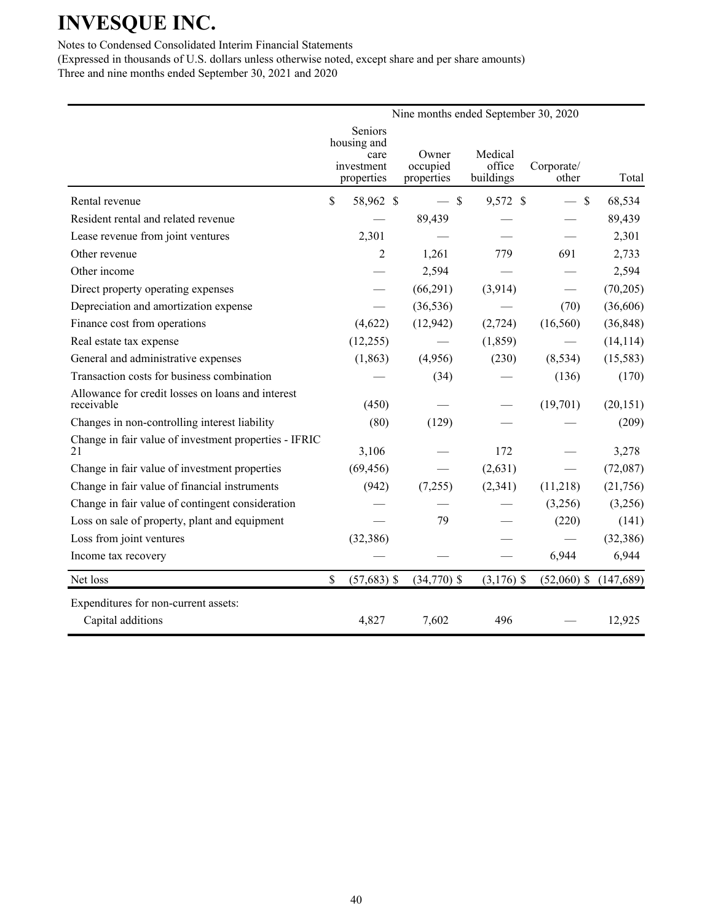Notes to Condensed Consolidated Interim Financial Statements

|                                                                 |                                | Nine months ended September 30, 2020 |                     |                     |            |
|-----------------------------------------------------------------|--------------------------------|--------------------------------------|---------------------|---------------------|------------|
|                                                                 | Seniors<br>housing and<br>care | Owner                                | Medical             |                     |            |
|                                                                 | investment<br>properties       | occupied<br>properties               | office<br>buildings | Corporate/<br>other | Total      |
| Rental revenue                                                  | \$<br>58,962 \$                | $-$ \$                               | 9,572 \$            | $-$ \$              | 68,534     |
| Resident rental and related revenue                             |                                | 89,439                               |                     |                     | 89,439     |
| Lease revenue from joint ventures                               | 2,301                          |                                      |                     |                     | 2,301      |
| Other revenue                                                   | 2                              | 1,261                                | 779                 | 691                 | 2,733      |
| Other income                                                    |                                | 2,594                                |                     |                     | 2,594      |
| Direct property operating expenses                              |                                | (66,291)                             | (3,914)             |                     | (70, 205)  |
| Depreciation and amortization expense                           |                                | (36, 536)                            |                     | (70)                | (36,606)   |
| Finance cost from operations                                    | (4,622)                        | (12, 942)                            | (2, 724)            | (16, 560)           | (36, 848)  |
| Real estate tax expense                                         | (12,255)                       |                                      | (1, 859)            |                     | (14, 114)  |
| General and administrative expenses                             | (1, 863)                       | (4,956)                              | (230)               | (8, 534)            | (15, 583)  |
| Transaction costs for business combination                      |                                | (34)                                 |                     | (136)               | (170)      |
| Allowance for credit losses on loans and interest<br>receivable | (450)                          |                                      |                     | (19,701)            | (20, 151)  |
| Changes in non-controlling interest liability                   | (80)                           | (129)                                |                     |                     | (209)      |
| Change in fair value of investment properties - IFRIC<br>21     | 3,106                          |                                      | 172                 |                     | 3,278      |
| Change in fair value of investment properties                   | (69, 456)                      |                                      | (2,631)             |                     | (72,087)   |
| Change in fair value of financial instruments                   | (942)                          | (7,255)                              | (2,341)             | (11,218)            | (21,756)   |
| Change in fair value of contingent consideration                |                                |                                      |                     | (3,256)             | (3,256)    |
| Loss on sale of property, plant and equipment                   |                                | 79                                   |                     | (220)               | (141)      |
| Loss from joint ventures                                        | (32, 386)                      |                                      |                     |                     | (32, 386)  |
| Income tax recovery                                             |                                |                                      |                     | 6,944               | 6,944      |
| Net loss                                                        | \$<br>$(57,683)$ \$            | $(34,770)$ \$                        | $(3,176)$ \$        | $(52,060)$ \$       | (147, 689) |
| Expenditures for non-current assets:                            |                                |                                      |                     |                     |            |
| Capital additions                                               | 4,827                          | 7,602                                | 496                 |                     | 12,925     |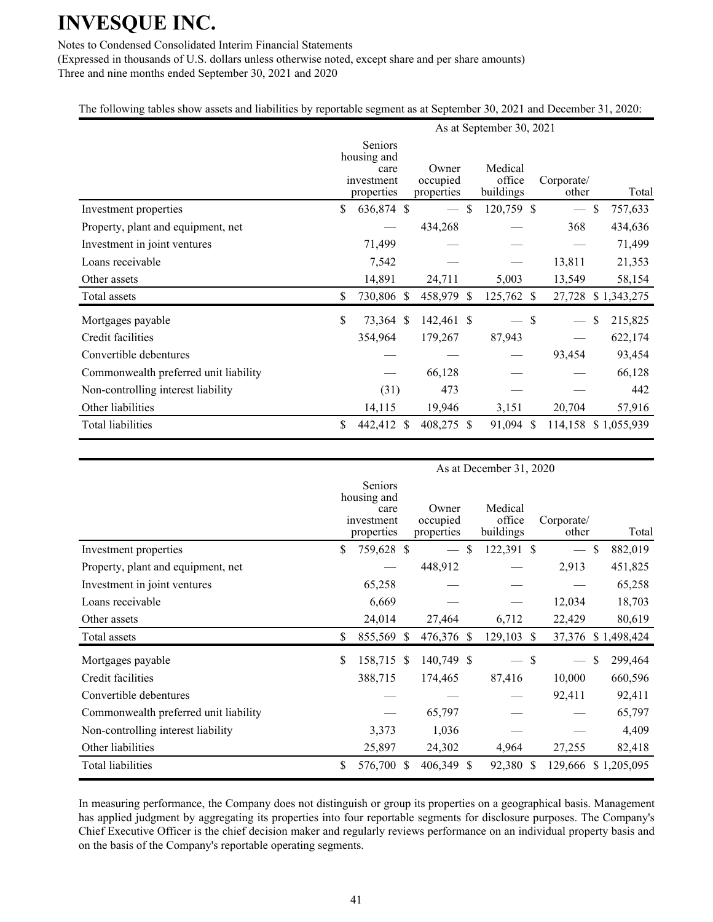### Notes to Condensed Consolidated Interim Financial Statements

(Expressed in thousands of U.S. dollars unless otherwise noted, except share and per share amounts) Three and nine months ended September 30, 2021 and 2020

### The following tables show assets and liabilities by reportable segment as at September 30, 2021 and December 31, 2020:

|                                       |                                                            |                                 |    | As at September 30, 2021       |               |                          |               |
|---------------------------------------|------------------------------------------------------------|---------------------------------|----|--------------------------------|---------------|--------------------------|---------------|
|                                       | Seniors<br>housing and<br>care<br>investment<br>properties | Owner<br>occupied<br>properties |    | Medical<br>office<br>buildings |               | Corporate/<br>other      | Total         |
| Investment properties                 | \$<br>636,874 \$                                           |                                 | -S | 120,759 \$                     |               | $\overline{\phantom{m}}$ | \$<br>757,633 |
| Property, plant and equipment, net    |                                                            | 434,268                         |    |                                |               | 368                      | 434,636       |
| Investment in joint ventures          | 71,499                                                     |                                 |    |                                |               |                          | 71,499        |
| Loans receivable                      | 7,542                                                      |                                 |    |                                |               | 13,811                   | 21,353        |
| Other assets                          | 14,891                                                     | 24,711                          |    | 5,003                          |               | 13,549                   | 58,154        |
| Total assets                          | \$<br>730,806 \$                                           | 458,979 \$                      |    | 125,762                        | <sup>S</sup>  | 27,728                   | \$1,343,275   |
| Mortgages payable                     | \$<br>73,364 \$                                            | 142,461 \$                      |    |                                | \$            |                          | \$<br>215,825 |
| Credit facilities                     | 354,964                                                    | 179,267                         |    | 87,943                         |               |                          | 622,174       |
| Convertible debentures                |                                                            |                                 |    |                                |               | 93,454                   | 93,454        |
| Commonwealth preferred unit liability |                                                            | 66,128                          |    |                                |               |                          | 66,128        |
| Non-controlling interest liability    | (31)                                                       | 473                             |    |                                |               |                          | 442           |
| Other liabilities                     | 14,115                                                     | 19,946                          |    | 3,151                          |               | 20,704                   | 57,916        |
| <b>Total liabilities</b>              | \$<br>442,412 \$                                           | 408,275 \$                      |    | 91,094                         | <sup>\$</sup> | 114,158                  | \$1,055,939   |

|                                       |                                                            |    |                                 |              | As at December 31, 2020        |               |                          |               |
|---------------------------------------|------------------------------------------------------------|----|---------------------------------|--------------|--------------------------------|---------------|--------------------------|---------------|
|                                       | Seniors<br>housing and<br>care<br>investment<br>properties |    | Owner<br>occupied<br>properties |              | Medical<br>office<br>buildings |               | Corporate/<br>other      | Total         |
| Investment properties                 | \$<br>759,628 \$                                           |    |                                 | \$.          | 122,391 \$                     |               | $\frac{1}{1}$            | \$<br>882,019 |
| Property, plant and equipment, net    |                                                            |    | 448,912                         |              |                                |               | 2,913                    | 451,825       |
| Investment in joint ventures          | 65,258                                                     |    |                                 |              |                                |               |                          | 65,258        |
| Loans receivable                      | 6,669                                                      |    |                                 |              |                                |               | 12,034                   | 18,703        |
| Other assets                          | 24,014                                                     |    | 27,464                          |              | 6,712                          |               | 22,429                   | 80,619        |
| Total assets                          | \$<br>855,569 \$                                           |    | 476,376 \$                      |              | 129,103                        | <sup>\$</sup> | 37,376                   | \$1,498,424   |
| Mortgages payable                     | \$<br>158,715 \$                                           |    | 140,749 \$                      |              |                                | \$            | $\overline{\phantom{m}}$ | \$<br>299,464 |
| Credit facilities                     | 388,715                                                    |    | 174,465                         |              | 87,416                         |               | 10,000                   | 660,596       |
| Convertible debentures                |                                                            |    |                                 |              |                                |               | 92,411                   | 92,411        |
| Commonwealth preferred unit liability |                                                            |    | 65,797                          |              |                                |               |                          | 65,797        |
| Non-controlling interest liability    | 3,373                                                      |    | 1,036                           |              |                                |               |                          | 4,409         |
| Other liabilities                     | 25,897                                                     |    | 24,302                          |              | 4,964                          |               | 27,255                   | 82,418        |
| <b>Total liabilities</b>              | \$<br>576,700                                              | -S | 406,349                         | <sup>S</sup> | 92,380                         | <sup>S</sup>  | 129,666                  | \$1,205,095   |

In measuring performance, the Company does not distinguish or group its properties on a geographical basis. Management has applied judgment by aggregating its properties into four reportable segments for disclosure purposes. The Company's Chief Executive Officer is the chief decision maker and regularly reviews performance on an individual property basis and on the basis of the Company's reportable operating segments.